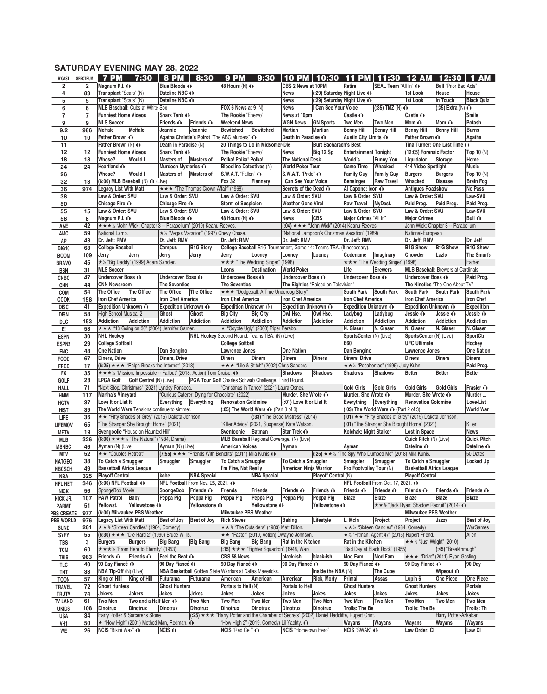|                                  |                 | <b>SATURDAY EVENING MAY 28, 2022</b>                                                       |                                          |                                      |                                                                                                     |                                                                                                                                            |                                        |                                                     |                                                                                       |                                              |                                                                          |                                           |                                      |
|----------------------------------|-----------------|--------------------------------------------------------------------------------------------|------------------------------------------|--------------------------------------|-----------------------------------------------------------------------------------------------------|--------------------------------------------------------------------------------------------------------------------------------------------|----------------------------------------|-----------------------------------------------------|---------------------------------------------------------------------------------------|----------------------------------------------|--------------------------------------------------------------------------|-------------------------------------------|--------------------------------------|
| <b>B'CAST</b>                    | <b>SPECTRUM</b> | 7 PM 7:30                                                                                  | $8$ PM $\vert$ 8:30                      |                                      | <b>9 PM</b>                                                                                         | 9:30                                                                                                                                       |                                        |                                                     | 10 PM   10:30   11 PM                                                                 |                                              | 11:30   12 AM   12:30                                                    |                                           | <b>1 AM</b>                          |
| $\overline{\mathbf{2}}$          | $\overline{2}$  | Magnum P.I. O                                                                              | Blue Bloods O                            |                                      | 48 Hours (N) $\odot$                                                                                |                                                                                                                                            | CBS 2 News at 10PM                     |                                                     | Retire                                                                                | SEAL Team "All In" O                         |                                                                          | <b>Bull</b> "Prior Bad Acts"              |                                      |
| 4                                | 83              | Transplant "Scars" (N)                                                                     | Dateline NBC O                           |                                      |                                                                                                     |                                                                                                                                            | News                                   | (:29) Saturday Night Live ∩                         |                                                                                       |                                              | 1st Look                                                                 | House                                     | House                                |
| 5<br>6                           | 5<br>6          | Transplant "Scars" (N)<br><b>MLB Baseball: Cubs at White Sox</b>                           | Dateline NBC O                           |                                      | FOX 6 News at 9 (N)                                                                                 |                                                                                                                                            | News<br><b>News</b>                    | (:29) Saturday Night Live ∩<br>I Can See Your Voice |                                                                                       | $(35)$ TMZ $(N)$ $\odot$                     | 1st Look                                                                 | In Touch<br>$(.35)$ Extra (N) $\odot$     | <b>Black Quiz</b>                    |
| 7                                | $\overline{7}$  | <b>Funniest Home Videos</b>                                                                | Shark Tank O                             |                                      | The Rookie "Enervo"                                                                                 |                                                                                                                                            | News at 10pm                           |                                                     | Castle $\mathbf{\Omega}$                                                              |                                              | Castle $\odot$                                                           |                                           | Smile                                |
| 9                                | 9               | <b>MLS Soccer</b>                                                                          | Friends $\odot$                          | Friends $\odot$                      | <b>Weekend News</b>                                                                                 |                                                                                                                                            | <b>WGN News</b>                        | <b>GN Sports</b>                                    | <b>Two Men</b>                                                                        | Two Men                                      | Mom $\mathbf{\odot}$                                                     | Mom $\mathbf{\odot}$                      | Potash                               |
| 9.2                              | 986             | McHale<br><b>McHale</b>                                                                    | Jeannie                                  | Jeannie                              | <b>Bewitched</b>                                                                                    | Bewitched                                                                                                                                  | <b>Martian</b>                         | Martian                                             | <b>Benny Hill</b>                                                                     | <b>Benny Hill</b>                            | <b>Benny Hill</b>                                                        | <b>Benny Hill</b>                         | <b>Burns</b>                         |
| 10                               | 10              | Father Brown O                                                                             |                                          |                                      | Agatha Christie's Poirot "The ABC Murders" O                                                        |                                                                                                                                            | Death in Paradise O                    |                                                     | Austin City Limits ∩                                                                  |                                              | Father Brown O                                                           |                                           | Agatha                               |
| 11                               |                 | Father Brown (N) O<br><b>Funniest Home Videos</b>                                          | Death in Paradise (N)<br>Shark Tank O    |                                      | The Rookie "Enervo"                                                                                 | 20 Things to Do in Midsomer-Die                                                                                                            |                                        | <b>Burt Bacharach's Best</b>                        | <b>Entertainment Tonight</b>                                                          |                                              | (12:05) Forensic Factor                                                  | Tina Turner: One Last Time O              |                                      |
| 12<br>18                         | $12 \,$<br>18   | Whose?<br><b>Would I</b>                                                                   | <b>Masters of</b>                        | Masters of                           | Polka! Polka! Polka!                                                                                |                                                                                                                                            | News<br><b>The National Desk</b>       | Big 12 Sp                                           | World's                                                                               | <b>Funny You</b>                             | Liquidator                                                               | Storage                                   | Top 10 (N)<br>Home                   |
| 24                               | 24              | Heartland O                                                                                | Murdoch Mysteries ∩                      |                                      | <b>Bloodline Detectives (N)</b>                                                                     |                                                                                                                                            | <b>World Poker Tour</b>                |                                                     | <b>Game Time</b>                                                                      | Whacked                                      | 414 Video Spotlight                                                      |                                           | <b>Music</b>                         |
| 26                               |                 | Whose?<br><b>Would I</b>                                                                   | <b>Masters of</b>                        | Masters of                           | S.W.A.T. "Fallen" O                                                                                 |                                                                                                                                            | S.W.A.T. "Pride" ∩                     |                                                     | <b>Family Guy</b>                                                                     | <b>Family Guy</b>                            | <b>Burgers</b>                                                           | <b>Burgers</b>                            | Top 10 $(N)$                         |
| 32                               | 13              | $(6:00)$ MLB Baseball $(N)$ $\odot$ (Live)                                                 |                                          |                                      | <b>Fox 32</b>                                                                                       | Flannery                                                                                                                                   | I Can See Your Voice                   |                                                     | <b>Bensinger</b>                                                                      | <b>Raw Travel</b>                            | Whacked                                                                  | <b>Disease</b>                            | <b>Brain Fog</b>                     |
| 36                               | 974             | <b>Legacy List With Matt</b>                                                               |                                          | ★★★ "The Thomas Crown Affair" (1968) |                                                                                                     |                                                                                                                                            | Secrets of the Dead $\odot$            |                                                     | Al Capone: Icon O                                                                     |                                              | <b>Antiques Roadshow</b>                                                 |                                           | No Pass                              |
| 38                               |                 | Law & Order: SVU                                                                           | Law & Order: SVU<br>Chicago Fire O       |                                      | Law & Order: SVU<br><b>Storm of Suspicion</b>                                                       |                                                                                                                                            | Law & Order: SVU<br>Weather Gone Viral |                                                     | Law & Order: SVU<br><b>Raw Travel</b>                                                 | MyDest.                                      | Law & Order: SVU<br>Paid Prog.                                           | Paid Prog.                                | Law-SVU<br>Paid Prog.                |
| 50<br>55                         | 15              | Chicago Fire O<br>Law & Order: SVU                                                         | Law & Order: SVU                         |                                      | Law & Order: SVU                                                                                    |                                                                                                                                            | Law & Order: SVU                       |                                                     | Law & Order: SVU                                                                      |                                              | Law & Order: SVU                                                         |                                           | Law-SVU                              |
| 58                               | 8               | Magnum P.I. O                                                                              | Blue Bloods O                            |                                      | 48 Hours (N) $\odot$                                                                                |                                                                                                                                            | News                                   | <b>CBS</b>                                          | Major Crimes "All In"                                                                 |                                              | <b>Major Crimes</b>                                                      |                                           | Bull $\odot$                         |
| A&E                              | 42              | ★ ★ ★ ½ "John Wick: Chapter 3 -- Parabellum" (2019) Keanu Reeves.                          |                                          |                                      |                                                                                                     |                                                                                                                                            |                                        |                                                     | $(.04) \star \star \star$ "John Wick" (2014) Keanu Reeves.                            |                                              |                                                                          | John Wick: Chapter 3 -- Parabellum        |                                      |
| AMC                              | 59              | National Lamp.                                                                             | ★ ½ "Vegas Vacation" (1997) Chevy Chase. |                                      |                                                                                                     |                                                                                                                                            |                                        |                                                     | "National Lampoon's Christmas Vacation" (1989)                                        |                                              | National-European                                                        |                                           |                                      |
| AP                               | 43              | Dr. Jeff: RMV                                                                              | Dr. Jeff: RMV                            |                                      | Dr. Jeff: RMV                                                                                       |                                                                                                                                            | Dr. Jeff: RMV                          |                                                     | Dr. Jeff: RMV                                                                         |                                              | Dr. Jeff: RMV                                                            |                                           | Dr. Jeff                             |
| <b>BIG10</b>                     | 63<br>109       | <b>College Baseball</b><br>Jerry<br>Jerry                                                  | Campus                                   | <b>B1G Story</b><br>Jerry            |                                                                                                     | College Baseball B1G Tournament, Game 14: Teams TBA. (If necessary).                                                                       |                                        |                                                     | Codename                                                                              |                                              | <b>B1G Show</b><br>Chowder                                               | <b>B1G Show</b><br>Lazlo                  | <b>B1G Show</b><br><b>The Smurfs</b> |
| <b>BOOM</b><br><b>BRAVO</b>      | 45              | * 1/2 "Big Daddy" (1999) Adam Sandler.                                                     | Jerry                                    |                                      | Jerry                                                                                               | Looney<br>*** "The Wedding Singer" (1998)                                                                                                  | Looney                                 | Looney                                              |                                                                                       | Imaginary<br>★★★ "The Wedding Singer" (1998) |                                                                          |                                           | Father                               |
| <b>BSN</b>                       | 31              | <b>MLS Soccer</b>                                                                          |                                          |                                      | Loons                                                                                               | <b>Destination</b>                                                                                                                         | <b>World Poker</b>                     |                                                     | Life                                                                                  | <b>Brewers</b>                               |                                                                          | <b>MLB Baseball:</b> Brewers at Cardinals |                                      |
| <b>CNBC</b>                      | 47              | Undercover Boss O                                                                          | Undercover Boss $\hat{\mathbf{O}}$       |                                      | Undercover Boss O                                                                                   |                                                                                                                                            | Undercover Boss O                      |                                                     | Undercover Boss O                                                                     |                                              | <b>Undercover Boss ∩</b>                                                 |                                           | Paid Prog.                           |
| <b>CNN</b>                       | 44              | <b>CNN Newsroom</b>                                                                        | <b>The Seventies</b>                     |                                      | <b>The Seventies</b>                                                                                |                                                                                                                                            | The Eighties "Raised on Television"    |                                                     |                                                                                       |                                              |                                                                          | The Nineties "The One About TV"           |                                      |
| COM                              | 54              | The Office<br>The Office                                                                   | The Office                               | The Office                           |                                                                                                     | ★ ★ * "Dodgeball: A True Underdog Story"                                                                                                   |                                        |                                                     | <b>South Park</b>                                                                     | <b>South Park</b>                            | <b>South Park</b>                                                        | South Park                                | <b>South Park</b>                    |
| COOK                             | 158             | <b>Iron Chef America</b>                                                                   | <b>Iron Chef America</b>                 |                                      | <b>Iron Chef America</b>                                                                            |                                                                                                                                            | <b>Iron Chef America</b>               |                                                     | <b>Iron Chef America</b>                                                              |                                              | <b>Iron Chef America</b>                                                 |                                           | Iron Chef                            |
| <b>DISC</b>                      | 41<br>58        | Expedition Unknown O<br>High School Musical 2                                              | Expedition Unknown O<br>Ghost            | Ghost                                | Expedition Unknown (N)<br><b>Big City</b>                                                           | <b>Big City</b>                                                                                                                            | Expedition Unknown O<br>Owl Hse.       | Owl Hse.                                            | <b>Expedition Unknown ∩</b><br>Ladybug                                                | Ladybug                                      | Expedition Unknown O<br>Jessie $\mathbf{\Omega}$                         | Jessie O                                  | <b>Expedition</b><br>Jessie O        |
| <b>DISN</b><br>DLC               | 153             | <b>Addiction</b><br><b>Addiction</b>                                                       | <b>Addiction</b>                         | <b>Addiction</b>                     | <b>Addiction</b>                                                                                    | <b>Addiction</b>                                                                                                                           | <b>Addiction</b>                       | <b>Addiction</b>                                    | <b>Addiction</b>                                                                      | <b>Addiction</b>                             | <b>Addiction</b>                                                         | Addiction                                 | <b>Addiction</b>                     |
| E!                               | 53              | ★★★ "13 Going on 30" (2004) Jennifer Garner.                                               |                                          |                                      |                                                                                                     | ★ "Coyote Ugly" (2000) Piper Perabo.                                                                                                       |                                        |                                                     | N. Glaser                                                                             | N. Glaser                                    | N. Glaser                                                                | N. Glaser                                 | N. Glaser                            |
| <b>ESPN</b>                      | 30              | <b>NHL Hockey</b>                                                                          |                                          |                                      |                                                                                                     | NHL Hockey Second Round: Teams TBA. (N) (Live)                                                                                             |                                        |                                                     | SportsCenter (N) (Live)                                                               |                                              | SportsCenter (N) (Live)                                                  |                                           | SportCtr                             |
| <b>ESPN2</b>                     | 29              | <b>College Softball</b>                                                                    |                                          |                                      | <b>College Softball</b>                                                                             |                                                                                                                                            |                                        |                                                     | E60                                                                                   |                                              | <b>UFC Ultimate</b>                                                      |                                           | Hockey                               |
| <b>FNC</b>                       | 48              | <b>One Nation</b>                                                                          | Dan Bongino                              |                                      | Lawrence Jones                                                                                      |                                                                                                                                            | <b>One Nation</b>                      |                                                     | Dan Bongino                                                                           |                                              | <b>Lawrence Jones</b>                                                    |                                           | <b>One Nation</b>                    |
| <b>FOOD</b>                      | 67<br>17        | Diners, Drive<br>$(6:25) \star \star \star$ "Ralph Breaks the Internet" (2018)             | Diners, Drive                            |                                      | <b>Diners</b>                                                                                       | <b>Diners</b><br>★★★ "Lilo & Stitch" (2002) Chris Sanders                                                                                  | <b>Diners</b>                          | <b>Diners</b>                                       | Diners, Drive                                                                         | ★ ★ ½ "Pocahontas" (1995) Judy Kuhn          | <b>Diners</b>                                                            | <b>Diners</b>                             | <b>Diners</b><br>Paid Prog.          |
| <b>FREE</b><br>FX                | 35              | ★★★½ "Mission: Impossible -- Fallout" (2018, Action) Tom Cruise. ^                         |                                          |                                      |                                                                                                     |                                                                                                                                            | Shadows                                | <b>Shadows</b>                                      | <b>Shadows</b>                                                                        | <b>Shadows</b>                               | <b>Better</b>                                                            | <b>Better</b>                             | <b>Better</b>                        |
| GOLF                             | 28              | Golf Central (N) (Live)<br>LPGA Golf                                                       |                                          |                                      |                                                                                                     | PGA Tour Golf Charles Schwab Challenge, Third Round.                                                                                       |                                        |                                                     |                                                                                       |                                              |                                                                          |                                           |                                      |
| <b>HALL</b>                      | 71              | "Next Stop, Christmas" (2021) Lyndsy Fonseca.                                              |                                          |                                      |                                                                                                     | "Christmas in Tahoe" (2021) Laura Osnes.                                                                                                   |                                        |                                                     | <b>Gold Girls</b>                                                                     | <b>Gold Girls</b>                            | <b>Gold Girls</b>                                                        | Gold Girls                                | Frasier O                            |
| HMM                              | 117             | Martha's Vineyard                                                                          |                                          |                                      | "Curious Caterer: Dying for Chocolate" (2022)                                                       |                                                                                                                                            | Murder, She Wrote O                    |                                                     | Murder, She Wrote ∩                                                                   |                                              | Murder, She Wrote ∩                                                      |                                           | Murder                               |
| <b>HGTV</b>                      | 37              | Love It or List It<br>The World Wars Tensions continue to simmer.                          | Everything Everything                    |                                      | <b>Renovation Goldmine</b>                                                                          |                                                                                                                                            | (:01) Love It or List It               |                                                     | Everything Everything                                                                 |                                              | <b>Renovation Goldmine</b>                                               |                                           | Love-List<br><b>World War</b>        |
| <b>HIST</b><br>LIFE              | 39<br>36        | ★★ "Fifty Shades of Grey" (2015) Dakota Johnson.                                           |                                          |                                      |                                                                                                     | (:05) The World Wars $\odot$ (Part 3 of 3)                                                                                                 | (:33) "The Good Mistress" (2014)       |                                                     |                                                                                       | (:03) The World Wars $\odot$ (Part 2 of 3)   | $(.01) \star \star$ "Fifty Shades of Grey" (2015) Dakota Johnson.        |                                           |                                      |
| <b>LIFEMOV</b>                   | 65              | "The Stranger She Brought Home" (2021)                                                     |                                          |                                      |                                                                                                     | "Killer Advice" (2021, Suspense) Kate Watson.                                                                                              |                                        |                                                     |                                                                                       |                                              | (:01) "The Stranger She Brought Home" (2021)                             |                                           | Killer                               |
| METV                             | 19              | Svengoolie "House on Haunted Hill"                                                         |                                          |                                      |                                                                                                     | Sventoonie Batman Star Trek O                                                                                                              |                                        |                                                     |                                                                                       |                                              | Kolchak: Night Stalker Lost in Space                                     |                                           | <b>News</b>                          |
| MLB                              | 326             | $(6:00) \star \star \star \cdot$ "The Natural" (1984, Drama)                               |                                          |                                      |                                                                                                     | MLB Baseball Regional Coverage. (N) (Live)                                                                                                 |                                        |                                                     |                                                                                       |                                              | Quick Pitch (N) (Live)                                                   |                                           | <b>Quick Pitch</b>                   |
| <b>MSNBC</b>                     | 46              | Ayman (N) (Live)                                                                           | Ayman (N) (Live)                         |                                      | <b>American Voices</b>                                                                              |                                                                                                                                            | Avman                                  |                                                     | Ayman                                                                                 |                                              | Dateline O                                                               |                                           | Dateline O                           |
| <b>MTV</b>                       | 52<br>38        | ★★ "Couples Retreat"<br>To Catch a Smuggler                                                | Smuggler                                 | Smuggler                             | $(7:55) \star \star \star$ "Friends With Benefits" (2011) Mila Kunis $\odot$<br>To Catch a Smuggler |                                                                                                                                            | To Catch a Smuggler                    |                                                     | $(25) \star \star \frac{1}{2}$ "The Spy Who Dumped Me" (2018) Mila Kunis.<br>Smuggler | Smuggler                                     | To Catch a Smuggler                                                      |                                           | 50 Dates<br>Locked Up                |
| <b>NATGEO</b><br><b>NBCSCH</b>   | 49              | <b>Basketball Africa League</b>                                                            |                                          |                                      | I'm Fine, Not Really                                                                                |                                                                                                                                            | American Ninja Warrior                 |                                                     | Pro Footvolley Tour (N)                                                               |                                              | <b>Basketball Africa League</b>                                          |                                           |                                      |
| NBA                              | 325             | <b>Playoff Central</b>                                                                     | kobe                                     | <b>NBA Special</b>                   |                                                                                                     | <b>NBA Special</b>                                                                                                                         |                                        | Playoff Central (N)                                 |                                                                                       |                                              | <b>Playoff Central</b>                                                   |                                           |                                      |
| <b>NFL NET</b>                   | 346             | $(5:00)$ NFL Football $\odot$                                                              | NFL Football From Nov. 25, 2021. O       |                                      |                                                                                                     |                                                                                                                                            |                                        |                                                     | NFL Football From Oct. 17, 2021. O                                                    |                                              |                                                                          |                                           |                                      |
| <b>NICK</b>                      | 56              | SpongeBob Movie                                                                            | SpongeBob                                | Friends $\odot$                      | <b>Friends</b>                                                                                      | <b>Friends</b>                                                                                                                             | Friends O                              | Friends $\hat{\mathbf{O}}$                          | Friends $\odot$                                                                       | Friends $\hat{\mathbf{O}}$                   | Friends O                                                                | Friends $\odot$                           | Friends $\hat{\mathbf{O}}$           |
| NICK JR.                         | 107             | <b>PAW Patrol Baby</b>                                                                     | Peppa Piq                                | Peppa Pig                            | Peppa Pig                                                                                           | Peppa Pig                                                                                                                                  | Peppa Pig                              | Peppa Piq                                           | Blaze                                                                                 | Blaze                                        | Blaze                                                                    | <b>Blaze</b>                              | Blaze                                |
| <b>PARMT</b><br><b>BS CREATE</b> | 51<br>977       | Yellowstone O<br>Yellowst.<br>(6:00) Milwaukee PBS Weather                                 |                                          | Yellowstone O                        | <b>Milwaukee PBS Weather</b>                                                                        | Yellowstone O                                                                                                                              |                                        | <b>Yellowstone ∩</b>                                |                                                                                       |                                              | ★★½ "Jack Ryan: Shadow Recruit" (2014) <<br><b>Milwaukee PBS Weather</b> |                                           |                                      |
| PBS WORLD                        | 976             | <b>Legacy List With Matt</b>                                                               | Best of Joy                              | Best of Joy                          | <b>Rick Steves</b>                                                                                  |                                                                                                                                            | <b>Baking</b>                          | Lifestyle                                           | L. McIn                                                                               | Project                                      | Project                                                                  | Jazzy                                     | Best of Joy                          |
| <b>SUND</b>                      | 281             | ★★½ "Sixteen Candles" (1984, Comedy)                                                       |                                          |                                      |                                                                                                     | ★★½ "The Outsiders" (1983) Matt Dillon.                                                                                                    |                                        |                                                     |                                                                                       | ★★ ½ "Sixteen Candles" (1984, Comedy)        |                                                                          |                                           | WarGames                             |
| <b>SYFY</b>                      | 55              | $(6:30) \star \star \star$ "Die Hard 2" (1990) Bruce Willis.                               |                                          |                                      |                                                                                                     | ★★ "Faster" (2010, Action) Dwayne Johnson.                                                                                                 |                                        |                                                     |                                                                                       |                                              | * 1/2 "Hitman: Agent 47" (2015) Rupert Friend.                           |                                           | Alien                                |
| TBS                              | 3               | <b>Burgers</b><br><b>Burgers</b>                                                           | <b>Big Bang</b>                          | <b>Big Bang</b>                      | <b>Big Bang</b>                                                                                     | <b>Big Bang</b>                                                                                                                            | Rat in the Kitchen                     |                                                     | Rat in the Kitchen                                                                    |                                              | $\star \star \frac{1}{2}$ "Just Wright" (2010)                           |                                           |                                      |
| <b>TCM</b>                       | 60              | ★★★½ "From Here to Eternity" (1953)                                                        |                                          |                                      |                                                                                                     | $(.15) \star \star \star$ "Fighter Squadron" (1948, War)                                                                                   |                                        |                                                     |                                                                                       | "Bad Day at Black Rock" (1955)               |                                                                          | (:45) "Breakthrough"                      |                                      |
| <b>THIS</b>                      | 983             | Friends O<br>Friends O<br>90 Day Fiancé O                                                  | Feel the Beat $\odot$<br>90 Day Fiancé O |                                      | CBS 58 News<br>90 Day Fiancé O                                                                      |                                                                                                                                            | black-ish                              | black-ish                                           | Mod Fam<br>90 Day Fiancé ∩                                                            | Mod Fam                                      | 90 Day Fiancé ∩                                                          | ★★★ "Drive" (2011) Ryan Gosling.          | 90 Day                               |
| TLC<br><b>TNT</b>                | 40<br>33        | NBA Tip-Off (N) (Live)                                                                     |                                          |                                      | NBA Basketball Golden State Warriors at Dallas Mavericks.                                           |                                                                                                                                            | 90 Day Fiancé O                        | Inside the NBA (N)                                  |                                                                                       | The Cube                                     |                                                                          | Wipeout $\odot$                           |                                      |
| <b>TOON</b>                      | 57              | King of Hill King of Hill                                                                  | Futurama                                 | Futurama                             | American                                                                                            | American                                                                                                                                   | American                               | <b>Rick, Morty</b>                                  | Primal                                                                                | Assas                                        | Lupin 6                                                                  | One Piece                                 | One Piece                            |
| <b>TRAVEL</b>                    | 72              | <b>Ghost Hunters</b>                                                                       | <b>Ghost Hunters</b>                     |                                      | Portals to Hell (N)                                                                                 |                                                                                                                                            | Portals to Hell                        |                                                     | <b>Ghost Hunters</b>                                                                  |                                              | <b>Ghost Hunters</b>                                                     |                                           | Portals                              |
| <b>TRUTV</b>                     | 74              | Jokers<br>Jokers                                                                           | Jokes                                    | Jokes                                | Jokes                                                                                               | Jokes                                                                                                                                      | Jokes                                  | Jokes                                               | Jokes                                                                                 | Jokes                                        | Jokes                                                                    | Jokes                                     | Jokes                                |
| <b>TV LAND</b>                   | 61              | Two and a Half Men ∩<br>Two Men                                                            |                                          | Two Men                              | Two Men                                                                                             | Two Men                                                                                                                                    | Two Men                                | <b>Two Men</b>                                      | Two Men                                                                               | <b>Two Men</b>                               | Two Men                                                                  | Two Men                                   | Two Men                              |
| <b>UKIDS</b>                     | 108             | <b>Dinotrux</b><br>Dinotrux                                                                | Dinotrux                                 | <b>Dinotrux</b>                      | <b>Dinotrux</b>                                                                                     | <b>Dinotrux</b>                                                                                                                            | <b>Dinotrux</b>                        | <b>Dinotrux</b>                                     | Trolls: The Be                                                                        |                                              | Trolls: The Be                                                           |                                           | Trolls: Th                           |
| USA<br>VH1                       | 34<br>50        | Harry Potter & Sorcerer's Stone<br>$\star$ "How High" (2001) Method Man, Redman. $\bullet$ |                                          |                                      |                                                                                                     | $(25)$ ★ ★ * "Harry Potter and the Chamber of Secrets" (2002) Daniel Radcliffe, Rupert Grint.<br>"How High 2" (2019, Comedy) Lil Yachty. O |                                        |                                                     | Wayans                                                                                | Wayans                                       | Wayans                                                                   | Harry Potter-Azkaban<br>Wayans            | Wayans                               |
| WE                               | 26              | NCIS "Bikini Wax" ∩                                                                        | $NCIS$ $\odot$                           |                                      | NCIS "Red Cell" ∩                                                                                   |                                                                                                                                            | NCIS "Hometown Hero"                   |                                                     | NCIS "SWAK" O                                                                         |                                              | Law Order: CI                                                            |                                           | Law CI                               |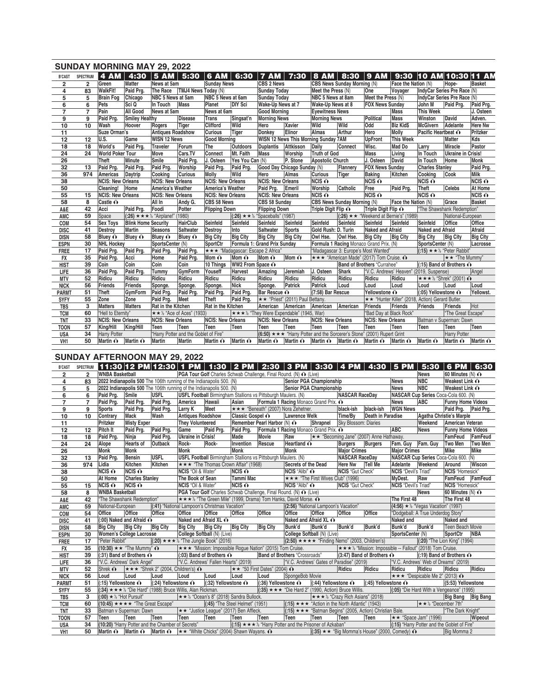|                         |                | <b>SUNDAY MORNING MAY 29, 2022</b> |                            |                                                    |                     |                          |                                     |                                            |                 |                                                                                        |              |                                                  |                     |                                                  |                                                |                          |
|-------------------------|----------------|------------------------------------|----------------------------|----------------------------------------------------|---------------------|--------------------------|-------------------------------------|--------------------------------------------|-----------------|----------------------------------------------------------------------------------------|--------------|--------------------------------------------------|---------------------|--------------------------------------------------|------------------------------------------------|--------------------------|
| <b>B'CAST</b>           | SPECTRUM       | 4 AM   4:30                        |                            | $ 5 AM $ 5:30                                      |                     | <b>6 AM</b>              | 6:30                                | <b>7 AM</b>                                | 7:30            | <b>8 AM</b>                                                                            | 8:30         | $ 9$ AM                                          |                     |                                                  | 9:30 10 AM 10:30 11 AM                         |                          |
| $\overline{\mathbf{2}}$ | $\overline{2}$ | Green                              | <b>Matter</b>              | News at 5am                                        |                     | <b>Sunday News</b>       |                                     | CBS 2 News                                 |                 | CBS News Sunday Morning (N)                                                            |              |                                                  | Face the Nation (N) |                                                  | Hope-                                          | <b>Basket</b>            |
| 4                       | 83             | <b>WalkFit!</b>                    | Paid Prg.                  | <b>The Race</b>                                    | TMJ4 News Today (N) |                          |                                     | <b>Sunday Today</b>                        |                 | Meet the Press (N)                                                                     |              | One                                              | Voyager             |                                                  | IndyCar Series Pre Race (N)                    |                          |
| 5                       | 5              | <b>Brain Fog</b>                   | Chicago                    | NBC 5 News at 5am                                  |                     | NBC 5 News at 6am        |                                     | <b>Sunday Today</b>                        |                 | NBC 5 News at 8am                                                                      |              | Meet the Press (N)                               |                     |                                                  | IndyCar Series Pre Race (N)                    |                          |
| 6                       | 6              | Pets                               | Sci Q                      | In Touch                                           | <b>Mass</b>         | Planet                   | <b>DIY Sci</b>                      | Wake-Up News at 7                          |                 | Wake-Up News at 8                                                                      |              | <b>FOX News Sunday</b>                           |                     | John M                                           | Paid Prg.                                      | Paid Prg.                |
| $\overline{7}$          | $\overline{7}$ | Pain                               | All Good                   | News at 5am                                        |                     | News at 6am              |                                     | <b>Good Morning</b>                        |                 | <b>Eyewitness News</b>                                                                 |              |                                                  | Mass                | <b>This Week</b>                                 |                                                | J. Osteen                |
| 9                       | 9              | Paid Prg.                          | <b>Smiley Healthy</b>      |                                                    | <b>Disease</b>      | <b>Trans</b>             | Singsat'n                           | <b>Morning News</b>                        |                 | <b>Morning News</b>                                                                    |              | Political                                        | Mass                | Winston                                          | David                                          | Adven.                   |
| 10                      | 10             | Wash                               | Hoover                     | Rogers                                             | Tiger               | <b>Clifford</b>          | Wild                                | Hero                                       | <b>Xavier</b>   | Wild                                                                                   | Wild         | Odd                                              | <b>Biz Kid\$</b>    | McGivern                                         | Adelante                                       | <b>Here Nw</b>           |
| 11                      |                | Suze Orman's                       |                            | <b>Antiques Roadshow</b>                           |                     | <b>Curious</b>           | Tiger                               | Donkey                                     | Elinor          | <b>Almas</b>                                                                           | Arthur       | Hero                                             | <b>Molly</b>        | Pacific Heartbeat $\hat{\mathbf{O}}$             |                                                | Pritzker                 |
| 12                      | 12             | U.S.                               | Game                       | <b>WISN 12 News</b>                                |                     | <b>Good Morning</b>      |                                     |                                            |                 | WISN 12 News This Morning Sunday 7AM                                                   |              | <b>UpFront</b>                                   | <b>This Week</b>    |                                                  | Matter                                         | Kds                      |
| 18                      | 18             | World's                            | Paid Pra.                  | <b>Traveler</b>                                    | Forum               | The                      | <b>Outdoors</b>                     | Duplantis                                  | Attkisson       | Daily                                                                                  | Connect      | Wisc.                                            | Mad Do              | Larry                                            | Miracle                                        | Pastor                   |
| 24                      | 24             | <b>World Poker Tour</b>            |                            | Move                                               | Cars.TV             | Connect                  | Mt. Faith                           | Mass                                       | Worship         | <b>Truth of God</b>                                                                    |              | <b>Mass</b>                                      | Living              | In Touch                                         | <b>Ukraine in Crisis!</b>                      |                          |
| 26                      |                | Theft                              | Minute                     | Smile                                              | Paid Prg.           | J. Osteen                | Yes You Can (N)                     |                                            | P. Stone        | Apostolic Church                                                                       |              | J. Osteen                                        | David               | In Touch                                         | Home                                           | Monk                     |
| 32                      | 13             | Paid Prg.                          | Paid Pra.                  | Paid Prg.                                          | Worship             | Paid Prg.                | Paid Pra.                           | Good Day Chicago Sunday (N)                |                 |                                                                                        | Flannery     | <b>FOX News Sunday</b>                           |                     | <b>Charles Stanley</b>                           |                                                | Paid Prg.                |
| 36                      | 974            | Americas                           | Daytrip                    | Cooking                                            | <b>Curious</b>      | <b>Molly</b>             | Wild                                | Hero                                       | Almas           | <b>Curious</b>                                                                         | <b>Tiger</b> | <b>Baking</b>                                    | Kitchen             | Cooking                                          | Cook                                           | <b>Milk</b>              |
| 38                      |                | <b>NCIS: New Orleans</b>           |                            | <b>NCIS: New Orleans</b>                           |                     | <b>NCIS: New Orleans</b> |                                     | <b>NCIS: New Orleans</b>                   |                 | NCIS O                                                                                 |              | $NCIS$ $\odot$                                   |                     | $NCIS$ $\odot$                                   |                                                | $NCIS$ $\odot$           |
| 50                      |                | <b>Cleaning!</b>                   | Home                       | America's Weather                                  |                     | America's Weather        |                                     | Paid Prg.                                  | Emeril          | Worship                                                                                | Catholic     | Free                                             | Paid Prg.           | Theft                                            | <b>Celebs</b>                                  | At Home                  |
| 55                      | 15             | <b>NCIS: New Orleans</b>           |                            | <b>NCIS: New Orleans</b>                           |                     | <b>NCIS: New Orleans</b> |                                     | <b>NCIS: New Orleans</b>                   |                 | $NCIS$ $O$                                                                             |              | $NCIS$ $\odot$                                   |                     | $NCIS$ $\odot$                                   |                                                | NCIS O                   |
| 58                      | 8              | Castle O                           |                            | All In                                             | Andy G.             | CBS 58 News              |                                     | CBS 58 Sunday                              |                 | CBS News Sunday Morning (N)                                                            |              |                                                  | Face the Nation (N) |                                                  | Grace                                          | <b>Basket</b>            |
| A&E                     | 42             | Acci                               | Paid Prg.                  | Foodi                                              | Potter              | <b>Flipping Down</b>     |                                     | <b>Flipping Down</b>                       |                 | Triple Digit Flip ∩                                                                    |              | Triple Digit Flip O                              |                     |                                                  | "The Shawshank Redemption"                     |                          |
| AMC                     | 59             | Space                              |                            | $(.26) \star \star \star \cdot$ "Airplane!" (1980) |                     |                          |                                     | $(.26) \star \star \&$ "Spaceballs" (1987) |                 |                                                                                        |              | $(.26) \star \star$ "Weekend at Bernie's" (1989) |                     |                                                  | National-European                              |                          |
| COM                     | 54             | <b>Sex Toys</b>                    | <b>Blink Home Security</b> |                                                    | <b>HairClub</b>     | Seinfeld                 | Seinfeld                            | Seinfeld                                   | Seinfeld        | Seinfeld                                                                               | Seinfeld     | Seinfeld                                         | Seinfeld            | Seinfeld                                         | Office                                         | Office                   |
| <b>DISC</b>             | 41             | Destroy                            | <b>Martin</b>              | Seasons                                            | Saltwater           | Destroy                  | Into                                | Saltwater                                  | <b>Sports</b>   | Gold Rush: D. Turin                                                                    |              | <b>Naked and Afraid</b>                          |                     | <b>Naked and Afraid</b>                          |                                                | Afraid                   |
| <b>DISN</b>             | 58             | Bluey O                            | Bluey $\hat{\mathbf{O}}$   | <b>Bluey O</b>                                     | Bluey O             | <b>Big City</b>          | <b>Big City</b>                     | <b>Big City</b>                            | <b>Big City</b> | Owl Hse.                                                                               | Owl Hse.     | <b>Big City</b>                                  | <b>Big City</b>     | <b>Big City</b>                                  | <b>Big City</b>                                | <b>Big City</b>          |
| <b>ESPN</b>             | 30             | <b>NHL Hockey</b>                  |                            | SportsCenter (N)                                   |                     | SportCtr                 | Formula 1: Grand Prix Sunday        |                                            |                 |                                                                                        |              | Formula 1 Racing Monaco Grand Prix. (N)          |                     | SportsCenter (N)                                 |                                                | Lacrosse                 |
| <b>FREE</b>             | 17             | Paid Prg.                          | Paid Pra.                  | Paid Prg.                                          | Paid Prg.           |                          | ★ ★ * "Madagascar: Escape 2 Africa" |                                            |                 |                                                                                        |              | "Madagascar 3: Europe's Most Wanted"             |                     |                                                  | (:15) $\star \star \frac{1}{2}$ "Peter Rabbit" |                          |
| <b>FX</b>               | 35             | Paid Prg.                          | Acci                       | Home                                               | Paid Prg.           | Mom $\mathbf{\Omega}$    | Mom $\mathbf{\Omega}$               | Mom $\mathbf{\Omega}$                      | Mom O           |                                                                                        |              | * * * "American Made" (2017) Tom Cruise. ∩       |                     |                                                  | $\star \star$ "The Mummy"                      |                          |
| <b>HIST</b>             | 39             | Coin                               | Coin                       | Coin                                               | Coin                | 10 Things                | WW2 From Space O                    |                                            |                 |                                                                                        |              | Band of Brothers "Currahee"                      |                     |                                                  | $(15)$ Band of Brothers $\odot$                |                          |
| LIFE                    | 36             | Paid Prg.                          | Paid Prg.                  | <b>Tummy</b>                                       | GymForm             | Youseff                  | <b>Harvest</b>                      | Amazing                                    | Jeremiah        | J. Osteen                                                                              | Shark        |                                                  |                     | "V.C. Andrews' Heaven" (2019, Suspense)          |                                                | Angel                    |
| <b>MTV</b>              | 52             | Ridicu                             | Ridicu                     | Ridicu                                             | Ridicu              | Ridicu                   | Ridicu                              | Ridicu                                     | Ridicu          | Ridicu                                                                                 | Ridicu       | Ridicu                                           | Ridicu              |                                                  | <b>★★★½ "Shrek" (2001) 心</b>                   |                          |
| <b>NICK</b>             | 56             | Friends                            | Friends                    | Sponge.                                            | Sponge.             | Sponge.                  | <b>Nick</b>                         | Sponge.                                    | Patrick         | Patrick                                                                                | Loud         | Loud                                             | Loud                | Loud                                             | Loud                                           | Loud                     |
| <b>PARMT</b>            | 51             | <b>Theft</b>                       | <b>GymForm</b>             | Paid Prg.                                          | Paid Prg.           | Paid Prg.                | Paid Pra.                           | Bar Rescue O                               |                 | (7:58) Bar Rescue                                                                      |              | <b>Yellowstone ∩</b>                             |                     | (:05) Yellowstone ∩                              |                                                | Yellowst.                |
| <b>SYFY</b>             | 55             | Zone                               | Zone                       | Paid Prg.                                          | Meet                | <b>Theft</b>             | Paid Prg.                           | <b>★★ "Priest" (2011) Paul Bettany.</b>    |                 |                                                                                        |              |                                                  |                     | ** "Hunter Killer" (2018, Action) Gerard Butler. |                                                |                          |
| <b>TBS</b>              | 3              | <b>Matters</b>                     | <b>Matters</b>             | Rat in the Kitchen                                 |                     | Rat in the Kitchen       |                                     | American                                   | American        | American                                                                               | American     | <b>Friends</b>                                   | Friends             | Friends                                          | Friends                                        | <b>Hot</b>               |
| <b>TCM</b>              | 60             | "Hell to Eternity"                 |                            | $\star \star \frac{1}{2}$ "Ace of Aces" (1933)     |                     |                          |                                     | ★ ★ ★ ½ "They Were Expendable" (1945, War) |                 |                                                                                        |              | "Bad Day at Black Rock"                          |                     |                                                  | "The Great Escape"                             |                          |
| <b>TNT</b>              | 33             | <b>NCIS: New Orleans</b>           |                            | <b>NCIS: New Orleans</b>                           |                     | <b>NCIS: New Orleans</b> |                                     | <b>NCIS: New Orleans</b>                   |                 | <b>NCIS: New Orleans</b>                                                               |              | <b>NCIS: New Orleans</b>                         |                     |                                                  | Batman v Superman: Dawn                        |                          |
| <b>TOON</b>             | 57             | King/Hill                          | King/Hill                  | Teen                                               | Teen                | Teen                     | Teen                                | Teen                                       | Teen            | Teen                                                                                   | Teen         | Teen                                             | Teen                | Teen                                             | Teen                                           | Teen                     |
| <b>USA</b>              | 34             | <b>Harry Potter</b>                |                            | "Harry Potter and the Goblet of Fire"              |                     |                          |                                     |                                            |                 | $(6:50) \star \star \star$ "Harry Potter and the Sorcerer's Stone" (2001) Rupert Grint |              |                                                  |                     |                                                  | <b>Harry Potter</b>                            |                          |
| VH <sub>1</sub>         | 50             | Martin O                           | Martin O                   | Martin                                             | <b>Martin</b>       | Martin O                 | Martin $\mathbf{\Omega}$            | Martin $\odot$ Martin $\odot$              |                 | Martin $\odot$ Martin $\odot$                                                          |              | Martin O                                         | Martin $\odot$      | Martin $\mathbf{\Omega}$                         | Martin $\mathbf{\Omega}$                       | Martin $\mathbf{\Omega}$ |

## **SUNDAY AFTERNOON MAY 29, 2022**

| <b>B'CAST</b>   | <b>SPECTRUM</b> |                                 |                                                                                                        |                                                     |                           |                                      |                                                                      |                            | 11:30  12 PM  12:30   1 PM   1:30   2 PM   2:30   3 PM   3:30   4 PM   4:30   5 PM   5:30                           |          |                             |                                                                         |                             |                                             | $\vert$ 6 PM $\vert$ 6:30    |            |
|-----------------|-----------------|---------------------------------|--------------------------------------------------------------------------------------------------------|-----------------------------------------------------|---------------------------|--------------------------------------|----------------------------------------------------------------------|----------------------------|---------------------------------------------------------------------------------------------------------------------|----------|-----------------------------|-------------------------------------------------------------------------|-----------------------------|---------------------------------------------|------------------------------|------------|
| $\overline{2}$  | $\overline{2}$  | <b>WNBA Basketball</b>          |                                                                                                        |                                                     |                           |                                      |                                                                      |                            | PGA Tour Golf Charles Schwab Challenge, Final Round. (N) O (Live)                                                   |          |                             |                                                                         |                             | <b>News</b>                                 | 60 Minutes $(N)$ $\odot$     |            |
| $\overline{4}$  | 83              |                                 | 2022 Indianapolis 500 The 106th running of the Indianapolis 500. (N)                                   |                                                     |                           |                                      |                                                                      |                            | Senior PGA Championship                                                                                             |          |                             |                                                                         | <b>News</b>                 | <b>NBC</b>                                  | Weakest Link $\odot$         |            |
| $\overline{5}$  | 5               |                                 | 2022 Indianapolis 500 The 106th running or the Indianapolis 500. (N)<br>Paid Pro. Smile $\frac{1}{10}$ |                                                     |                           |                                      |                                                                      |                            | Senior PGA Championship                                                                                             |          |                             |                                                                         | <b>News</b>                 | <b>NBC</b>                                  | Weakest Link $\odot$         |            |
| 6               | 6               | Paid Prg.                       | Smile                                                                                                  | <b>USFL</b>                                         |                           |                                      | <b>USFL Football</b> Birmingham Stallions vs Pittsburgh Maulers. (N) |                            |                                                                                                                     |          | <b>NASCAR RaceDay</b>       |                                                                         |                             | NASCAR Cup Series Coca-Cola 600. (N)        |                              |            |
| $\overline{7}$  | $\overline{7}$  | Paid Prg.                       | Paid Prg.                                                                                              | Paid Prg.                                           | America                   | Hawaii                               | Asian                                                                |                            | Formula 1 Racing Monaco Grand Prix. O                                                                               |          |                             |                                                                         | <b>News</b>                 | <b>ABC</b>                                  | <b>Funny Home Videos</b>     |            |
| 9               | 9               | <b>Sports</b>                   | Paid Prg.                                                                                              | Paid Prg.                                           | Larry K                   | Meet                                 |                                                                      |                            | ★★★ "Beneath" (2007) Nora Zehetner.                                                                                 |          | black-ish                   | black-ish                                                               | <b>WGN News</b>             |                                             | Paid Prg. Paid Prg.          |            |
| 10              | 10              | Contrary                        | <b>Mack</b>                                                                                            | Wash                                                | <b>Antiques Roadshow</b>  |                                      | Classic Gospel O                                                     |                            | <b>Lawrence Welk</b>                                                                                                |          | Time/By                     | Death in Paradise                                                       |                             |                                             | Agatha Christie's Marple     |            |
| 11              |                 | Pritzker                        | <b>Misty Exper</b>                                                                                     |                                                     | <b>They Volunteered</b>   |                                      | Remember Pearl Harbor (N) O                                          |                            |                                                                                                                     | Shrapnel | <b>Sky Blossom: Diaries</b> |                                                                         |                             | Weekend                                     | American Veteran             |            |
| 12              | 12              | Pitch It                        | Paid Pra.                                                                                              | Paid Prg.                                           | Game                      | Paid Pra.                            | Paid Prg.                                                            |                            | <b>Formula 1 Racing Monaco Grand Prix. O</b>                                                                        |          |                             |                                                                         | <b>ABC</b>                  | <b>News</b>                                 | <b>Funny Home Videos</b>     |            |
| 18              | 18              | Paid Prg.                       | Ninja                                                                                                  | Paid Prg.                                           | <b>Ukraine in Crisis!</b> |                                      | Made                                                                 | Movie                      | Raw                                                                                                                 |          |                             | $\star \star$ "Becoming Jane" (2007) Anne Hathaway.                     |                             |                                             | FamFeud                      | FamFeud    |
| 24              | 24              | Alope                           | <b>Hearts of</b>                                                                                       | Outback                                             | Rock-                     | Rock-                                | Invention                                                            | Rescue                     | Heartland O                                                                                                         |          | <b>Burgers</b>              | Burgers                                                                 | Fam. Guy   Fam. Guy         |                                             | Two Men                      | Two Men    |
| 26              |                 | Monk                            | <b>Monk</b>                                                                                            |                                                     | <b>Monk</b>               |                                      | Monk                                                                 |                            | Monk                                                                                                                |          | <b>Major Crimes</b>         |                                                                         | <b>Major Crimes</b>         |                                             | <b>Mike</b>                  | Mike       |
| 32              | 13              | Paid Prg.                       | <b>Bensin</b>                                                                                          | <b>USFL</b>                                         |                           |                                      | <b>USFL Football</b> Birmingham Stallions vs Pittsburgh Maulers. (N) |                            |                                                                                                                     |          | <b>NASCAR RaceDay</b>       |                                                                         |                             | NASCAR Cup Series Coca-Cola 600. (N)        |                              |            |
| 36              | 974             | Lidia                           | <b>Kitchen</b>                                                                                         | Kitchen                                             |                           |                                      | ★★★ "The Thomas Crown Affair" (1968)                                 |                            | Secrets of the Dead                                                                                                 |          | <b>Here Nw</b>              | <b>Tell Me</b>                                                          | Adelante                    | Weekend                                     | Around                       | Wiscon     |
| 38              |                 | NCIS O                          | $NCIS$ $\odot$                                                                                         |                                                     | <b>NCIS</b> "Oil & Water" |                                      | NCIS O                                                               |                            | <b>NCIS</b> "Alibi" O                                                                                               |          | <b>NCIS</b> "Gut Check"     |                                                                         | <b>NCIS</b> "Devil's Triad" |                                             | NCIS "Homesick"              |            |
| 50              |                 | At Home                         | <b>Charles Stanley</b>                                                                                 |                                                     | The Book of Sean          |                                      | Tammi Mac                                                            |                            | ★★★ "The First Wives Club" (1996)                                                                                   |          |                             |                                                                         | MyDest.                     | Raw                                         | FamFeud FamFeud              |            |
| 55              | 15              | $NCIS$ $\odot$                  | NCIS O                                                                                                 |                                                     | NCIS "Oil & Water"        |                                      | $NCIS$ $O$                                                           |                            | NCIS "Alibi" ∩                                                                                                      |          | NCIS "Gut Check"            |                                                                         | NCIS "Devil's Triad"        |                                             | NCIS "Homesick"              |            |
| 58              | 8               | <b>WNBA Basketball</b>          |                                                                                                        |                                                     |                           |                                      |                                                                      |                            | PGA Tour Golf Charles Schwab Challenge, Final Round. (N) O (Live)                                                   |          |                             |                                                                         |                             | <b>News</b>                                 | 60 Minutes $(N)$ $\odot$     |            |
| A&E             | 42              |                                 | "The Shawshank Redemption"                                                                             |                                                     |                           |                                      |                                                                      |                            | <b>★★★½ "The Green Mile" (1999, Drama) Tom Hanks, David Morse. ^</b>                                                |          |                             |                                                                         | The First 48                |                                             | The First 48                 |            |
| <b>AMC</b>      | 59              | National-European               |                                                                                                        | (:41) "National Lampoon's Christmas Vacation"       |                           |                                      |                                                                      |                            | (2:56) "National Lampoon's Vacation"                                                                                |          |                             |                                                                         |                             | (4:56) $★$ % "Vegas Vacation" (1997)        |                              |            |
| COM             | 54              | Office                          | Office                                                                                                 | Office                                              | Office                    | Office                               | Office                                                               | Office                     | <b>Office</b>                                                                                                       | Office   | Office                      | Office                                                                  |                             | "Dodgeball: A True Underdog Story"          |                              |            |
| <b>DISC</b>     | 41              |                                 | (:00) Naked and Afraid ∩                                                                               |                                                     |                           | Naked and Afraid XL ∩                |                                                                      |                            | Naked and Afraid XL ∩                                                                                               |          |                             |                                                                         | Naked and                   |                                             | <b>Naked and</b>             |            |
| <b>DISN</b>     | 58              | <b>Big City</b>                 | <b>Big City</b>                                                                                        | <b>Big City</b>                                     | <b>Big City</b>           | <b>Big City</b>                      | Big City Big City                                                    |                            | Bunk'd                                                                                                              | Bunk'd   | Bunk'd                      | Bunk'd                                                                  | Bunk'd                      | Bunk'd                                      | Teen Beach Movie             |            |
| <b>ESPN</b>     | 30              |                                 | <b>Women's College Lacrosse</b>                                                                        |                                                     |                           | College Softball (N) (Live)          |                                                                      |                            | College Softball (N) (Live)                                                                                         |          |                             |                                                                         | SportsCenter (N)            |                                             | SportCtr                     | <b>NBA</b> |
| <b>FREE</b>     | 17              | "Peter Rabbit"                  |                                                                                                        | $(20) \star \star \star 2$ "The Jungle Book" (2016) |                           |                                      |                                                                      |                            | $(2:50) \star \star \star \star$ "Finding Nemo" (2003, Children's)                                                  |          |                             |                                                                         |                             |                                             | (:20) "The Lion King" (1994) |            |
| <b>FX</b>       | 35              |                                 | $(10:30) \star \star$ "The Mummy" $\odot$                                                              |                                                     |                           |                                      |                                                                      |                            | *** "Mission: Impossible Rogue Nation" (2015) Tom Cruise. *** * "Mission: Impossible -- Fallout" (2018) Tom Cruise. |          |                             |                                                                         |                             |                                             |                              |            |
| <b>HIST</b>     | 39              |                                 | $(.31)$ Band of Brothers $\odot$                                                                       |                                                     |                           | (:03) Band of Brothers $\odot$       |                                                                      |                            | <b>Band of Brothers "Crossroads"</b>                                                                                |          |                             | (3:47) Band of Brothers O                                               |                             | $(19)$ Band of Brothers $\odot$             |                              |            |
| LIFE            | 36              |                                 | "V.C. Andrews' Dark Angel"                                                                             |                                                     |                           | "V.C. Andrews' Fallen Hearts" (2019) |                                                                      |                            | "V.C. Andrews' Gates of Paradise" (2019)                                                                            |          |                             |                                                                         |                             | "V.C. Andrews' Web of Dreams" (2019)        |                              |            |
| <b>MTV</b>      | 52              | Shrek $\mathbf{\odot}$          | $\star \star \star$ "Shrek 2" (2004, Children's) $\odot$                                               |                                                     |                           |                                      | $\star \star$ "50 First Dates" (2004) $\odot$                        |                            |                                                                                                                     |          | Ridicu                      | Ridicu                                                                  | Ridicu                      | Ridicu                                      | Ridicu                       | Ridicu     |
| <b>NICK</b>     | 56              | Loud                            | Loud                                                                                                   | Loud                                                | Loud                      | Loud                                 | Loud                                                                 | Loud                       | SpongeBob Movie                                                                                                     |          |                             |                                                                         |                             | ★★★ "Despicable Me 2" (2013) ↑              |                              |            |
| <b>PARMT</b>    | 51              | (:15) Yellowstone ∩             |                                                                                                        | $(24)$ Yellowstone $\odot$                          |                           | $(32)$ Yellowstone $\odot$           |                                                                      | $(36)$ Yellowstone $\odot$ |                                                                                                                     |          |                             | $ (44)$ Yellowstone $\odot$ $ (45)$ Yellowstone $\odot$                 |                             |                                             | (5:53) Yellowstone           |            |
| <b>SYFY</b>     | 55              |                                 | $(.34) \star \star \star \cdot \cdot$ "Die Hard" (1988) Bruce Willis, Alan Rickman.                    |                                                     |                           |                                      |                                                                      |                            | $(35) \star \star \star$ "Die Hard 2" (1990, Action) Bruce Willis.                                                  |          |                             |                                                                         |                             | (:05) "Die Hard With a Vengeance" (1995)    |                              |            |
| <b>TBS</b>      | 3               | $(.00)$ $\star$ ½ "Hot Pursuit" |                                                                                                        |                                                     |                           |                                      | ★★½ "Ocean's 8" (2018) Sandra Bullock.                               |                            |                                                                                                                     |          |                             | <b>★★★½ "Crazy Rich Asians" (2018)</b>                                  |                             |                                             | Big Bang Big Bang            |            |
| <b>TCM</b>      | 60              |                                 | $(10:45) \star \star \star \star$ "The Great Escape"                                                   |                                                     |                           |                                      | $(35)$ "The Steel Helmet" (1951)                                     |                            | $(15) \star \star \star$ "Action in the North Atlantic" (1943)                                                      |          |                             |                                                                         |                             | $\star \star \frac{1}{2}$ "December 7th"    |                              |            |
| <b>TNT</b>      | 33              |                                 | Batman v Superman: Dawn                                                                                |                                                     |                           |                                      | <b>★★ "Justice League" (2017) Ben Affleck.</b>                       |                            |                                                                                                                     |          |                             | $(15) \star \star \star$ "Batman Begins" (2005, Action) Christian Bale. |                             |                                             | "The Dark Knight"            |            |
| <b>TOON</b>     | 57              | Teen                            | Teen                                                                                                   | Teen                                                | Teen                      | Teen                                 | Teen                                                                 | Teen                       | Teen                                                                                                                | Teen     | Teen                        | Teen                                                                    |                             | $\star \star$ "Space Jam" (1996)            |                              | Wipeout    |
| <b>USA</b>      | 34              |                                 | (10:20) "Harry Potter and the Chamber of Secrets"                                                      |                                                     |                           |                                      |                                                                      |                            | $(.15) \star \star \star \star$ "Harry Potter and the Prisoner of Azkaban"                                          |          |                             |                                                                         |                             | (:15) "Harry Potter and the Goblet of Fire" |                              |            |
| VH <sub>1</sub> | 50              |                                 | <b>Martin O</b> Martin O Martin O $\star \star$ "White Chicks" (2004) Shawn Wayans. O                  |                                                     |                           |                                      |                                                                      |                            |                                                                                                                     |          |                             | $ (35) \star \star  $ "Big Momma's House" (2000, Comedy) $\odot$        |                             |                                             | Big Momma 2                  |            |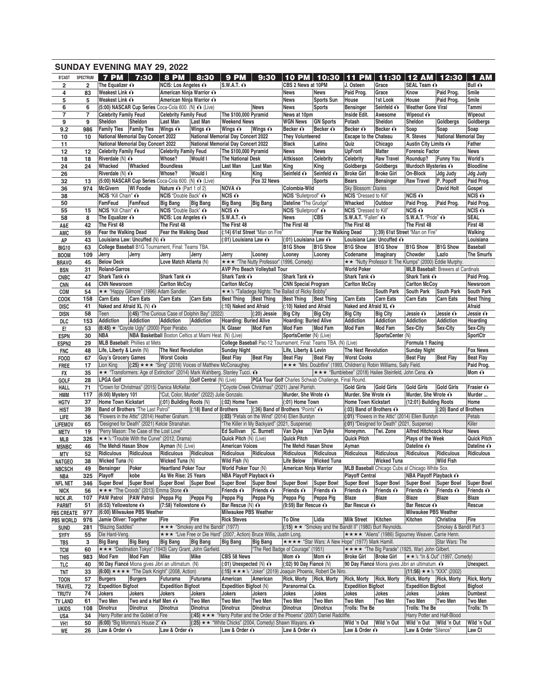|                            |                 | <b>SUNDAY EVENING MAY 29, 2022</b>                                                     |                      |                                                     |                                                         |                                                              |                                                                              |                                                                          |                                                                                                 |                                                                      |                                             |                                                          |                                               |                                   |
|----------------------------|-----------------|----------------------------------------------------------------------------------------|----------------------|-----------------------------------------------------|---------------------------------------------------------|--------------------------------------------------------------|------------------------------------------------------------------------------|--------------------------------------------------------------------------|-------------------------------------------------------------------------------------------------|----------------------------------------------------------------------|---------------------------------------------|----------------------------------------------------------|-----------------------------------------------|-----------------------------------|
| <b>B'CAST</b>              | <b>SPECTRUM</b> | 7 PM $\vert$ 7:30 $\vert$ 8 PM                                                         |                      |                                                     | 8:30                                                    | <b>9 PM</b>                                                  | 9:30                                                                         | 10 PM                                                                    | 10:30                                                                                           | <b>11 PM</b>                                                         | 11:30                                       | <b>12 AM</b>                                             | 12:30                                         | <b>AM</b><br>$\blacktriangleleft$ |
| $\overline{2}$             | $\overline{2}$  | The Equalizer $\odot$                                                                  |                      | <b>NCIS: Los Angeles O</b>                          |                                                         | $S.W.A.T.$ $\odot$                                           |                                                                              | CBS 2 News at 10PM                                                       |                                                                                                 | J. Osteen                                                            | Grace                                       | SEAL Team O                                              |                                               | Bull $\mathbf{\odot}$             |
| 4                          | 83              | Weakest Link O                                                                         |                      | American Ninja Warrior ∩                            |                                                         |                                                              |                                                                              | <b>News</b>                                                              | <b>News</b>                                                                                     | Paid Prog.                                                           | Grace                                       | Know                                                     | Paid Prog.                                    | Smile                             |
| 5                          | 5               | Weakest Link O                                                                         |                      | American Ninja Warrior ∩                            |                                                         |                                                              |                                                                              | <b>News</b>                                                              | <b>Sports Sun</b>                                                                               | House                                                                | 1st Look                                    | House                                                    | Paid Prog.                                    | Smile                             |
| 6                          | 6               | (5:00) NASCAR Cup Series Coca-Cola 600. (N) O (Live)                                   |                      |                                                     |                                                         |                                                              | <b>News</b>                                                                  | <b>News</b>                                                              | <b>Sports</b>                                                                                   | <b>Bensinger</b>                                                     | Seinfeld O                                  | <b>Weather Gone Viral</b>                                |                                               | Tammi                             |
| $\overline{7}$             | $\overline{7}$  | <b>Celebrity Family Feud</b>                                                           |                      | <b>Celebrity Family Feud</b>                        |                                                         | The \$100,000 Pyramid                                        |                                                                              | News at 10pm                                                             |                                                                                                 | Inside Edit.                                                         | Awesome                                     | Wipeout $\mathbf{\odot}$                                 |                                               | Wipeout                           |
| 9                          | 9               | Sheldon<br>Sheldon                                                                     |                      | Last Man                                            | Last Man                                                | <b>Weekend News</b>                                          |                                                                              | <b>WGN News</b>                                                          | <b>GN Sports</b>                                                                                | Potash                                                               | Sheldon                                     | Sheldon                                                  | Goldbergs                                     | Goldbergs                         |
| 9.2<br>10                  | 986<br>10       | Family Ties   Family Ties   Wings $\odot$<br><b>National Memorial Day Concert 2022</b> |                      |                                                     | Wings O                                                 | Wings $\mathbf{\odot}$<br>National Memorial Day Concert 2022 | Wings O                                                                      | Becker O<br><b>They Volunteered</b>                                      | Becker O                                                                                        | Becker O<br><b>Escape to the Chateau</b>                             | Becker O                                    | Soap<br>R. Steves                                        | Soap<br>National Memorial Day                 | Soap                              |
| 11                         |                 | <b>National Memorial Day Concert 2022</b>                                              |                      |                                                     |                                                         | National Memorial Day Concert 2022                           |                                                                              | <b>Black</b>                                                             | Latino                                                                                          | Quiz                                                                 | Chicago                                     | Austin City Limits ∩                                     |                                               | Father                            |
| 12                         | $12 \,$         | <b>Celebrity Family Feud</b>                                                           |                      | <b>Celebrity Family Feud</b>                        |                                                         | The \$100,000 Pyramid                                        |                                                                              | <b>News</b>                                                              | <b>News</b>                                                                                     | <b>UpFront</b>                                                       | Matter                                      | <b>Forensic Factor</b>                                   |                                               | <b>News</b>                       |
| 18                         | 18              | Riverdale $(N)$ $\odot$                                                                |                      | Whose?                                              | <b>Would I</b>                                          | <b>The National Desk</b>                                     |                                                                              | Attkisson                                                                | Celebrity                                                                                       | <b>Celebrity</b>                                                     | <b>Raw Travel</b>                           | Roundup?                                                 | <b>Funny You</b>                              | World's                           |
| 24                         | 24              | Whacked<br>Whacked                                                                     |                      | <b>Boundless</b>                                    |                                                         | Last Man                                                     | <b>Last Man</b>                                                              | King                                                                     | King                                                                                            | Goldbergs                                                            | Goldbergs                                   | Murdoch Mysteries ∩                                      |                                               | <b>Bloodline</b>                  |
| 26                         |                 | Riverdale $(N)$ $\odot$                                                                |                      | Whose?                                              | <b>Would I</b>                                          | King                                                         | King                                                                         | Seinfeld O                                                               | Seinfeld O                                                                                      | <b>Broke Girl</b>                                                    | <b>Broke Girl</b>                           | On-Block                                                 | Jdg Judy                                      | Jdg Judy                          |
| 32                         | 13              | (5:00) NASCAR Cup Series Coca-Cola 600. (N) $\odot$ (Live)                             |                      |                                                     |                                                         |                                                              | Fox 32 News                                                                  |                                                                          | <b>Sports</b>                                                                                   | <b>Bears</b>                                                         | Bensinger                                   | <b>Raw Travel</b>                                        | P. Popoff                                     | Paid Prog.                        |
| 36                         | 974             | <b>McGivern</b><br><b>WI Foodie</b>                                                    |                      | Nature $\odot$ (Part 1 of 2)                        |                                                         | <b>NOVA O</b>                                                |                                                                              | Colombia-Wild                                                            |                                                                                                 | Sky Blossom: Diaries                                                 |                                             |                                                          | <b>David Holt</b>                             | Gospel                            |
| 38                         |                 | NCIS "Kill Chain" ∩                                                                    |                      | NCIS "Double Back" ∩                                |                                                         | $NCIS$ $\odot$                                               |                                                                              | NCIS "Bulletproof" ∩                                                     |                                                                                                 | NCIS "Dressed to Kill"                                               |                                             | $NCIS$ $\odot$                                           |                                               | NCIS O                            |
| 50                         |                 | FamFeud<br><b>FamFeud</b>                                                              |                      | <b>Big Bang</b>                                     | <b>Big Bang</b>                                         | <b>Big Bang</b>                                              | <b>Big Bang</b>                                                              | Dateline "The Grudge"                                                    |                                                                                                 | Whacked                                                              | Outdoor                                     | Paid Prog.                                               | Paid Prog.                                    | Paid Prog.                        |
| 55                         | 15              | NCIS "Kill Chain" O<br>The Equalizer $\hat{\mathbf{O}}$                                |                      | NCIS "Double Back" ∩<br>NCIS: Los Angeles ∩         |                                                         | $NCIS$ $\odot$<br>$S.W.A.T.$ $\odot$                         |                                                                              | NCIS "Bulletproof" ∩<br><b>News</b>                                      | <b>CBS</b>                                                                                      | NCIS "Dressed to Kill"<br>S.W.A.T. "Fallen" O                        |                                             | NCIS O<br>S.W.A.T. "Pride" ∩                             |                                               | NCIS O<br><b>SEAL</b>             |
| 58                         | 8<br>42         | The First 48                                                                           |                      | The First 48                                        |                                                         | The First 48                                                 |                                                                              | The First 48                                                             |                                                                                                 | The First 48                                                         |                                             | The First 48                                             |                                               | First 48                          |
| A&E<br>AMC                 | 59              | Fear the Walking Dead                                                                  |                      | Fear the Walking Dead                               |                                                         |                                                              | (:14) 61st Street "Man on Fire"                                              |                                                                          | Fear the Walking Dead                                                                           |                                                                      |                                             | (:39) 61st Street "Man on Fire"                          |                                               | Walking                           |
| AP                         | 43              | Louisiana Law: Uncuffed (N) ∩                                                          |                      |                                                     |                                                         | (:01) Louisiana Law ∩                                        |                                                                              | (:01) Louisiana Law ∩                                                    |                                                                                                 | Louisiana Law: Uncuffed O                                            |                                             |                                                          |                                               | Louisiana                         |
| <b>BIG10</b>               | 63              | College Baseball B1G Tournament, Final: Teams TBA.                                     |                      |                                                     |                                                         |                                                              |                                                                              | <b>B1G Show</b>                                                          | <b>B1G Show</b>                                                                                 | <b>B1G Show</b>                                                      | <b>B1G Show</b>                             | <b>B1G Show</b>                                          | <b>B1G Show</b>                               | <b>Baseball</b>                   |
| <b>BOOM</b>                | 109             | Jerry<br>Jerry                                                                         |                      | Jerry                                               | Jerry                                                   | Jerry                                                        | Looney                                                                       | Looney                                                                   | Looney                                                                                          | Codename                                                             | Imaginary                                   | Chowder                                                  | Lazlo                                         | <b>The Smurfs</b>                 |
| <b>BRAVO</b>               | 45              | <b>Below Deck</b>                                                                      |                      | Love Match Atlanta (N)                              |                                                         |                                                              |                                                                              | ★★★ "The Nutty Professor" (1996, Comedy)                                 |                                                                                                 |                                                                      |                                             | ★★ "Nutty Professor II: The Klumps" (2000) Eddie Murphy. |                                               |                                   |
| <b>BSN</b>                 | 31              | <b>Roland-Garros</b>                                                                   |                      |                                                     |                                                         |                                                              | <b>AVP Pro Beach Volleyball Tour</b>                                         |                                                                          |                                                                                                 | World Poker                                                          |                                             |                                                          | <b>MLB Baseball: Brewers at Cardinals</b>     |                                   |
| <b>CNBC</b>                | 47              | Shark Tank O                                                                           |                      | Shark Tank O                                        |                                                         | Shark Tank O                                                 |                                                                              | Shark Tank O                                                             |                                                                                                 | Shark Tank O                                                         |                                             | Shark Tank $\odot$                                       |                                               | Paid Prog.                        |
| <b>CNN</b>                 | 44              | <b>CNN Newsroom</b>                                                                    |                      | <b>Carlton McCoy</b>                                |                                                         | <b>Carlton McCoy</b>                                         |                                                                              | <b>CNN Special Program</b>                                               |                                                                                                 | <b>Carlton McCoy</b>                                                 |                                             | <b>Carlton McCoy</b>                                     |                                               | Newsroom                          |
| COM                        | 54              | ★★ "Happy Gilmore" (1996) Adam Sandler.                                                |                      |                                                     |                                                         |                                                              |                                                                              | ★ ★ ½ "Talladega Nights: The Ballad of Ricky Bobby"                      |                                                                                                 |                                                                      | South Park                                  | <b>South Park</b>                                        | <b>South Park</b>                             | <b>South Park</b>                 |
| COOK                       | 158             | <b>Carn Eats</b><br><b>Carn Eats</b>                                                   |                      | <b>Carn Eats</b>                                    | Carn Eats                                               | Best Thing Best Thing                                        |                                                                              | Best Thing Best Thing                                                    |                                                                                                 | <b>Carn Eats</b>                                                     | Carn Eats                                   | <b>Carn Eats</b>                                         | <b>Carn Eats</b>                              | <b>Best Thing</b>                 |
| <b>DISC</b><br><b>DISN</b> | 41<br>58        | Naked and Afraid XL $(N)$ $\odot$<br>Teen                                              |                      |                                                     | (:45) "The Curious Case of Dolphin Bay" (2022)          | (:10) Naked and Afraid                                       | $(20)$ Jessie                                                                | (:10) Naked and Afraid<br><b>Big City</b>                                | <b>Big City</b>                                                                                 | Naked and Afraid XL O<br><b>Big City</b>                             | <b>Big City</b>                             | Jessie O                                                 | Jessie O                                      | Afraid<br>Jessie O                |
| <b>DLC</b>                 | 153             | <b>Addiction</b><br><b>Addiction</b>                                                   |                      | <b>Addiction</b>                                    | Addiction                                               | <b>Hoarding: Buried Alive</b>                                |                                                                              | <b>Hoarding: Buried Alive</b>                                            |                                                                                                 | Addiction                                                            | <b>Addiction</b>                            | <b>Addiction</b>                                         | <b>Addiction</b>                              | Hoarding                          |
| E.                         | 53              | (6:45) ★ "Coyote Ugly" (2000) Piper Perabo.                                            |                      |                                                     |                                                         | N. Glaser                                                    | <b>Mod Fam</b>                                                               | <b>Mod Fam</b>                                                           | Mod Fam                                                                                         | Mod Fam                                                              | Mod Fam                                     | Sex-City                                                 | Sex-City                                      | Sex-City                          |
| <b>ESPN</b>                | 30              | NBA                                                                                    |                      |                                                     | NBA Basketball Boston Celtics at Miami Heat. (N) (Live) |                                                              |                                                                              | SportsCenter (N) (Live)                                                  |                                                                                                 |                                                                      | SportsCenter (N)                            |                                                          |                                               | <b>SportCtr</b>                   |
| ESPN <sub>2</sub>          | 29              | <b>MLB Baseball: Phillies at Mets</b>                                                  |                      |                                                     |                                                         |                                                              |                                                                              |                                                                          | College Baseball Pac-12 Tournament, Final: Teams TBA. (N) (Live)                                |                                                                      |                                             | Formula 1 Racing                                         |                                               |                                   |
| <b>FNC</b>                 | 48              | Life, Liberty & Levin (N)                                                              |                      | The Next Revolution                                 |                                                         | <b>Sunday Night</b>                                          |                                                                              | Life, Liberty & Levin                                                    |                                                                                                 | <b>The Next Revolution</b>                                           |                                             | <b>Sunday Night</b>                                      |                                               | <b>Fox News</b>                   |
| <b>FOOD</b>                | 67              | Guy's Grocery Games                                                                    |                      | <b>Worst Cooks</b>                                  |                                                         | <b>Beat Flay</b>                                             | <b>Beat Flay</b>                                                             | <b>Beat Flay</b>                                                         | <b>Beat Flay</b>                                                                                | <b>Worst Cooks</b>                                                   |                                             | <b>Beat Flay</b>                                         | <b>Beat Flay</b>                              | <b>Beat Flay</b>                  |
| <b>FREE</b>                | 17              | Lion King                                                                              |                      |                                                     |                                                         | (:25) ★ ★ * "Sing" (2016) Voices of Matthew McConaughey.     |                                                                              |                                                                          | <b>★★★ "Mrs. Doubtfire" (1993, Children's) Robin Williams, Sally Field.</b>                     |                                                                      |                                             |                                                          |                                               | Paid Prog.                        |
| FX                         | 35              | ★★ "Transformers: Age of Extinction" (2014) Mark Wahlberg, Stanley Tucci. ^            |                      |                                                     |                                                         |                                                              |                                                                              |                                                                          | <b>★★★ "Bumblebee" (2018) Hailee Steinfeld, John Cena. ①</b>                                    |                                                                      |                                             |                                                          |                                               | Mom $\mathbf{\Omega}$             |
| GOLF                       | 28              | <b>LPGA Golf</b>                                                                       |                      |                                                     | Golf Central (N) (Live)                                 |                                                              |                                                                              |                                                                          | PGA Tour Golf Charles Schwab Challenge, Final Round.                                            | <b>Gold Girls</b>                                                    |                                             |                                                          |                                               |                                   |
| HALL                       | 71<br>117       | "Crown for Christmas" (2015) Danica McKellar.<br>(6:00) Mystery 101                    |                      |                                                     | "Cut, Color, Murder" (2022) Julie Gonzalo.              |                                                              |                                                                              | "Coyote Creek Christmas" (2021) Janel Parrish.<br>Murder, She Wrote O    |                                                                                                 | Murder, She Wrote O                                                  | Gold Girls                                  | <b>Gold Girls</b><br>Murder, She Wrote O                 | <b>Gold Girls</b>                             | Frasier O<br>Murder               |
| <b>HMM</b><br><b>HGTV</b>  | 37              | <b>Home Town Kickstart</b>                                                             |                      | $(0.01)$ Building Roots $(N)$                       |                                                         | (:02) Home Town                                              |                                                                              | (:01) Home Town                                                          |                                                                                                 | Home Town Kickstart                                                  |                                             | (12:01) Building Roots                                   |                                               | Home                              |
| HIST                       | 39              | Band of Brothers "The Last Patrol"                                                     |                      |                                                     | $(18)$ Band of Brothers                                 |                                                              |                                                                              | (:36) Band of Brothers "Points" ∩                                        |                                                                                                 | (:03) Band of Brothers ∩                                             |                                             |                                                          | (:20) Band of Brothers                        |                                   |
| LIFE                       | 36              | "Flowers in the Attic" (2014) Heather Graham.                                          |                      |                                                     |                                                         |                                                              |                                                                              | (:03) "Petals on the Wind" (2014) Ellen Burstyn                          |                                                                                                 |                                                                      |                                             | (:01) "Flowers in the Attic" (2014) Ellen Burstyn        |                                               | Petals                            |
| <b>LIFEMOV</b>             | 65              | "Designed for Death" (2021) Kelcie Stranahan.                                          |                      |                                                     |                                                         |                                                              | "The Killer in My Backyard" (2021, Suspense)                                 |                                                                          |                                                                                                 |                                                                      | (:01) "Designed for Death" (2021, Suspense) |                                                          |                                               | Killer                            |
| <b>METV</b>                | 19              | "Perry Mason: The Case of the Lost Love"                                               |                      |                                                     |                                                         |                                                              |                                                                              | Ed Sullivan C. Burnett Van Dyke Van Dyke                                 |                                                                                                 | Honeymn. Twi. Zone Alfred Hitchcock Hour                             |                                             |                                                          |                                               | News                              |
| MLB                        | 326             | $\star \star \&$ "Trouble With the Curve" (2012, Drama)                                |                      |                                                     |                                                         | Quick Pitch (N) (Live)                                       |                                                                              | Quick Pitch                                                              |                                                                                                 | <b>Quick Pitch</b>                                                   |                                             | Plays of the Week                                        |                                               | <b>Quick Pitch</b>                |
| <b>MSNBC</b>               | 46              | The Mehdi Hasan Show                                                                   |                      | Ayman (N) (Live)                                    |                                                         | <b>American Voices</b>                                       |                                                                              | The Mehdi Hasan Show                                                     |                                                                                                 | Ayman                                                                |                                             | Dateline O                                               |                                               | Dateline O                        |
| MTV                        | 52              | Ridiculous Ridiculous                                                                  |                      | Ridiculous Ridiculous                               |                                                         | Ridiculous Ridiculous                                        |                                                                              | Ridiculous                                                               | Ridiculous                                                                                      | <b>Ridiculous</b>                                                    | Ridiculous                                  | Ridiculous Ridiculous                                    |                                               | Ridiculous                        |
| <b>NATGEO</b>              | 38              | Wicked Tuna (N)                                                                        |                      | Wicked Tuna (N)                                     |                                                         | Wild Fish (N)<br>World Poker Tour (N)                        |                                                                              | <b>Life Below</b><br>American Ninja Warrior                              | <b>Wicked Tuna</b>                                                                              | MLB Baseball Chicago Cubs at Chicago White Sox.                      | <b>Wicked Tuna</b>                          |                                                          | <b>Wild Fish</b>                              |                                   |
| <b>NBCSCH</b><br>NBA       | 49<br>325       | Bensinger<br>Poker<br>kobe<br>Plavoff                                                  |                      | <b>Heartland Poker Tour</b><br>As We Rise: 25 Years |                                                         | <b>NBA Playoff Playback ∩</b>                                |                                                                              |                                                                          |                                                                                                 | <b>Playoff Central</b>                                               |                                             | NBA Playoff Playback ∩                                   |                                               |                                   |
| <b>NFL NET</b>             | 346             | Super Bowl Super Bowl                                                                  |                      | Super Bowl Super Bowl                               |                                                         | Super Bowl Super Bowl                                        |                                                                              | Super Bowl Super Bowl                                                    |                                                                                                 | Super Bowl Super Bowl                                                |                                             | Super Bowl Super Bowl                                    |                                               | Super Bowl                        |
| <b>NICK</b>                | 56              | ★★★ "The Croods" (2013) Emma Stone 1                                                   |                      |                                                     |                                                         | Friends $\odot$                                              | Friends $\odot$                                                              | Friends $\odot$                                                          | <b>Friends</b> $\hat{\mathbf{O}}$                                                               | Friends $\odot$                                                      | Friends $\odot$                             | Friends $\mathbf{\odot}$                                 | Friends $\odot$                               | Friends O                         |
| NICK JR.                   | 107             | <b>PAW Patrol PAW Patrol</b>                                                           |                      | Peppa Pig Peppa Pig                                 |                                                         | Peppa Pig                                                    | Peppa Pig                                                                    | Peppa Pig                                                                | Peppa Pig                                                                                       | Blaze                                                                | Blaze                                       | Blaze                                                    | Blaze                                         | Blaze                             |
| <b>PARMT</b>               | 51              | (6:53) Yellowstone ∩                                                                   |                      | $(7:58)$ Yellowstone $\odot$                        |                                                         | Bar Rescue (N) O                                             |                                                                              | $(9:59)$ Bar Rescue $\odot$                                              |                                                                                                 | Bar Rescue O                                                         |                                             | Bar Rescue O                                             |                                               | Rescue                            |
| PBS CREATE                 | 977             | (6:00) Milwaukee PBS Weather                                                           |                      |                                                     |                                                         | <b>Milwaukee PBS Weather</b>                                 |                                                                              |                                                                          |                                                                                                 |                                                                      |                                             | <b>Milwaukee PBS Weather</b>                             |                                               |                                   |
| <b>PBS WORLD</b>           | 976             | Jamie Oliver: Together                                                                 |                      | Fire                                                | Fire                                                    | <b>Rick Steves</b>                                           |                                                                              | To Dine                                                                  | Lidia                                                                                           | Milk Street   Kitchen                                                |                                             | Kitchen                                                  | Christina                                     | Fire                              |
| <b>SUND</b>                | 281             | "Blazing Saddles"                                                                      |                      |                                                     | $\star \star \star$ "Smokey and the Bandit" (1977)      |                                                              |                                                                              |                                                                          | $(15) \star \star$ "Smokey and the Bandit II" (1980) Burt Reynolds.                             |                                                                      |                                             |                                                          | Smokey & Bandit Part 3                        |                                   |
| <b>SYFY</b>                | 55              | Die Hard-Veng.                                                                         |                      |                                                     |                                                         |                                                              | <b>★★★ "Live Free or Die Hard" (2007, Action) Bruce Willis, Justin Long.</b> |                                                                          |                                                                                                 | <b>  ★ ★ ★ *</b> "Aliens" (1986) Sigourney Weaver, Carrie Henn.      |                                             |                                                          |                                               |                                   |
| TBS                        | 3               | <b>Big Bang</b><br><b>Big Bang</b>                                                     |                      | <b>Big Bang</b>                                     | <b>Big Bang</b>                                         | Big Bang                                                     | <b>Big Bang</b>                                                              |                                                                          | ★★★★ "Star Wars: A New Hope" (1977) Mark Hamill.                                                |                                                                      |                                             |                                                          | Star Wars: The                                |                                   |
| <b>TCM</b>                 | 60              | *** "Destination Tokyo" (1943) Cary Grant, John Garfield.<br>Mod Fam<br><b>Mod Fam</b> |                      | Mike                                                |                                                         | CBS 58 News                                                  |                                                                              | "The Red Badge of Courage" (1951)<br>Mom $\mathbf{\Omega}$               | Mom $\hat{\mathbf{O}}$                                                                          | ★★★★ "The Big Parade" (1925, War) John Gilbert.<br><b>Broke Girl</b> | <b>Broke Girl</b>                           |                                                          |                                               |                                   |
| <b>THIS</b>                | 983<br>40       | 90 Day Fiancé Miona gives Jibri an ultimatum. (N)                                      |                      |                                                     | Mike                                                    | (:01) Unexpected $(N)$ $\Omega$                              |                                                                              | (:02) 90 Day Fiancé (N)                                                  |                                                                                                 | 90 Day Fiancé Miona gives Jibri an ultimatum. O                      |                                             |                                                          | $\star \star \cdot$ "In & Out" (1997, Comedy) | Unexpect.                         |
| TLC<br>TNT                 | 33              | $(6:00) \star \star \star \star$ "The Dark Knight" (2008, Action)                      |                      |                                                     |                                                         |                                                              |                                                                              |                                                                          | (:15) $\star \star \star \text{ }$ "Joker" (2019) Joaquin Phoenix, Robert De Niro.              |                                                                      |                                             | $(11:56)$ ★ ★ ½ "XXX" (2002)                             |                                               |                                   |
| <b>TOON</b>                | 57              | <b>Burgers</b><br><b>Burgers</b>                                                       |                      | Futurama                                            | Futurama                                                | American                                                     | American                                                                     | Rick, Morty   Rick, Morty                                                |                                                                                                 | Rick, Morty Rick, Morty                                              |                                             | Rick, Morty Rick, Morty                                  |                                               | <b>Rick, Morty</b>                |
| <b>TRAVEL</b>              | 72              | <b>Expedition Bigfoot</b>                                                              |                      | <b>Expedition Bigfoot</b>                           |                                                         | Expedition Bigfoot (N)                                       |                                                                              | Paranormal Ca.                                                           |                                                                                                 | <b>Expedition Bigfoot</b>                                            |                                             | <b>Expedition Bigfoot</b>                                |                                               | <b>Bigfoot</b>                    |
| <b>TRUTV</b>               | 74              | Jokers<br>Jokers                                                                       |                      | Jokers                                              | Jokers                                                  | Jokers                                                       | Jokers                                                                       | Jokes                                                                    | Jokes                                                                                           | Jokes                                                                | Jokes                                       | Jokes                                                    | Jokes                                         | <b>Dumbest</b>                    |
| <b>TV LAND</b>             | 61              | Two Men                                                                                | Two and a Half Men ∩ |                                                     | Two Men                                                 | Two Men                                                      | Two Men                                                                      | Two Men                                                                  | Two Men                                                                                         | Two Men                                                              | Two Men                                     | Two Men                                                  | Two Men                                       | <b>Two Men</b>                    |
| <b>UKIDS</b>               | 108             | <b>Dinotrux</b><br><b>Dinotrux</b>                                                     |                      | Dinotrux                                            | <b>Dinotrux</b>                                         | <b>Dinotrux</b>                                              | <b>Dinotrux</b>                                                              | <b>Dinotrux</b>                                                          | Dinotrux                                                                                        | Trolls: The Be                                                       |                                             | Trolls: The Be                                           |                                               | <b>Trolls: Th</b>                 |
| USA                        | 34              | Harry Potter and the Goblet of Fire                                                    |                      |                                                     |                                                         |                                                              |                                                                              |                                                                          | $(3.45) \star \star \star$ "Harry Potter and the Order of the Phoenix" (2007) Daniel Radcliffe. |                                                                      |                                             | Harry Potter and Half-Blood                              |                                               |                                   |
| VH1                        | 50              | $(6:00)$ "Big Momma's House 2" $\odot$                                                 |                      |                                                     |                                                         |                                                              |                                                                              | $ (.25) \star \star$ "White Chicks" (2004, Comedy) Shawn Wayans. $\odot$ |                                                                                                 | Wild 'n Out   Wild 'n Out                                            |                                             | Wild 'n Out   Wild 'n Out                                |                                               | Wild 'n Out                       |
| WE                         | 26              | Law & Order $\hat{\mathbf{O}}$                                                         |                      | Law & Order $\odot$                                 |                                                         | Law & Order $\hat{\mathbf{O}}$                               |                                                                              | Law & Order $\odot$                                                      |                                                                                                 | Law & Order $\hat{\mathbf{O}}$                                       |                                             | Law & Order "Silence"                                    |                                               | Law CI                            |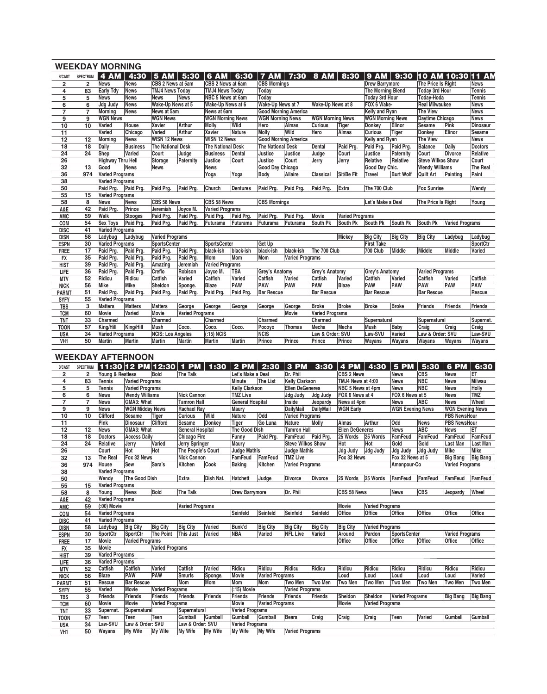|                 |                | <b>WEEKDAY MORNING</b>   |                 |                          |                        |                          |                 |                             |                 |                         |                        |                          |                  |                          |                        |                             |
|-----------------|----------------|--------------------------|-----------------|--------------------------|------------------------|--------------------------|-----------------|-----------------------------|-----------------|-------------------------|------------------------|--------------------------|------------------|--------------------------|------------------------|-----------------------------|
| <b>B'CAST</b>   | SPECTRUM       | <b>4 AM</b>              | 4:30            | <b>5 AM</b>              | 5:30                   | <b>6 AM</b>              | 6:30            |                             |                 | 7 AM   7:30   8 AM      | 8:30                   |                          |                  |                          |                        | 9 AM 9:30 10 AM 10:30 11 AM |
| $\overline{2}$  | $\overline{2}$ | <b>News</b>              | <b>News</b>     | CBS 2 News at 5am        |                        | CBS 2 News at 6am        |                 | <b>CBS Mornings</b>         |                 |                         |                        | <b>Drew Barrymore</b>    |                  | The Price Is Right       |                        | <b>News</b>                 |
| 4               | 83             | <b>Early Tdy</b>         | <b>News</b>     | <b>TMJ4 News Today</b>   |                        | <b>TMJ4 News Today</b>   |                 | Todav                       |                 |                         |                        | <b>The Morning Blend</b> |                  | <b>Today 3rd Hour</b>    |                        | <b>Tennis</b>               |
| 5               | 5              | News                     | <b>News</b>     | <b>News</b>              | <b>News</b>            | NBC 5 News at 6am        |                 | Todav                       |                 |                         |                        | <b>Today 3rd Hour</b>    |                  | Today-Hoda               |                        | <b>Tennis</b>               |
| 6               | 6              | Jdg Judy                 | <b>News</b>     | Wake-Up News at 5        |                        | Wake-Up News at 6        |                 | Wake-Up News at 7           |                 | Wake-Up News at 8       |                        | FOX 6 Wake-              |                  | <b>Real Milwaukee</b>    |                        | <b>News</b>                 |
| $\overline{7}$  | $\overline{7}$ | Morning                  | <b>News</b>     | News at 5am              |                        | News at 6am              |                 | <b>Good Morning America</b> |                 |                         |                        | Kelly and Ryan           |                  | <b>The View</b>          |                        | <b>News</b>                 |
| 9               | 9              | <b>WGN News</b>          |                 | <b>WGN News</b>          |                        | <b>WGN Morning News</b>  |                 | <b>WGN Morning News</b>     |                 | <b>WGN Morning News</b> |                        | <b>WGN Morning News</b>  |                  | Daytime Chicago          |                        | <b>News</b>                 |
| 10              | 10             | Varied                   | House           | Xavier                   | Arthur                 | <b>Molly</b>             | Wild            | Hero                        | Almas           | Curious                 | <b>Tiger</b>           | Donkey                   | Elinor           | Sesame                   | Pink                   | <b>Dinosaur</b>             |
| 11              |                | Varied                   | Chicago         | Varied                   | Arthur                 | Xavier                   | Nature          | Molly                       | Wild            | Hero                    | Almas                  | <b>Curious</b>           | Tiger            | Donkey                   | Elinor                 | Sesame                      |
| 12              | 12             | Morning                  | <b>News</b>     | <b>WISN 12 News</b>      |                        | <b>WISN 12 News</b>      |                 | <b>Good Morning America</b> |                 |                         |                        | Kelly and Ryan           |                  | <b>The View</b>          |                        | <b>News</b>                 |
| 18              | 18             | Daily                    | <b>Business</b> | <b>The National Desk</b> |                        | <b>The National Desk</b> |                 | <b>The National Desk</b>    |                 | Dental                  | Paid Prg.              | Paid Prg.                | Paid Pra.        | <b>Balance</b>           | Daily                  | <b>Doctors</b>              |
| 24              | 24             | Shep                     | Varied          | Court                    | Judge                  | <b>Business</b>          | Dental          | Justice                     | Justice         | Judge                   | Court                  | Justice                  | Paternity        | Court                    | Divorce                | Relative                    |
| 26              |                | <b>Highway Thru Hell</b> |                 | Storage                  | Paternity              | Justice                  | Court           | Justice                     | Court           | Jerry                   | Jerry                  | Relative                 | Relative         | <b>Steve Wilkos Show</b> |                        | Court                       |
| 32              | 13             | Good                     | <b>News</b>     | <b>News</b>              |                        | <b>News</b>              |                 | Good Day Chicago            |                 |                         |                        | Good Day Chic.           |                  | <b>Wendy Williams</b>    |                        | The Real                    |
| 36              | 974            | <b>Varied Programs</b>   |                 |                          |                        | Yoga                     | Yoga            | <b>Body</b>                 | <b>Allaire</b>  | Classical               | Sit/Be Fit             | <b>Travel</b>            | <b>Burt Wolf</b> | Quilt Art                | Painting               | Paint                       |
| 38              |                | <b>Varied Programs</b>   |                 |                          |                        |                          |                 |                             |                 |                         |                        |                          |                  |                          |                        |                             |
| 50              |                | Paid Pra.                | Paid Prg.       | Paid Pra.                | Paid Pra.              | Church                   | <b>Dentures</b> | Paid Pra.                   | Paid Pra.       | Paid Prg.               | Extra                  | The 700 Club             |                  | <b>Fox Sunrise</b>       |                        | Wendy                       |
| 55              | 15             | <b>Varied Programs</b>   |                 |                          |                        |                          |                 |                             |                 |                         |                        |                          |                  |                          |                        |                             |
| 58              | 8              | News                     | <b>News</b>     | CBS 58 News              |                        | CBS 58 News              |                 | <b>CBS Mornings</b>         |                 |                         |                        | Let's Make a Deal        |                  | The Price Is Right       |                        | Young                       |
| A&E             | 42             | Paid Prg.                | Prince          | Jeremiah                 | Joyce M.               | <b>Varied Programs</b>   |                 |                             |                 |                         |                        |                          |                  |                          |                        |                             |
| AMC             | 59             | Walk                     | <b>Stooges</b>  | Paid Pra.                | Paid Prg.              | Paid Prg.                | Paid Prg.       | Paid Prg.                   | Paid Prg.       | Movie                   | <b>Varied Programs</b> |                          |                  |                          |                        |                             |
| COM             | 54             | <b>Sex Toys</b>          | Paid Pra.       | Paid Prg.                | Paid Prg.              | Futurama                 | Futurama        | Futurama                    | Futurama        | South Pk                | South Pk               | South Pk                 | South Pk         | South Pk                 | <b>Varied Programs</b> |                             |
| <b>DISC</b>     | 41             | <b>Varied Programs</b>   |                 |                          |                        |                          |                 |                             |                 |                         |                        |                          |                  |                          |                        |                             |
| <b>DISN</b>     | 58             | Ladybug                  | Ladybug         | <b>Varied Programs</b>   |                        |                          |                 |                             |                 |                         | Mickey                 | <b>Big City</b>          | <b>Big City</b>  | <b>Big City</b>          | Ladybug                | Ladybug                     |
| <b>ESPN</b>     | 30             | <b>Varied Programs</b>   |                 | <b>SportsCenter</b>      |                        | <b>SportsCenter</b>      |                 | Get Up                      |                 |                         |                        | <b>First Take</b>        |                  |                          |                        | SportCtr                    |
| <b>FREE</b>     | 17             | Paid Prg.                | Paid Prg.       | Paid Prg.                | Paid Prg.              | black-ish                | black-ish       | black-ish                   | black-ish       | The 700 Club            |                        | <b>700 Club</b>          | Middle           | Middle                   | Middle                 | Varied                      |
| <b>FX</b>       | 35             | Paid Prg.                | Paid Prg.       | Paid Prg.                | Paid Prg.              | Mom                      | <b>Mom</b>      | Mom                         | Varied Programs |                         |                        |                          |                  |                          |                        |                             |
| <b>HIST</b>     | 39             | Paid Prg.                | Paid Prg.       | Amazing                  | Jeremiah               | <b>Varied Programs</b>   |                 |                             |                 |                         |                        |                          |                  |                          |                        |                             |
| LIFE            | 36             | Paid Prg.                | Paid Prg.       | Creflo                   | Robison                | Joyce M.                 | <b>TBA</b>      | Grey's Anatomy              |                 | Grey's Anatomy          |                        | Grey's Anatomy           |                  | <b>Varied Programs</b>   |                        |                             |
| <b>MTV</b>      | 52             | Ridicu                   | Ridicu          | Catfish                  | Varied                 | Catfish                  | Varied          | Catfish                     | Varied          | Catfish                 | Varied                 | Catfish                  | Varied           | Catfish                  | Varied                 | Catfish                     |
| <b>NICK</b>     | 56             | Mike                     | Mike            | Sheldon                  | Sponge.                | <b>Blaze</b>             | <b>PAW</b>      | <b>PAW</b>                  | <b>PAW</b>      | <b>PAW</b>              | <b>Blaze</b>           | <b>PAW</b>               | PAW              | <b>PAW</b>               | PAW                    | <b>PAW</b>                  |
| <b>PARMT</b>    | 51             | Paid Prg.                | Paid Prg.       | Paid Prg.                | Paid Prg.              | Paid Prg.                | Paid Prg.       | <b>Bar Rescue</b>           |                 | <b>Bar Rescue</b>       |                        | <b>Bar Rescue</b>        |                  | <b>Bar Rescue</b>        |                        | Rescue                      |
| <b>SYFY</b>     | 55             | <b>Varied Programs</b>   |                 |                          |                        |                          |                 |                             |                 |                         |                        |                          |                  |                          |                        |                             |
| <b>TBS</b>      | 3              | Matters                  | <b>Matters</b>  | <b>Matters</b>           | George                 | George                   | George          | George                      | George          | <b>Broke</b>            | <b>Broke</b>           | <b>Broke</b>             | <b>Broke</b>     | Friends                  | Friends                | Friends                     |
| <b>TCM</b>      | 60             | Movie                    | Varied          | Movie                    | <b>Varied Programs</b> |                          |                 |                             | <b>Movie</b>    | <b>Varied Programs</b>  |                        |                          |                  |                          |                        |                             |
| <b>TNT</b>      | 33             | Charmed                  |                 | Charmed                  |                        | Charmed                  |                 | Charmed                     |                 | Charmed                 |                        | Supernatural             |                  | Supernatural             |                        | Supernat.                   |
| <b>TOON</b>     | 57             | King/Hill                | King/Hill       | <b>Mush</b>              | Coco.                  | Coco.                    | Coco.           | Pocoyo                      | <b>Thomas</b>   | Mecha                   | Mecha                  | Mush                     | <b>Baby</b>      | Craig                    | Craig                  | Craig                       |
| <b>USA</b>      | 34             | <b>Varied Programs</b>   |                 | <b>NCIS: Los Angeles</b> |                        | $(15)$ NCIS              |                 | <b>NCIS</b>                 |                 | Law & Order: SVU        |                        | Law-SVU                  | Varied           | Law & Order: SVU         |                        | Law-SVU                     |
| VH <sub>1</sub> | 50             | Martin                   | <b>Martin</b>   | Martin                   | <b>Martin</b>          | Martin                   | <b>Martin</b>   | Prince                      | Prince          | Prince                  | Prince                 | Wayans                   | Wayans           | Wayans                   | Wayans                 | Wayans                      |
|                 |                |                          |                 |                          |                        |                          |                 |                             |                 |                         |                        |                          |                  |                          |                        |                             |

## **WEEKDAY AFTERNOON**

| <b>B'CAST</b>   | SPECTRUM        |                        | 11:30 12 PM 12:30   1 PM   1:30 |                        |                         |                  | $2$ PM                  | 2:30                   |                          | 3 PM   3:30      | <b>4 PM</b>            | 4:30                   | <b>5 PM</b>             | 5:30           | 6 PM                    | 6:30            |
|-----------------|-----------------|------------------------|---------------------------------|------------------------|-------------------------|------------------|-------------------------|------------------------|--------------------------|------------------|------------------------|------------------------|-------------------------|----------------|-------------------------|-----------------|
| $\overline{2}$  | $\overline{2}$  | Young & Restless       |                                 | Bold                   | <b>The Talk</b>         |                  | Let's Make a Deal       |                        | Dr. Phil                 |                  | <b>CBS 2 News</b>      |                        | <b>News</b>             | <b>CBS</b>     | News                    | ET              |
| 4               | 83              | <b>Tennis</b>          | <b>Varied Programs</b>          |                        |                         |                  | <b>Minute</b>           | The List               | <b>Kelly Clarkson</b>    |                  | TMJ4 News at 4:00      |                        | <b>News</b>             | <b>NBC</b>     | News                    | Milwau          |
| 5               | 5               | <b>Tennis</b>          | <b>Varied Programs</b>          |                        |                         |                  | <b>Kelly Clarkson</b>   |                        | <b>Ellen DeGeneres</b>   |                  | NBC 5 News at 4pm      |                        | <b>News</b>             | <b>NBC</b>     | <b>News</b>             | <b>Holly</b>    |
| 6               | $\overline{6}$  | <b>News</b>            | <b>Wendy Williams</b>           |                        | <b>Nick Cannon</b>      |                  | <b>TMZ Live</b>         |                        | <b>Jdg Judy</b>          | Jdg Judy         | FOX 6 News at 4        |                        | FOX 6 News at 5         |                | <b>News</b>             | <b>TMZ</b>      |
| $\overline{7}$  | $\overline{7}$  | <b>News</b>            | GMA3: What                      |                        | <b>Tamron Hall</b>      |                  | <b>General Hospital</b> |                        | Inside                   | Jeopardy         | News at 4pm            |                        | <b>News</b>             | ABC            | <b>News</b>             | Wheel           |
| 9               | 9               | <b>News</b>            | <b>WGN Midday News</b>          |                        | <b>Rachael Ray</b>      |                  | Maury                   |                        | <b>DailyMail</b>         | <b>DailvMail</b> | <b>WGN Early</b>       |                        | <b>WGN Evening News</b> |                | <b>WGN Evening News</b> |                 |
| 10              | 10              | <b>Clifford</b>        | <b>Sesame</b>                   | Tiger                  | <b>Curious</b>          | Wild             | Nature                  | Odd                    | <b>Varied Programs</b>   |                  |                        |                        |                         |                | <b>PBS NewsHour</b>     |                 |
| 11              |                 | Pink                   | <b>Dinosaur</b>                 | Clifford               | <b>Sesame</b>           | Donkey           | Tiger                   | Go Luna                | Nature                   | Molly            | <b>Almas</b>           | Arthur                 | Odd                     | <b>News</b>    | <b>PBS NewsHour</b>     |                 |
| 12              | 12              | <b>News</b>            | GMA3: What                      |                        | <b>General Hospital</b> |                  | The Good Dish           |                        | <b>Tamron Hall</b>       |                  | <b>Ellen DeGeneres</b> |                        | <b>News</b>             | <b>ABC</b>     | News                    | ET              |
| 18              | 18              | <b>Doctors</b>         | <b>Access Daily</b>             |                        | <b>Chicago Fire</b>     |                  | Funny                   | Paid Prg.              | FamFeud                  | Paid Prg.        | 25 Words               | 25 Words               | <b>FamFeud</b>          | FamFeud        | <b>FamFeud</b>          | FamFeud         |
| 24              | 24              | Relative               | Jerry                           | Varied                 | <b>Jerry Springer</b>   |                  | Maury                   |                        | <b>Steve Wilkos Show</b> |                  | Hot                    | Hot                    | Gold                    | Gold           | Last Man                | Last Man        |
| 26              |                 | Court                  | Hot                             | Hot                    | The People's Court      |                  | <b>Judge Mathis</b>     |                        | <b>Judge Mathis</b>      |                  | Jdg Judy               | Jdg Judy               | Jdg Judy                | Jdg Judy       | <b>Mike</b>             | Mike            |
| 32              | 13              | The Real               | Fox 32 News                     |                        | <b>Nick Cannon</b>      |                  | <b>FamFeud</b>          | FamFeud                | <b>TMZ Live</b>          |                  | Fox 32 News            |                        | Fox 32 News at 5        |                | <b>Big Bang</b>         | <b>Big Bang</b> |
| 36              | 974             | House                  | Sew                             | Sara's                 | Kitchen                 | Cook             | <b>Baking</b>           | Kitchen                | <b>Varied Programs</b>   |                  |                        |                        | Amanpour-Co             |                | <b>Varied Programs</b>  |                 |
| 38              |                 | Varied Programs        |                                 |                        |                         |                  |                         |                        |                          |                  |                        |                        |                         |                |                         |                 |
| 50              |                 | Wendy                  | The Good Dish                   |                        | <b>Extra</b>            | <b>Dish Nat.</b> | Hatchett                | Judge                  | <b>Divorce</b>           | <b>Divorce</b>   | 25 Words               | 25 Words               | <b>FamFeud</b>          | FamFeud        | FamFeud                 | FamFeud         |
| 55              | 15              | <b>Varied Programs</b> |                                 |                        |                         |                  |                         |                        |                          |                  |                        |                        |                         |                |                         |                 |
| 58              | 8               | Young                  | <b>News</b>                     | Bold                   | The Talk                |                  | <b>Drew Barrymore</b>   |                        | Dr. Phil                 |                  | CBS 58 News            |                        | <b>News</b>             | <b>CBS</b>     | Jeopardy                | Wheel           |
| A&E             | 42              | <b>Varied Programs</b> |                                 |                        |                         |                  |                         |                        |                          |                  |                        |                        |                         |                |                         |                 |
| AMC             | 59              | (:00) Movie            |                                 |                        | <b>Varied Programs</b>  |                  |                         |                        |                          |                  | Movie                  | <b>Varied Programs</b> |                         |                |                         |                 |
| COM             | 54              | <b>Varied Programs</b> |                                 |                        |                         |                  | Seinfeld                | Seinfeld               | Seinfeld                 | Seinfeld         | Office                 | Office                 | Office                  | <b>Office</b>  | Office                  | Office          |
| <b>DISC</b>     | 41              | <b>Varied Programs</b> |                                 |                        |                         |                  |                         |                        |                          |                  |                        |                        |                         |                |                         |                 |
| <b>DISN</b>     | 58              | Ladybug                | <b>Big City</b>                 | <b>Big City</b>        | <b>Big City</b>         | Varied           | Bunk'd                  | <b>Big City</b>        | <b>Big City</b>          | <b>Big City</b>  | <b>Big City</b>        | <b>Varied Programs</b> |                         |                |                         |                 |
| <b>ESPN</b>     | 30              | SportCtr               | SportCtr                        | The Point              | This Just               | Varied           | <b>NBA</b>              | Varied                 | <b>NFL Live</b>          | Varied           | Around                 | Pardon                 | <b>SportsCenter</b>     |                | <b>Varied Programs</b>  |                 |
| <b>FREE</b>     | 17              | Movie                  | <b>Varied Programs</b>          |                        |                         |                  |                         |                        |                          |                  | Office                 | Office                 | Office                  | Office         | Office                  | <b>Office</b>   |
| <b>FX</b>       | 35              | Movie                  |                                 | <b>Varied Programs</b> |                         |                  |                         |                        |                          |                  |                        |                        |                         |                |                         |                 |
| <b>HIST</b>     | 39              | <b>Varied Programs</b> |                                 |                        |                         |                  |                         |                        |                          |                  |                        |                        |                         |                |                         |                 |
| LIFE            | 36              | Varied Programs        |                                 |                        |                         |                  |                         |                        |                          |                  |                        |                        |                         |                |                         |                 |
| <b>MTV</b>      | 52              | Catfish                | Catfish                         | Varied                 | Catfish                 | Varied           | Ridicu                  | Ridicu                 | Ridicu                   | Ridicu           | Ridicu                 | Ridicu                 | Ridicu                  | Ridicu         | Ridicu                  | Ridicu          |
| <b>NICK</b>     | 56              | <b>Blaze</b>           | PAW                             | PAW                    | <b>Smurfs</b>           | Sponge.          | <b>Movie</b>            | <b>Varied Programs</b> |                          |                  | Loud                   | Loud                   | Loud                    | Loud           | Loud                    | Varied          |
| <b>PARMT</b>    | 51              | Rescue                 | <b>Bar Rescue</b>               |                        | Mom                     | Mom              | Mom                     | Mom                    | <b>Two Men</b>           | Two Men          | <b>Two Men</b>         | <b>Two Men</b>         | <b>Two Men</b>          | <b>Two Men</b> | <b>Two Men</b>          | Two Men         |
| <b>SYFY</b>     | $\overline{55}$ | Varied                 | Movie                           | <b>Varied Programs</b> |                         |                  | $(.15)$ Movie           |                        | <b>Varied Programs</b>   |                  |                        |                        |                         |                |                         |                 |
| <b>TBS</b>      | 3               | <b>Friends</b>         | Friends                         | Friends                | <b>Friends</b>          | Friends          | <b>Friends</b>          | Friends                | Friends                  | Friends          | Sheldon                | Sheldon                | <b>Varied Programs</b>  |                | <b>Big Bang</b>         | <b>Big Bang</b> |
| <b>TCM</b>      | 60              | <b>Movie</b>           | Movie                           | <b>Varied Programs</b> |                         |                  | <b>Movie</b>            | <b>Varied Programs</b> |                          |                  | Movie                  | <b>Varied Programs</b> |                         |                |                         |                 |
| <b>TNT</b>      | 33              | Supernat.              | Supernatural                    |                        | Supernatural            |                  | <b>Varied Programs</b>  |                        |                          |                  |                        |                        |                         |                |                         |                 |
| <b>TOON</b>     | 57              | Teen                   | Teen                            | Teen                   | Gumball                 | Gumball          | Gumball                 | Gumball                | <b>Bears</b>             | Craig            | Craig                  | Craig                  | Teen                    | Varied         | Gumball                 | Gumball         |
| <b>USA</b>      | 34              | Law-SVU                | Law & Order: SVU                |                        | Law & Order: SVU        |                  | Varied Programs         |                        |                          |                  |                        |                        |                         |                |                         |                 |
| VH <sub>1</sub> | 50              | Wayans                 | <b>My Wife</b>                  | My Wife                | My Wife                 | My Wife          | My Wife                 | <b>My Wife</b>         | <b>Varied Programs</b>   |                  |                        |                        |                         |                |                         |                 |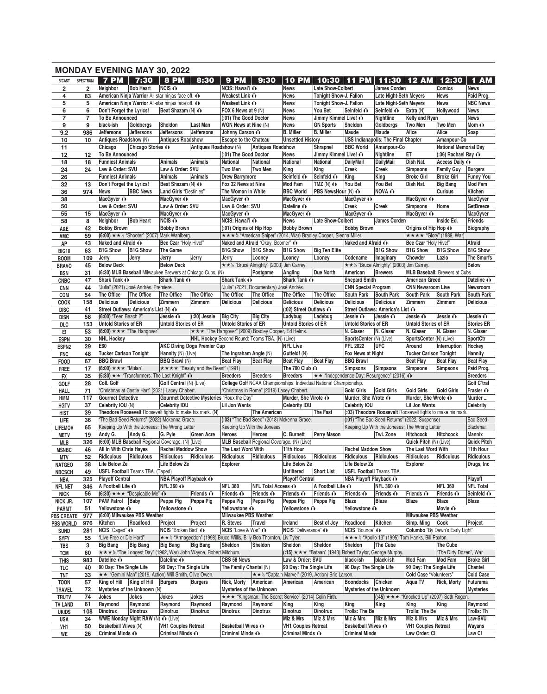|                                       |                         |                                                  | <b>MONDAY EVENING MAY 30, 2022</b>                                                                       |                                         |                                            |                                               |                                                                                                       |                                   |                                                                        |                                          |                                                                |                                          |                                               |                               |
|---------------------------------------|-------------------------|--------------------------------------------------|----------------------------------------------------------------------------------------------------------|-----------------------------------------|--------------------------------------------|-----------------------------------------------|-------------------------------------------------------------------------------------------------------|-----------------------------------|------------------------------------------------------------------------|------------------------------------------|----------------------------------------------------------------|------------------------------------------|-----------------------------------------------|-------------------------------|
| <b>B'CAST</b>                         | <b>SPECTRUM</b>         | 7 PM                                             | 7:30                                                                                                     | 8 PM                                    | 8:30                                       | <b>9 PM</b>                                   | 9:30                                                                                                  | <b>10 PM</b>                      | 10:30                                                                  | <b>PM</b><br>11                          | 11:30                                                          | 12 AM                                    | 12:30                                         | <b>1 AM</b>                   |
| $\overline{\mathbf{2}}$               | $\overline{\mathbf{2}}$ | Neighbor                                         | <b>Bob Heart</b>                                                                                         | $NCIS$ $\odot$                          |                                            | NCIS: Hawai'i ∩                               |                                                                                                       | <b>News</b>                       | <b>Late Show-Colbert</b>                                               |                                          | James Corden                                                   |                                          | Comics                                        | <b>News</b>                   |
| 4<br>5                                | 83<br>5                 |                                                  | American Ninja Warrior All-star ninjas face off. O<br>American Ninja Warrior All-star ninjas face off. O |                                         |                                            | Weakest Link O<br>Weakest Link O              |                                                                                                       | <b>News</b><br><b>News</b>        | Tonight Show-J. Fallon<br>Tonight Show-J. Fallon                       |                                          | <b>Late Night-Seth Meyers</b><br><b>Late Night-Seth Meyers</b> |                                          | <b>News</b><br><b>News</b>                    | Paid Prog.<br><b>NBC News</b> |
| 6                                     | 6                       | Don't Forget the Lyrics!                         |                                                                                                          | Beat Shazam (N) O                       |                                            | FOX 6 News at 9 (N)                           |                                                                                                       | <b>News</b>                       | You Bet                                                                | Seinfeld O                               | Seinfeld O                                                     | Extra (N)                                | Hollywood                                     | <b>News</b>                   |
| $\overline{7}$                        | $\overline{7}$          | <b>To Be Announced</b>                           |                                                                                                          |                                         |                                            | (:01) The Good Doctor                         |                                                                                                       | <b>News</b>                       | Jimmy Kimmel Live! O                                                   |                                          | Nightline                                                      | Kelly and Ryan                           |                                               | <b>News</b>                   |
| 9                                     | 9                       | black-ish                                        | Goldbergs                                                                                                | Sheldon                                 | Last Man                                   | WGN News at Nine (N)                          |                                                                                                       | <b>News</b>                       | <b>GN Sports</b>                                                       | Sheldon                                  | Goldbergs                                                      | Two Men                                  | <b>Two Men</b>                                | Mom $\mathbf{\odot}$          |
| 9.2                                   | 986                     | <b>Jeffersons</b>                                | <b>Jeffersons</b>                                                                                        | Jeffersons                              | <b>Jeffersons</b>                          | Johnny Carson O                               |                                                                                                       | <b>B.</b> Miller                  | <b>B.</b> Miller                                                       | Maude                                    | Maude                                                          | Alice                                    | Alice                                         | Soap                          |
| 10                                    | 10                      | Antiques Roadshow (N)                            |                                                                                                          | <b>Antiques Roadshow</b>                |                                            | Escape to the Chateau                         |                                                                                                       | <b>Unsettled History</b>          |                                                                        |                                          | <b>USS Indianapolis: The Final Chapter</b>                     |                                          | Amanpour-Co                                   |                               |
| 11                                    |                         | Chicago<br><b>To Be Announced</b>                | Chicago Stories ∩                                                                                        |                                         | Antiques Roadshow (N)                      | (:01) The Good Doctor                         | <b>Antiques Roadshow</b>                                                                              | <b>News</b>                       | Shrapnel<br>Jimmy Kimmel Live! O                                       | <b>BBC World</b>                         | Amanpour-Co<br>Nightline                                       | ET                                       | <b>National Memorial Day</b>                  |                               |
| 12<br>18                              | 12<br>18                | <b>Funniest Animals</b>                          |                                                                                                          | Animals                                 | Animals                                    | National                                      | <b>National</b>                                                                                       | National                          | National                                                               | <b>DailyMail</b>                         | <b>DailyMail</b>                                               | Dish Nat.                                | $(.36)$ Rachael Ray $\odot$<br>Access Daily O |                               |
| 24                                    | 24                      | Law & Order: SVU                                 |                                                                                                          | Law & Order: SVU                        |                                            | Two Men                                       | <b>Two Men</b>                                                                                        | King                              | King                                                                   | Creek                                    | Creek                                                          | Simpsons                                 | <b>Family Guy</b>                             | <b>Burgers</b>                |
| 26                                    |                         | <b>Funniest Animals</b>                          |                                                                                                          | Animals                                 | Animals                                    | <b>Drew Barrymore</b>                         |                                                                                                       | Seinfeld O                        | Seinfeld O                                                             | King                                     | King                                                           | <b>Broke Girl</b>                        | <b>Broke Girl</b>                             | <b>Funny You</b>              |
| 32                                    | 13                      | Don't Forget the Lyrics!                         |                                                                                                          | Beat Shazam (N) O                       |                                            | Fox 32 News at Nine                           |                                                                                                       | <b>Mod Fam</b>                    | TMZ $(N)$ $\odot$                                                      | You Bet                                  | You Bet                                                        | Dish Nat.                                | <b>Big Bang</b>                               | Mod Fam                       |
| 36                                    | 974                     | News                                             | <b>BBC News</b>                                                                                          | Land Girls "Destinies"                  |                                            | The Woman in White                            |                                                                                                       | <b>BBC World</b>                  | <b>PBS NewsHour (N) O</b>                                              |                                          | NOVA O                                                         |                                          | <b>Curious</b>                                | Kitchen                       |
| 38                                    |                         | MacGyver O                                       |                                                                                                          | MacGyver O                              |                                            | MacGyver ∩                                    |                                                                                                       | MacGyver O                        |                                                                        | MacGyver O                               |                                                                | MacGyver O                               |                                               | <b>MacGyver</b>               |
| 50                                    |                         | Law & Order: SVU<br>MacGyver O                   |                                                                                                          | Law & Order: SVU<br>MacGyver O          |                                            | Law & Order: SVU<br>MacGyver O                |                                                                                                       | Dateline O<br>MacGyver O          |                                                                        | Creek<br>MacGyver O                      | Creek                                                          | <b>Simpsons</b><br>MacGyver O            | Home                                          | GetBreeze<br><b>MacGyver</b>  |
| 55<br>58                              | 15<br>8                 | Neighbor                                         | <b>Bob Heart</b>                                                                                         | $NCIS$ $\odot$                          |                                            | NCIS: Hawai'i ∩                               |                                                                                                       | <b>News</b>                       | <b>Late Show-Colbert</b>                                               |                                          | <b>James Corden</b>                                            |                                          | Inside Ed.                                    | <b>Friends</b>                |
| A&E                                   | 42                      | <b>Bobby Brown</b>                               |                                                                                                          | <b>Bobby Brown</b>                      |                                            | (:01) Origins of Hip Hop                      |                                                                                                       | <b>Bobby Brown</b>                |                                                                        | <b>Bobby Brown</b>                       |                                                                | Origins of Hip Hop O                     |                                               | Biography                     |
| AMC                                   | 59                      |                                                  | $(6:00) \star \star \cdot$ "Shooter" (2007) Mark Wahlberg.                                               |                                         |                                            |                                               |                                                                                                       |                                   | ★ ★ ★ ½ "American Sniper" (2014, War) Bradley Cooper, Sienna Miller.   |                                          |                                                                | <b>★★★★ "Glory" (1989, War)</b>          |                                               |                               |
| АP                                    | 43                      | Naked and Afraid ∩                               |                                                                                                          | Bee Czar "Holy Hive!"                   |                                            |                                               | Naked and Afraid "Okay, Boomer" ∩                                                                     |                                   |                                                                        | Naked and Afraid O                       |                                                                | Bee Czar "Holy Hive!"                    |                                               | Afraid                        |
| <b>BIG10</b>                          | 63                      | <b>B1G Show</b>                                  | <b>B1G Show</b>                                                                                          | The Game                                |                                            | <b>B1G Show</b>                               | <b>B1G Show</b>                                                                                       | <b>B1G Show</b>                   | Big Ten Elite                                                          |                                          | <b>B1G Show</b>                                                | <b>B1G Show</b>                          | <b>B1G Show</b>                               | <b>B1G Show</b>               |
| <b>BOOM</b>                           | 109                     | Jerry                                            | Jerry                                                                                                    | Jerry                                   | Jerry                                      | Jerry                                         | Looney                                                                                                | Looney                            | Looney                                                                 | Codename                                 | Imaginary                                                      | Chowder                                  | Lazlo                                         | The Smurfs                    |
| <b>BRAVO</b>                          | 45                      | <b>Below Deck</b>                                |                                                                                                          | <b>Below Deck</b>                       |                                            |                                               | ★ ★ ½ "Bruce Almighty" (2003) Jim Carrey.                                                             |                                   |                                                                        |                                          | ★★½ "Bruce Almighty" (2003) Jim Carrey.                        |                                          |                                               | <b>Below</b>                  |
| <b>BSN</b>                            | 31<br>47                | Shark Tank O                                     | (6:30) MLB Baseball Milwaukee Brewers at Chicago Cubs. (N)                                               | Shark Tank O                            |                                            | Shark Tank O                                  | Postgame                                                                                              | Angling<br><b>Shark Tank ∩</b>    | <b>Due North</b>                                                       | American<br><b>Shepard Smith</b>         | <b>Brewers</b>                                                 | <b>American Greed</b>                    | <b>MLB Baseball: Brewers at Cubs</b>          | Dateline O                    |
| <b>CNBC</b><br><b>CNN</b>             | 44                      |                                                  | "Julia" (2021) José Andrés. Premiere.                                                                    |                                         |                                            |                                               | "Julia" (2021, Documentary) José Andrés.                                                              |                                   |                                                                        | <b>CNN Special Program</b>               |                                                                | <b>CNN Newsroom Live</b>                 |                                               | Newsroom                      |
| COM                                   | 54                      | The Office                                       | The Office                                                                                               | The Office                              | <b>The Office</b>                          | The Office                                    | The Office                                                                                            | The Office                        | The Office                                                             | South Park                               | <b>South Park</b>                                              | South Park                               | <b>South Park</b>                             | <b>South Park</b>             |
| COOK                                  | 158                     | <b>Delicious</b>                                 | <b>Delicious</b>                                                                                         | Zimmern                                 | Zimmern                                    | <b>Delicious</b>                              | <b>Delicious</b>                                                                                      | <b>Delicious</b>                  | <b>Delicious</b>                                                       | <b>Delicious</b>                         | <b>Delicious</b>                                               | Zimmern                                  | Zimmern                                       | <b>Delicious</b>              |
| <b>DISC</b>                           | 41                      |                                                  | Street Outlaws: America's List (N) O                                                                     |                                         |                                            |                                               |                                                                                                       | (:02) Street Outlaws ∩            |                                                                        |                                          | Street Outlaws: America's List O                               |                                          |                                               |                               |
| disn                                  | 58                      | (6:00) "Teen Beach 2"                            |                                                                                                          | Jessie O                                | (:20) Jessie                               | <b>Big City</b>                               | <b>Big City</b>                                                                                       | Ladybug                           | Ladybug                                                                | Jessie O                                 | Jessie O                                                       | Jessie O                                 | Jessie O                                      | Jessie O                      |
| DLC                                   | 153                     | <b>Untold Stories of ER</b>                      |                                                                                                          | <b>Untold Stories of ER</b>             |                                            | <b>Untold Stories of ER</b>                   |                                                                                                       | <b>Untold Stories of ER</b>       |                                                                        | <b>Untold Stories of ER</b>              |                                                                | <b>Untold Stories of ER</b>              |                                               | <b>Stories ER</b>             |
| E.                                    | 53<br>30                | <b>NHL Hockey</b>                                | $(6:00)$ * * * The Hangover"                                                                             |                                         |                                            |                                               | ★★★ "The Hangover" (2009) Bradley Cooper, Ed Helms.<br>NHL Hockey Second Round: Teams TBA. (N) (Live) |                                   |                                                                        | N. Glaser<br>SportsCenter (N) (Live)     | N. Glaser                                                      | N. Glaser<br>SportsCenter (N) (Live)     | N. Glaser                                     | N. Glaser<br>SportCtr         |
| <b>ESPN</b><br>ESPN <sub>2</sub>      | 29                      | E60                                              |                                                                                                          |                                         | <b>AKC Diving Dogs Premier Cup</b>         |                                               |                                                                                                       | <b>NFL Live</b>                   |                                                                        | <b>PFL 2022</b>                          | <b>UFC</b>                                                     | Around                                   | Interruption                                  | Hockey                        |
| <b>FNC</b>                            | 48                      | <b>Tucker Carlson Tonight</b>                    |                                                                                                          | Hannity (N) (Live)                      |                                            | The Ingraham Angle (N)                        |                                                                                                       | Gutfeld! (N)                      |                                                                        | Fox News at Night                        |                                                                | <b>Tucker Carlson Tonight</b>            |                                               | <b>Hannity</b>                |
| <b>FOOD</b>                           | 67                      | <b>BBQ Brawl</b>                                 |                                                                                                          | <b>BBQ Brawl (N)</b>                    |                                            | <b>Beat Flay</b>                              | <b>Beat Flay</b>                                                                                      | <b>Beat Flay</b>                  | <b>Beat Flay</b>                                                       | <b>BBQ Brawl</b>                         |                                                                | <b>Beat Flay</b>                         | <b>Beat Flay</b>                              | <b>Beat Flay</b>              |
| <b>FREE</b>                           | 17                      | $(6:00)$ * * * "Mulan"                           |                                                                                                          |                                         | ★★★★ "Beauty and the Beast" (1991)         |                                               |                                                                                                       | The 700 Club $\odot$              |                                                                        | <b>Simpsons</b>                          | Simpsons                                                       | <b>Simpsons</b>                          | <b>Simpsons</b>                               | Paid Prog.                    |
| FX                                    | 35                      |                                                  | (5:30) $\star \star$ "Transformers: The Last Knight" $\odot$                                             |                                         |                                            | <b>Breeders</b>                               | <b>Breeders</b>                                                                                       | <b>Breeders</b>                   | ★★ "Independence Day: Resurgence" (2016) ^                             |                                          |                                                                |                                          |                                               | <b>Breeders</b>               |
| GOLF                                  | 28                      | Coll. Golf                                       |                                                                                                          | Golf Central (N) (Live)                 |                                            |                                               |                                                                                                       |                                   | College Golf NCAA Championships: Individual National Championship.     |                                          |                                                                |                                          |                                               | Golf C'tral                   |
| <b>HALL</b>                           | 71<br>117               | <b>Gourmet Detective</b>                         | "Christmas at Castle Hart" (2021) Lacey Chabert.                                                         |                                         | Gourmet Detective Mysteries "Roux the Day" |                                               | "Christmas in Rome" (2019) Lacey Chabert.                                                             | Murder, She Wrote O               |                                                                        | <b>Gold Girls</b><br>Murder, She Wrote ∩ | Gold Girls                                                     | <b>Gold Girls</b><br>Murder, She Wrote ∩ | <b>Gold Girls</b>                             | Frasier O<br>Murder           |
| HMM<br>HGTV                           | 37                      | Celebrity IOU (N)                                |                                                                                                          | Celebrity IOU                           |                                            | Lil Jon Wants                                 |                                                                                                       | <b>Celebrity IOU</b>              |                                                                        | Celebrity IOU                            |                                                                | <b>Lil Jon Wants</b>                     |                                               | Celebrity                     |
| HIST                                  | 39                      |                                                  | Theodore Roosevelt Roosevelt fights to make his mark. (N)                                                |                                         |                                            |                                               | The American                                                                                          |                                   | The Fast                                                               |                                          | (:03) Theodore Roosevelt Roosevelt fights to make his mark.    |                                          |                                               |                               |
| LIFE                                  | 36                      |                                                  | "The Bad Seed Returns" (2022) Mckenna Grace.                                                             |                                         |                                            |                                               | (:03) "The Bad Seed" (2018) Mckenna Grace.                                                            |                                   |                                                                        |                                          | (:01) "The Bad Seed Returns" (2022, Suspense)                  |                                          |                                               | <b>Bad Seed</b>               |
| <b>LIFEMOV</b>                        | 65                      |                                                  | Keeping Up With the Joneses: The Wrong Letter                                                            |                                         |                                            |                                               | Keeping Up With the Joneses                                                                           |                                   |                                                                        |                                          | Keeping Up With the Joneses: The Wrong Letter                  |                                          |                                               | Blackmail                     |
| <b>METV</b>                           | 19                      |                                                  | Andy G. Andy G. G. Pyle Green Acre Heroes Heroes                                                         |                                         |                                            |                                               |                                                                                                       | C. Burnett   Perry Mason          |                                                                        |                                          | Twi. Zone Hitchcock Hitchcock                                  |                                          |                                               | Mannix                        |
| MLB                                   | 326                     |                                                  | (6:00) MLB Baseball Regional Coverage. (N) (Live)                                                        |                                         |                                            |                                               | MLB Baseball Regional Coverage. (N) (Live)                                                            |                                   |                                                                        |                                          |                                                                | Quick Pitch (N) (Live)                   |                                               | <b>Quick Pitch</b>            |
| <b>MSNBC</b>                          | 46<br>52                | All In With Chris Hayes<br>Ridiculous Ridiculous |                                                                                                          | <b>Rachel Maddow Show</b><br>Ridiculous | Ridiculous                                 | The Last Word With<br>Ridiculous              | Ridiculous                                                                                            | 11th Hour<br>Ridiculous           | Ridiculous                                                             | <b>Rachel Maddow Show</b><br>Ridiculous  | Ridiculous                                                     | The Last Word With<br>Ridiculous         | Ridiculous                                    | 11th Hour<br>Ridiculous       |
| MTV<br><b>NATGEO</b>                  | 38                      | Life Below Ze                                    |                                                                                                          | Life Below Ze                           |                                            | <b>Explorer</b>                               |                                                                                                       | Life Below Ze                     |                                                                        | Life Below Ze                            |                                                                | <b>Explorer</b>                          |                                               | Drugs, Inc                    |
| <b>NBCSCH</b>                         | 49                      |                                                  | <b>USFL Football Teams TBA. (Taped)</b>                                                                  |                                         |                                            |                                               |                                                                                                       | Unfiltered                        | <b>Short List</b>                                                      | <b>USFL Football Teams TBA.</b>          |                                                                |                                          |                                               |                               |
| NBA                                   | 325                     | <b>Playoff Central</b>                           |                                                                                                          | <b>NBA Playoff Playback O</b>           |                                            |                                               |                                                                                                       | <b>Playoff Central</b>            |                                                                        | NBA Playoff Playback $\odot$             |                                                                |                                          |                                               | Playoff                       |
| <b>NFL NET</b>                        | 346                     | A Football Life O                                |                                                                                                          | <b>NFL 360 O</b>                        |                                            | <b>NFL 360</b>                                | <b>NFL Total Access 心</b>                                                                             |                                   | A Football Life O                                                      |                                          | <b>NFL 360 O</b>                                               |                                          | <b>NFL 360</b>                                | <b>NFL Total</b>              |
| NICK                                  | 56                      |                                                  | (6:30) $\star \star \star$ "Despicable Me" ∩                                                             |                                         | Friends O                                  | Friends $\mathbf{\odot}$                      | Friends O                                                                                             | Friends $\odot$                   | Friends $\hat{\mathbf{O}}$                                             | Friends O                                | Friends $\odot$                                                | Friends O                                | Friends $\odot$                               | Seinfeld O                    |
| NICK JR.                              | 107                     | PAW Patrol Baby                                  |                                                                                                          | Peppa Pig                               | Peppa Pig                                  | Peppa Pig                                     | Peppa Pig                                                                                             | Peppa Pig                         | Peppa Pig                                                              | Blaze                                    | Blaze                                                          | Blaze                                    | <b>Blaze</b>                                  | Blaze                         |
| <b>PARMT</b>                          | 51                      | Yellowstone O                                    | (6:00) Milwaukee PBS Weather                                                                             | Yellowstone O                           |                                            | Yellowstone O<br><b>Milwaukee PBS Weather</b> |                                                                                                       | Yellowstone O                     |                                                                        | Yellowstone O                            |                                                                | <b>Milwaukee PBS Weather</b>             | Movie $\mathbf{\Omega}$                       |                               |
| <b>PBS CREATE</b><br><b>PBS WORLD</b> | 977<br>976              | Kitchen                                          | Roadfood                                                                                                 | Project                                 | Project                                    | R. Steves                                     | Travel                                                                                                | Ireland                           | Best of Joy                                                            | Roadfood                                 | Kitchen                                                        | Simp. Ming Cook                          |                                               | Project                       |
| <b>SUND</b>                           | 281                     | <b>NCIS</b> "Caged" <b>O</b>                     |                                                                                                          | <b>NCIS</b> "Broken Bird" O             |                                            | NCIS "Love & War" ∩                           |                                                                                                       | <b>NCIS</b> "Deliverance" $\odot$ |                                                                        | NCIS "Bounce" ∩                          |                                                                |                                          | Columbo "By Dawn's Early Light"               |                               |
| <b>SYFY</b>                           | 55                      | "Live Free or Die Hard"                          |                                                                                                          |                                         |                                            |                                               | <b>★★ ½ "Armageddon" (1998) Bruce Willis, Billy Bob Thornton, Liv Tyler.</b>                          |                                   |                                                                        |                                          | ★★★½ "Apollo 13" (1995) Tom Hanks, Bill Paxton.                |                                          |                                               |                               |
| TBS                                   | 3                       | Big Bang                                         | <b>Big Bang</b>                                                                                          | Big Bang                                | <b>Big Bang</b>                            | Sheldon                                       | Sheldon                                                                                               | Sheldon                           | Sheldon                                                                | Sheldon                                  | <b>The Cube</b>                                                |                                          | The Cube                                      |                               |
| <b>TCM</b>                            | 60                      |                                                  | ★★★½ "The Longest Day" (1962, War) John Wayne, Robert Mitchum.                                           |                                         |                                            |                                               |                                                                                                       |                                   | $(15) \star \star \star$ "Bataan" (1943) Robert Taylor, George Murphy. |                                          |                                                                |                                          | "The Dirty Dozen", War                        |                               |
| THIS                                  | 983                     | Dateline O                                       |                                                                                                          | Dateline O                              |                                            | CBS 58 News                                   |                                                                                                       | Law & Order: SVU                  |                                                                        | black-ish                                | black-ish                                                      | Mod Fam                                  | <b>Mod Fam</b>                                | <b>Broke Girl</b>             |
| TLC                                   | 40                      | 90 Day: The Single Life                          |                                                                                                          | 90 Day: The Single Life                 |                                            | The Family Chantel (N)                        |                                                                                                       | 90 Day: The Single Life           |                                                                        | 90 Day: The Single Life                  |                                                                | 90 Day: The Single Life                  |                                               | Chantel                       |
| TNT                                   | 33                      | King of Hill King of Hill                        | ★★ "Gemini Man" (2019, Action) Will Smith, Clive Owen.                                                   | Burgers                                 | <b>Burgers</b>                             | Rick, Morty American                          |                                                                                                       | American                          | ★★½ "Captain Marvel" (2019, Action) Brie Larson.<br>American           | Boondocks Chicken                        |                                                                | <b>Cold Case "Volunteers"</b><br>Aqua TV | <b>Rick, Morty</b>                            | <b>Cold Case</b><br>Futurama  |
| <b>TOON</b><br><b>TRAVEL</b>          | 57<br>72                |                                                  | Mysteries of the Unknown (N)                                                                             |                                         |                                            | <b>Mysteries of the Unknown</b>               |                                                                                                       |                                   |                                                                        | Mysteries of the Unknown                 |                                                                |                                          |                                               | <b>Mysteries</b>              |
| <b>TRUTV</b>                          | 74                      | Jokes                                            | Jokes                                                                                                    | Jokes                                   | Jokes                                      |                                               | ★★★ "Kingsman: The Secret Service" (2014) Colin Firth.                                                |                                   |                                                                        |                                          | $(2007)$ $\star \star \star$ "Knocked Up" (2007) Seth Rogen.   |                                          |                                               |                               |
| <b>TV LAND</b>                        | 61                      | Raymond                                          | Raymond                                                                                                  | Raymond                                 | Raymond                                    | Raymond                                       | Raymond                                                                                               | King                              | King                                                                   | King                                     | King                                                           | King                                     | King                                          | Raymond                       |
| <b>UKIDS</b>                          | 108                     | Dinotrux                                         | <b>Dinotrux</b>                                                                                          | <b>Dinotrux</b>                         | <b>Dinotrux</b>                            | <b>Dinotrux</b>                               | <b>Dinotrux</b>                                                                                       | Dinotrux                          | Dinotrux                                                               | Trolls: The Be                           |                                                                | <b>Trolls: The Be</b>                    |                                               | Trolls: Th                    |
| USA                                   | 34                      |                                                  | WWE Monday Night RAW (N) $\bigcirc$ (Live)                                                               |                                         |                                            |                                               |                                                                                                       | Miz & Mrs                         | Miz & Mrs                                                              | Miz & Mrs                                | Miz & Mrs                                                      | Miz & Mrs                                | Miz & Mrs                                     | Law-SVU                       |
| VH1                                   | 50                      | <b>Basketball Wives (N)</b>                      |                                                                                                          | <b>VH1 Couples Retreat</b>              |                                            | Basketball Wives O                            |                                                                                                       | <b>VH1 Couples Retreat</b>        |                                                                        | Basketball Wives O                       |                                                                | <b>VH1 Couples Retreat</b>               |                                               | Wayans                        |
| WE                                    | 26                      | Criminal Minds O                                 |                                                                                                          | Criminal Minds O                        |                                            | Criminal Minds O                              |                                                                                                       | Criminal Minds O                  |                                                                        | <b>Criminal Minds</b>                    |                                                                | Law Order: CI                            |                                               | Law CI                        |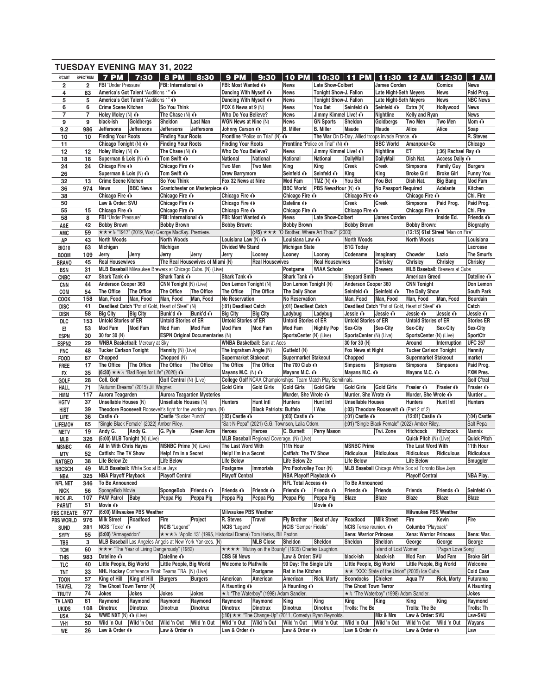|                                |                     | <b>TUESDAY EVENING MAY 31, 2022</b>                             |                                                                            |                                                                                    |                                                                |                                   |                                                      |                               |                                               |                                      |                            |
|--------------------------------|---------------------|-----------------------------------------------------------------|----------------------------------------------------------------------------|------------------------------------------------------------------------------------|----------------------------------------------------------------|-----------------------------------|------------------------------------------------------|-------------------------------|-----------------------------------------------|--------------------------------------|----------------------------|
| <b>B'CAST</b>                  | <b>SPECTRUM</b>     | <b>7 PM</b><br>7:30                                             | <b>8 PM</b><br>8:30                                                        | <b>9 PM</b><br>9:30                                                                | <b>10 PM</b>                                                   | 10:30                             | <b>PM</b><br>11                                      | 11:30                         | $\mathbf{12}$ AM                              | 12:30                                | <b>AM</b><br>1             |
| $\overline{\mathbf{2}}$        | $\overline{2}$      | FBI "Under Pressure"                                            | FBI: International O                                                       | FBI: Most Wanted ∩                                                                 | <b>News</b>                                                    | <b>Late Show-Colbert</b>          |                                                      | <b>James Corden</b>           |                                               | Comics                               | <b>News</b>                |
| 4                              | 83                  | America's Got Talent "Auditions 1" O                            |                                                                            | Dancing With Myself ∩                                                              | <b>News</b>                                                    | Tonight Show-J. Fallon            |                                                      | <b>Late Night-Seth Meyers</b> |                                               | <b>News</b>                          | Paid Prog.                 |
| 5                              | 5                   | America's Got Talent "Auditions 1" O                            |                                                                            | Dancing With Myself ∩                                                              | <b>News</b>                                                    | Tonight Show-J. Fallon            |                                                      | <b>Late Night-Seth Meyers</b> |                                               | <b>News</b>                          | <b>NBC News</b>            |
| 6<br>$\overline{7}$            | 6<br>$\overline{7}$ | <b>Crime Scene Kitchen</b><br>Holey Moley $(N)$ $\odot$         | So You Think<br>The Chase $(N)$ $\odot$                                    | FOX 6 News at 9 (N)<br>Who Do You Believe?                                         | <b>News</b><br><b>News</b>                                     | You Bet<br>Jimmy Kimmel Live! O   | Seinfeld O                                           | Seinfeld O<br>Nightline       | Extra (N)<br>Kelly and Ryan                   | Hollywood                            | <b>News</b><br><b>News</b> |
| 9                              | 9                   | black-ish<br>Goldbergs                                          | Sheldon<br>Last Man                                                        | WGN News at Nine (N)                                                               | <b>News</b>                                                    | <b>GN Sports</b>                  | Sheldon                                              | Goldbergs                     | <b>Two Men</b>                                | <b>Two Men</b>                       | Mom $\mathbf{\odot}$       |
| 9.2                            | 986                 | Jeffersons<br><b>Jeffersons</b>                                 | <b>Jeffersons</b><br>Jeffersons                                            | Johnny Carson O                                                                    | <b>B.</b> Miller                                               | <b>B.</b> Miller                  | Maude                                                | Maude                         | Alice                                         | Alice                                | Soap                       |
| 10                             | 10                  | <b>Finding Your Roots</b>                                       | <b>Finding Your Roots</b>                                                  | Frontline "Police on Trial" (N) $\odot$                                            |                                                                |                                   | The War On D-Day, Allied troops invade France. O     |                               |                                               |                                      | R. Steves                  |
| 11                             |                     | Chicago Tonight (N) ∩                                           | <b>Finding Your Roots</b>                                                  | <b>Finding Your Roots</b>                                                          |                                                                | Frontline "Police on Trial" (N) O |                                                      | <b>BBC World</b>              | Amanpour-Co                                   |                                      | Chicago                    |
| 12                             | 12                  | Holey Moley $(N)$ $\odot$                                       | The Chase $(N)$ $\odot$                                                    | Who Do You Believe?                                                                | <b>News</b>                                                    | Jimmy Kimmel Live! O              |                                                      | Nightline                     | ET                                            | $(.36)$ Rachael Ray $\odot$          |                            |
| 18                             | 18                  | Superman & Lois (N) ∩                                           | Tom Swift ∩                                                                | National<br>National                                                               | <b>National</b>                                                | National                          | DailyMail                                            | DailyMail                     | Dish Nat.                                     | Access Daily O                       |                            |
| 24                             | 24                  | Chicago Fire O                                                  | Chicago Fire O                                                             | Two Men<br>Two Men                                                                 | King                                                           | King                              | <b>Creek</b>                                         | Creek                         | <b>Simpsons</b>                               | <b>Family Guy</b>                    | <b>Burgers</b>             |
| 26                             |                     | Superman & Lois (N) ∩                                           | Tom Swift $\mathbf{\odot}$                                                 | <b>Drew Barrymore</b>                                                              | Seinfeld O                                                     | Seinfeld O                        | King                                                 | King                          | <b>Broke Girl</b>                             | <b>Broke Girl</b>                    | <b>Funny You</b>           |
| 32                             | 13                  | <b>Crime Scene Kitchen</b>                                      | So You Think                                                               | Fox 32 News at Nine                                                                | Mod Fam                                                        | $TMZ(N)$ $\odot$                  | You Bet                                              | You Bet                       | Dish Nat.                                     | <b>Big Bang</b>                      | Mod Fam                    |
| 36<br>38                       | 974                 | <b>News</b><br><b>BBC News</b><br>Chicago Fire O                | Grantchester on Masterpiece O<br>Chicago Fire O                            | Chicago Fire O                                                                     | <b>BBC World</b><br>Chicago Fire O                             | PBS NewsHour (N) O                | Chicago Fire O                                       | No Passport Required          | Chicago Fire O                                | Adelante                             | Kitchen<br>Chi. Fire       |
| 50                             |                     | Law & Order: SVU                                                | Chicago Fire ∩                                                             | Chicago Fire O                                                                     | Dateline O                                                     |                                   | <b>Creek</b>                                         | <b>Creek</b>                  | <b>Simpsons</b>                               | Paid Prog.                           | Paid Prog.                 |
| 55                             | 15                  | Chicago Fire O                                                  | Chicago Fire O                                                             | Chicago Fire O                                                                     | Chicago Fire O                                                 |                                   | Chicago Fire O                                       |                               | Chicago Fire O                                |                                      | Chi. Fire                  |
| 58                             | 8                   | FBI "Under Pressure"                                            | FBI: International O                                                       | FBI: Most Wanted ∩                                                                 | <b>News</b>                                                    | <b>Late Show-Colbert</b>          |                                                      | James Corden                  |                                               | Inside Ed.                           | Friends $\hat{\mathbf{O}}$ |
| A&E                            | 42                  | <b>Bobby Brown</b>                                              | <b>Bobby Brown</b>                                                         | <b>Bobby Brown:</b>                                                                | <b>Bobby Brown</b>                                             |                                   | <b>Bobby Brown</b>                                   |                               | <b>Bobby Brown:</b>                           |                                      | Biography                  |
| AMC                            | 59                  |                                                                 | * * * ½ "1917" (2019, War) George MacKay. Premiere.                        |                                                                                    | $(2000)$ $\star\star\star$ "O Brother, Where Art Thou?" (2000) |                                   |                                                      |                               |                                               | (12:15) 61st Street "Man on Fire"    |                            |
| AP                             | 43                  | North Woods                                                     | North Woods                                                                | Louisiana Law $(N)$ $\odot$                                                        | Louisiana Law O                                                |                                   | <b>North Woods</b>                                   |                               | <b>North Woods</b>                            |                                      | Louisiana                  |
| <b>BIG10</b>                   | 63                  | Michigan                                                        | Michigan                                                                   | <b>Divided We Stand</b>                                                            | <b>Michigan State</b>                                          |                                   | <b>B1G Today</b>                                     |                               |                                               |                                      | Lacrosse                   |
| <b>BOOM</b>                    | 109                 | Jerry<br>Jerry                                                  | Jerry<br>Jerry                                                             | Jerry<br>Looney                                                                    | Looney                                                         | Looney                            | Codename                                             | Imaginary                     | Chowder                                       | Lazlo                                | The Smurfs                 |
| <b>BRAVO</b>                   | 45                  | <b>Real Housewives</b>                                          | The Real Housewives of Miami (N)                                           | <b>Real Housewives</b>                                                             |                                                                | <b>Real Housewives</b>            |                                                      | Chrisley                      | Chrisley                                      | Chrisley                             | Chrisley                   |
| <b>BSN</b>                     | 31                  |                                                                 | MLB Baseball Milwaukee Brewers at Chicago Cubs. (N) (Live)<br>Shark Tank O |                                                                                    | Postgame                                                       | <b>WIAA Scholar</b>               | <b>Shepard Smith</b>                                 | <b>Brewers</b>                |                                               | <b>MLB Baseball: Brewers at Cubs</b> |                            |
| <b>CNBC</b>                    | 47<br>44            | Shark Tank O<br>Anderson Cooper 360                             | CNN Tonight (N) (Live)                                                     | Shark Tank O<br>Don Lemon Tonight (N)                                              | Shark Tank O<br>Don Lemon Tonight (N)                          |                                   | Anderson Cooper 360                                  |                               | <b>American Greed</b><br><b>CNN Tonight</b>   |                                      | Dateline O<br>Don Lemon    |
| <b>CNN</b><br>COM              | 54                  | The Office<br>The Office                                        | The Office<br>The Office                                                   | The Office<br>The Office                                                           | The Daily Show                                                 |                                   | Seinfeld O                                           | Seinfeld O                    | The Daily Show                                |                                      | South Park                 |
| <b>COOK</b>                    | 158                 | Man, Food<br>Man, Food                                          | Man, Food<br>Man. Food                                                     | No Reservation                                                                     | No Reservation                                                 |                                   | Man, Food                                            | Man, Food                     | Man, Food                                     | Man, Food                            | <b>Bourdain</b>            |
| <b>DISC</b>                    | 41                  | Deadliest Catch "Pot of Gold, Heart of Steel" (N)               |                                                                            | (:01) Deadliest Catch                                                              | (:01) Deadliest Catch                                          |                                   | Deadliest Catch "Pot of Gold, Heart of Steel" ^      |                               |                                               |                                      | Catch                      |
| <b>DISN</b>                    | 58                  | <b>Big City</b><br><b>Big City</b>                              | Bunk'd ∩<br>Bunk'd ∩                                                       | <b>Big City</b><br><b>Big City</b>                                                 | Ladybug                                                        | Ladybug                           | Jessie O                                             | Jessie O                      | Jessie O                                      | Jessie O                             | Jessie O                   |
| DLC                            | 153                 | <b>Untold Stories of ER</b>                                     | <b>Untold Stories of ER</b>                                                | <b>Untold Stories of ER</b>                                                        | <b>Untold Stories of ER</b>                                    |                                   | <b>Untold Stories of ER</b>                          |                               | <b>Untold Stories of ER</b>                   |                                      | <b>Stories ER</b>          |
| E!                             | 53                  | Mod Fam<br><b>Mod Fam</b>                                       | Mod Fam<br>Mod Fam                                                         | Mod Fam<br><b>Mod Fam</b>                                                          | Mod Fam                                                        | <b>Nightly Pop</b>                | Sex-City                                             | Sex-City                      | Sex-City                                      | Sex-City                             | Sex-City                   |
| <b>ESPN</b>                    | 30                  | 30 for 30 (N)                                                   | <b>ESPN Original Documentaries (N)</b>                                     |                                                                                    | SportsCenter (N) (Live)                                        |                                   | SportsCenter (N) (Live)                              |                               | SportsCenter (N) (Live)                       |                                      | SportCtr                   |
| ESPN <sub>2</sub>              | 29                  | <b>WNBA Basketball: Mercury at Sky</b>                          |                                                                            | <b>WNBA Basketball: Sun at Aces</b>                                                |                                                                |                                   | 30 for 30 (N)                                        |                               | Around                                        | Interruption                         | <b>UFC 267</b>             |
| <b>FNC</b>                     | 48                  | <b>Tucker Carlson Tonight</b>                                   | Hannity (N) (Live)                                                         | The Ingraham Angle (N)                                                             | Gutfeld! (N)                                                   |                                   | Fox News at Night                                    |                               | <b>Tucker Carlson Tonight</b>                 |                                      | Hannity                    |
| <b>FOOD</b>                    | 67                  | Chopped<br>The Office<br>The Office                             | Chopped (N)<br>The Office<br>The Office                                    | <b>Supermarket Stakeout</b><br>The Office<br>The Office                            | <b>Supermarket Stakeout</b><br>The 700 Club $\odot$            |                                   | Chopped<br><b>Simpsons</b>                           | Simpsons                      | <b>Supermarket Stakeout</b><br>Simpsons       | <b>Simpsons</b>                      | market<br>Paid Prog.       |
| <b>FREE</b><br>FX              | 17<br>35            | $(6:30)$ * * <sup>1/2</sup> "Bad Boys for Life" (2020) $\Omega$ |                                                                            | Mayans M.C. $(N)$ $\odot$                                                          | Mayans M.C. ∩                                                  |                                   | Mayans M.C. O                                        |                               | Mayans M.C. O                                 |                                      | <b>FXM Pres.</b>           |
| GOLF                           | 28                  | Coll. Golf                                                      | Golf Central (N) (Live)                                                    | College Golf NCAA Championships: Team Match Play Semifinals.                       |                                                                |                                   |                                                      |                               |                                               |                                      | Golf C'tral                |
| HALL                           | 71                  | "Autumn Dreams" (2015) Jill Wagner.                             |                                                                            | <b>Gold Girls</b><br><b>Gold Girls</b>                                             | <b>Gold Girls</b>                                              | <b>Gold Girls</b>                 | <b>Gold Girls</b>                                    | Gold Girls                    | Frasier O                                     | Frasier O                            | Frasier O                  |
| HMM                            | 117                 | Aurora Teagarden                                                | Aurora Teagarden Mysteries                                                 |                                                                                    | Murder, She Wrote ∩                                            |                                   | Murder, She Wrote O                                  |                               |                                               |                                      |                            |
| <b>HGTV</b>                    | 37                  |                                                                 |                                                                            |                                                                                    |                                                                |                                   |                                                      |                               | Murder, She Wrote O                           |                                      | Murder                     |
| <b>HIST</b>                    |                     | Unsellable Houses (N)                                           | <b>Unsellable Houses (N)</b>                                               | <b>Hunt Intl</b><br>Hunters                                                        | <b>Hunters</b>                                                 | Hunt Intl                         | <b>Unsellable Houses</b>                             |                               | <b>Hunters</b>                                | <b>Hunt Intl</b>                     | <b>Hunters</b>             |
| LIFE                           | 39                  |                                                                 | Theodore Roosevelt Roosevelt's fight for the working man. (N)              | <b>Black Patriots: Buffalo</b>                                                     |                                                                | I Was                             | (:03) Theodore Roosevelt ∩ (Part 2 of 2)             |                               |                                               |                                      |                            |
|                                | 36                  | Castle O                                                        | Castle "Sucker Punch"                                                      | $(.03)$ Castle $\odot$                                                             | $(.03)$ Castle $\odot$                                         |                                   | $(.01)$ Castle $\odot$                               |                               | $(12:01)$ Castle $\odot$                      |                                      | $(.04)$ Castle             |
| <b>LIFEMOV</b>                 | 65                  | "Single Black Female" (2022) Amber Riley.                       |                                                                            | "Salt-N-Pepa" (2021) G.G. Townson, Laila Odom.                                     |                                                                |                                   | (:01) "Single Black Female" (2022) Amber Riley.      |                               |                                               |                                      | Salt Pepa                  |
| <b>METV</b>                    | 19                  | Andy G. Andy G.                                                 | G. Pyle                                                                    | Green Acre Heroes Heroes                                                           |                                                                |                                   | C. Burnett Perry Mason Twi. Zone                     |                               | Hitchcock Hitchcock                           |                                      | Mannix                     |
| MLB                            | 326                 | $(5:00)$ MLB Tonight $(N)$ (Live)                               |                                                                            | MLB Baseball Regional Coverage. (N) (Live)                                         |                                                                |                                   |                                                      |                               | Quick Pitch (N) (Live)                        |                                      | <b>Quick Pitch</b>         |
| <b>MSNBC</b>                   | 46                  | <b>All In With Chris Hayes</b>                                  | <b>MSNBC Prime (N) (Live)</b>                                              | The Last Word With                                                                 | 11th Hour                                                      |                                   | <b>MSNBC Prime</b>                                   |                               | The Last Word With                            |                                      | 11th Hour                  |
| MTV                            | 52                  | Catfish: The TV Show<br>Life Below Ze                           | Help! I'm in a Secret<br><b>Life Below</b>                                 | Help! I'm in a Secret<br><b>Life Below</b>                                         | Catfish: The TV Show                                           |                                   | Ridiculous<br><b>Life Below</b>                      | Ridiculous                    | Ridiculous<br>Life Below                      | Ridiculous                           | Ridiculous                 |
| <b>NATGEO</b><br><b>NBCSCH</b> | 38<br>49            | MLB Baseball: White Sox at Blue Jays                            |                                                                            | Postgame<br>Immortals                                                              | Life Below Ze<br>Pro Footvolley Tour (N)                       |                                   | MLB Baseball Chicago White Sox at Toronto Blue Jays. |                               |                                               |                                      | Smuggler                   |
| NBA                            | 325                 | <b>NBA Playoff Playback</b>                                     | <b>Plavoff Central</b>                                                     | <b>Playoff Central</b>                                                             | <b>NBA Playoff Playback 心</b>                                  |                                   |                                                      |                               | <b>Playoff Central</b>                        |                                      | NBA Play.                  |
| <b>NFL NET</b>                 | 346                 | To Be Announced                                                 |                                                                            |                                                                                    | <b>NFL Total Access O</b>                                      |                                   | <b>To Be Announced</b>                               |                               |                                               |                                      |                            |
| NICK                           | 56                  | SpongeBob Movie                                                 | SpongeBob<br>Friends O                                                     | Friends $\odot$<br>Friends $\odot$                                                 | Friends $\odot$                                                | Friends $\odot$                   | Friends $\mathbf{\odot}$                             | Friends                       | Friends                                       | Friends O                            | Seinfeld O                 |
| NICK JR.                       | 107                 | <b>PAW Patrol Baby</b>                                          | Peppa Pig<br>Peppa Pig                                                     | Peppa Pig<br>Peppa Pig                                                             | Peppa Pig                                                      | Peppa Pig                         | Blaze                                                | <b>Blaze</b>                  | Blaze                                         | Blaze                                | Blaze                      |
| <b>PARMT</b>                   | 51                  | Movie $\mathbf{\odot}$                                          |                                                                            |                                                                                    |                                                                | Movie $\mathbf{\odot}$            |                                                      |                               |                                               |                                      |                            |
| <b>PBS CREATE</b>              | 977                 | (6:00) Milwaukee PBS Weather                                    |                                                                            | <b>Milwaukee PBS Weather</b>                                                       |                                                                |                                   |                                                      |                               | <b>Milwaukee PBS Weather</b>                  |                                      |                            |
| <b>PBS WORLD</b>               | 976                 | Milk Street   Roadfood                                          | Project<br>Fire                                                            | R. Steves<br>Travel                                                                | <b>Fly Brother</b>                                             | Best of Joy                       | Roadfood                                             | <b>Milk Street</b>            | Fire                                          | Kevin                                | Fire                       |
| <b>SUND</b>                    | 281                 | <b>NCIS "Toxic" O</b>                                           | NCIS "Legend"                                                              | NCIS "Legend"                                                                      | <b>NCIS</b> "Semper Fidelis"                                   |                                   | NCIS Tense reunion. O                                |                               | Columbo "Playback"                            |                                      |                            |
| <b>SYFY</b>                    | 55                  | (5:00) "Armageddon"                                             |                                                                            | ★★★½ "Apollo 13" (1995, Historical Drama) Tom Hanks, Bill Paxton.                  |                                                                | Sheldon                           | Xena: Warrior Princess                               | Sheldon                       | Xena: Warrior Princess                        |                                      | Xena: War.                 |
| TBS                            | 3<br>60             | <b>★★★ "The Year of Living Dangerously" (1982)</b>              | MLB Baseball Los Angeles Angels at New York Yankees. (N)                   | <b>MLB Close</b><br>★★★★ "Mutiny on the Bounty" (1935) Charles Laughton.           | Sheldon                                                        |                                   | Sheldon                                              | Island of Lost Women          | George                                        | George<br>"Pagan Love Song"          | George                     |
| <b>TCM</b><br><b>THIS</b>      | 983                 | Dateline O                                                      | Dateline O                                                                 | CBS 58 News                                                                        | Law & Order: SVU                                               |                                   | black-ish                                            | black-ish                     | Mod Fam                                       | <b>Mod Fam</b>                       | <b>Broke Girl</b>          |
| TLC                            | 40                  | Little People, Big World                                        | Little People, Big World                                                   | <b>Welcome to Plathville</b>                                                       | 90 Day: The Single Life                                        |                                   | Little People, Big World                             |                               | Little People, Big World                      |                                      | Welcome                    |
| TNT                            | 33                  | NHL Hockey Conference Final: Teams TBA. (N) (Live)              |                                                                            | Postgame                                                                           | Rat in the Kitchen                                             |                                   |                                                      |                               | ** "XXX: State of the Union" (2005) Ice Cube. |                                      | <b>Cold Case</b>           |
| <b>TOON</b>                    | 57                  | King of Hill King of Hill                                       | Burgers<br><b>Burgers</b>                                                  | American<br>American                                                               | American                                                       | <b>Rick, Morty</b>                | Boondocks Chicken                                    |                               | Aqua TV                                       | <b>Rick, Morty</b>                   | Futurama                   |
| TRAVEL                         | 72                  | The Ghost Town Terror (N)                                       |                                                                            | A Haunting $\odot$                                                                 | A Haunting $\odot$                                             |                                   | The Ghost Town Terror                                |                               |                                               |                                      | A Haunting                 |
| <b>TRUTV</b>                   | 74                  | Jokes<br>Jokes                                                  | Jokes<br>Jokes                                                             | * 1/2 "The Waterboy" (1998) Adam Sandler.                                          |                                                                |                                   | * 1/2 "The Waterboy" (1998) Adam Sandler.            |                               |                                               |                                      | Jokes                      |
| <b>TV LAND</b>                 | 61                  | Raymond<br>Raymond                                              | Raymond<br>Raymond                                                         | Raymond<br>Raymond                                                                 | King                                                           | King                              | King                                                 | King                          | King                                          | King                                 | Raymond                    |
| <b>UKIDS</b>                   | 108                 | Dinotrux<br><b>Dinotrux</b>                                     | <b>Dinotrux</b><br>Dinotrux                                                | <b>Dinotrux</b><br>Dinotrux                                                        | <b>Dinotrux</b>                                                | Dinotrux                          | Trolls: The Be                                       |                               | Trolls: The Be                                |                                      | Trolls: Th                 |
| USA<br>VH1                     | 34<br>50            | WWE NXT (N) $\odot$ (Live)<br>Wild 'n Out Wild 'n Out           | Wild 'n Out   Wild 'n Out                                                  | (:10) ★ ★ "The Change-Up" (2011, Comedy) Ryan Reynolds.<br>Wild 'n Out Wild 'n Out | Wild 'n Out   Wild 'n Out                                      |                                   | Wild 'n Out   Wild 'n Out                            | Miz & Mrs                     | Law & Order: SVU<br>Wild 'n Out   Wild 'n Out |                                      | Law-SVU<br>Wayans          |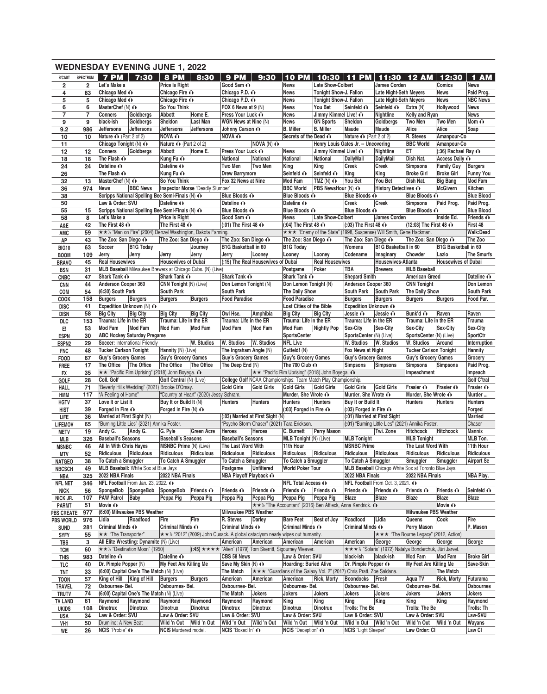|                                 |                | <b>WEDNESDAY EVENING JUNE 1, 2022</b>                               |                                                               |                                                            |                                                             |                                                                               |                                             |                                            |                                                                |                                                                              |                               |                                                           |                             |                                 |
|---------------------------------|----------------|---------------------------------------------------------------------|---------------------------------------------------------------|------------------------------------------------------------|-------------------------------------------------------------|-------------------------------------------------------------------------------|---------------------------------------------|--------------------------------------------|----------------------------------------------------------------|------------------------------------------------------------------------------|-------------------------------|-----------------------------------------------------------|-----------------------------|---------------------------------|
| <b>B'CAST</b>                   | SPECTRUM       | <b>7 PM</b>                                                         | 7:30                                                          | 8 PM                                                       | 8:30                                                        | <b>9 PM</b>                                                                   | 9:30                                        | <b>10 PM</b>                               | 10:30                                                          | <b>11 PM</b>                                                                 |                               | 11:30 12 AM                                               | 12:30                       | 1 AM                            |
| $\overline{\mathbf{2}}$         | $\overline{2}$ | Let's Make a                                                        |                                                               | <b>Price Is Right</b>                                      |                                                             | Good Sam O                                                                    |                                             | News                                       | <b>Late Show-Colbert</b>                                       |                                                                              | <b>James Corden</b>           |                                                           | Comics                      | <b>News</b>                     |
| 4                               | 83             | Chicago Med O                                                       |                                                               | Chicago Fire O                                             |                                                             | Chicago P.D. O                                                                |                                             | <b>News</b>                                | Tonight Show-J. Fallon                                         |                                                                              | <b>Late Night-Seth Meyers</b> |                                                           | <b>News</b>                 | Paid Prog.                      |
| 5                               | 5              | Chicago Med O                                                       |                                                               | Chicago Fire O                                             |                                                             | Chicago P.D. o                                                                |                                             | <b>News</b>                                | Tonight Show-J. Fallon                                         |                                                                              | <b>Late Night-Seth Meyers</b> |                                                           | <b>News</b>                 | <b>NBC News</b>                 |
| 6                               | 6              | MasterChef (N) $\odot$                                              |                                                               | So You Think                                               |                                                             | FOX 6 News at 9 (N)                                                           |                                             | <b>News</b>                                | You Bet                                                        | Seinfeld O                                                                   | Seinfeld O                    | Extra (N)                                                 | Hollywood                   | <b>News</b>                     |
| $\overline{7}$                  | 7              | <b>Conners</b>                                                      | Goldbergs                                                     | Abbott                                                     | Home E.                                                     | Press Your Luck O                                                             |                                             | <b>News</b>                                | Jimmy Kimmel Live! O                                           |                                                                              | Nightline                     | Kelly and Ryan                                            |                             | <b>News</b>                     |
| 9                               | 9              | black-ish<br>Jeffersons                                             | Goldbergs<br><b>Jeffersons</b>                                | Sheldon<br><b>Jeffersons</b>                               | Last Man<br>Jeffersons                                      | WGN News at Nine (N)                                                          |                                             | <b>News</b><br><b>B.</b> Miller            | <b>GN Sports</b><br><b>B.</b> Miller                           | Sheldon<br>Maude                                                             | Goldbergs<br>Maude            | Two Men<br>Alice                                          | <b>Two Men</b><br>Alice     | Mom $\mathbf{\Omega}$<br>Soap   |
| 9.2<br>10                       | 986<br>10      | Nature O (Part 2 of 2)                                              |                                                               | <b>NOVA O</b>                                              |                                                             | Johnny Carson O<br><b>NOVA O</b>                                              |                                             | Secrets of the Dead O                      |                                                                | Nature $\odot$ (Part 2 of 2)                                                 |                               | R. Steves                                                 | Amanpour-Co                 |                                 |
| 11                              |                | Chicago Tonight (N) ∩                                               |                                                               | Nature $\odot$ (Part 2 of 2)                               |                                                             |                                                                               | <b>NOVA (N) O</b>                           |                                            |                                                                | Henry Louis Gates Jr. -- Uncovering                                          |                               | <b>BBC World</b>                                          | Amanpour-Co                 |                                 |
| 12                              | 12             | <b>Conners</b>                                                      | Goldbergs                                                     | Abbott                                                     | Home E.                                                     | Press Your Luck O                                                             |                                             | <b>News</b>                                | Jimmy Kimmel Live! O                                           |                                                                              | Nightline                     | ET                                                        | $(.36)$ Rachael Ray $\odot$ |                                 |
| 18                              | 18             | The Flash $\Omega$                                                  |                                                               | Kung Fu ∩                                                  |                                                             | <b>National</b>                                                               | <b>National</b>                             | National                                   | National                                                       | <b>DailyMail</b>                                                             | <b>DailyMail</b>              | Dish Nat.                                                 | Access Daily O              |                                 |
| 24                              | 24             | Dateline O                                                          |                                                               | Dateline O                                                 |                                                             | Two Men                                                                       | Two Men                                     | King                                       | King                                                           | <b>Creek</b>                                                                 | Creek                         | <b>Simpsons</b>                                           | <b>Family Guy</b>           | <b>Burgers</b>                  |
| 26                              |                | The Flash $\Omega$                                                  |                                                               | Kung Fu ∩                                                  |                                                             | <b>Drew Barrymore</b>                                                         |                                             | Seinfeld O                                 | Seinfeld O                                                     | King                                                                         | King                          | <b>Broke Girl</b>                                         | <b>Broke Girl</b>           | <b>Funny You</b>                |
| 32                              | 13             | MasterChef (N) O                                                    |                                                               | So You Think                                               |                                                             | Fox 32 News at Nine                                                           |                                             | Mod Fam                                    | TMZ $(N)$ $\odot$                                              | You Bet                                                                      | You Bet                       | Dish Nat.                                                 | <b>Big Bang</b>             | <b>Mod Fam</b>                  |
| 36                              | 974            | <b>News</b>                                                         | <b>BBC News</b>                                               |                                                            | Inspector Morse "Deadly Slumber"                            |                                                                               |                                             | <b>BBC World</b>                           | PBS NewsHour (N) O                                             |                                                                              | History Detectives O          |                                                           | <b>McGivern</b>             | Kitchen                         |
| 38                              |                | Scripps National Spelling Bee Semi-Finals (N) O<br>Law & Order: SVU |                                                               | Dateline O                                                 |                                                             | Blue Bloods O<br>Dateline O                                                   |                                             | Blue Bloods O<br>Dateline O                |                                                                | Blue Bloods O                                                                |                               | Blue Bloods O                                             | Paid Prog.                  | <b>Blue Blood</b>               |
| 50<br>55                        | 15             | Scripps National Spelling Bee Semi-Finals (N) O                     |                                                               |                                                            |                                                             | Blue Bloods O                                                                 |                                             | Blue Bloods O                              |                                                                | <b>Creek</b><br>Blue Bloods O                                                | Creek                         | <b>Simpsons</b><br>Blue Bloods O                          |                             | Paid Prog.<br><b>Blue Blood</b> |
| 58                              | 8              | Let's Make a                                                        |                                                               | Price Is Right                                             |                                                             | Good Sam O                                                                    |                                             | <b>News</b>                                | Late Show-Colbert                                              |                                                                              | James Corden                  |                                                           | Inside Ed.                  | Friends $\hat{\mathbf{O}}$      |
| A&E                             | 42             | The First 48 $\odot$                                                |                                                               | The First 48 $\odot$                                       |                                                             | $(.01)$ The First 48 $\odot$                                                  |                                             | $(.04)$ The First 48 $\odot$               |                                                                | $(0.03)$ The First 48 $\odot$                                                |                               | (12:03) The First 48 ∩                                    |                             | First 48                        |
| AMC                             | 59             |                                                                     |                                                               |                                                            | ★★½ "Man on Fire" (2004) Denzel Washington, Dakota Fanning. |                                                                               |                                             |                                            |                                                                | ★★★ "Enemy of the State" (1998, Suspense) Will Smith, Gene Hackman.          |                               |                                                           |                             | Walk:Dead                       |
| AP                              | 43             | The Zoo: San Diego O                                                |                                                               | The Zoo: San Diego O                                       |                                                             | The Zoo: San Diego O                                                          |                                             | The Zoo: San Diego O                       |                                                                | The Zoo: San Diego O                                                         |                               | The Zoo: San Diego O                                      |                             | The Zoo                         |
| <b>BIG10</b>                    | 63             | Soccer                                                              | <b>B1G Today</b>                                              |                                                            | Journey                                                     | <b>B1G Basketball in 60</b>                                                   |                                             | <b>B1G Today</b>                           |                                                                | Womens                                                                       | <b>B1G Basketball in 60</b>   |                                                           | <b>B1G Basketball in 60</b> |                                 |
| <b>BOOM</b>                     | 109            | Jerry                                                               | Jerry                                                         | Jerry                                                      | Jerry                                                       | Jerry                                                                         | Looney                                      | Looney                                     | Looney                                                         | Codename                                                                     | Imaginary                     | Chowder                                                   | Lazlo                       | <b>The Smurfs</b>               |
| <b>BRAVO</b>                    | 45             | <b>Real Housewives</b>                                              |                                                               | <b>Housewives of Dubai</b>                                 |                                                             |                                                                               | (:15) The Real Housewives of Dubai          |                                            | <b>Real Housewives</b>                                         |                                                                              | <b>Housewives-Atlanta</b>     |                                                           | <b>Housewives of Dubai</b>  |                                 |
| <b>BSN</b>                      | 31             | MLB Baseball Milwaukee Brewers at Chicago Cubs. (N) (Live)          |                                                               |                                                            |                                                             |                                                                               |                                             | Postgame                                   | Poker                                                          | TBA                                                                          | <b>Brewers</b>                | <b>MLB Baseball</b>                                       |                             |                                 |
| <b>CNBC</b>                     | 47             | Shark Tank O                                                        |                                                               | Shark Tank O                                               |                                                             | Shark Tank O                                                                  |                                             | Shark Tank O                               |                                                                | <b>Shepard Smith</b>                                                         |                               | <b>American Greed</b>                                     |                             | Dateline O                      |
| <b>CNN</b>                      | 44<br>54       | Anderson Cooper 360<br>(6:30) South Park                            |                                                               | CNN Tonight (N) (Live)<br><b>South Park</b>                |                                                             | Don Lemon Tonight (N)<br><b>South Park</b>                                    |                                             | Don Lemon Tonight (N)<br>The Daily Show    |                                                                | Anderson Cooper 360<br>South Park                                            | South Park                    | <b>CNN Tonight</b><br>The Daily Show                      |                             | Don Lemon<br>South Park         |
| COM<br>COOK                     | 158            | <b>Burgers</b>                                                      | <b>Burgers</b>                                                | <b>Burgers</b>                                             | <b>Burgers</b>                                              | <b>Food Paradise</b>                                                          |                                             | <b>Food Paradise</b>                       |                                                                | <b>Burgers</b>                                                               | <b>Burgers</b>                | <b>Burgers</b>                                            | <b>Burgers</b>              | Food Par.                       |
| <b>DISC</b>                     | 41             | Expedition Unknown (N) O                                            |                                                               |                                                            |                                                             |                                                                               |                                             | <b>Lost Cities of the Bible</b>            |                                                                | Expedition Unknown O                                                         |                               |                                                           |                             |                                 |
| <b>DISN</b>                     | 58             | <b>Big City</b>                                                     | <b>Big City</b>                                               | <b>Big City</b>                                            | <b>Big City</b>                                             | Owl Hse.                                                                      | Amphibia                                    | <b>Big City</b>                            | <b>Big City</b>                                                | Jessie O                                                                     | Jessie O                      | Bunk'd ∩                                                  | Raven                       | Raven                           |
| DLC                             | 153            | Trauma: Life in the ER                                              |                                                               | Trauma: Life in the ER                                     |                                                             | Trauma: Life in the ER                                                        |                                             | Trauma: Life in the ER                     |                                                                | Trauma: Life in the ER                                                       |                               | Trauma: Life in the ER                                    |                             | Trauma                          |
| E!                              | 53             | <b>Mod Fam</b>                                                      | <b>Mod Fam</b>                                                | Mod Fam                                                    | Mod Fam                                                     | Mod Fam                                                                       | <b>Mod Fam</b>                              | Mod Fam                                    | Nightly Pop                                                    | Sex-City                                                                     | Sex-City                      | Sex-City                                                  | Sex-City                    | Sex-City                        |
| <b>ESPN</b>                     | 30             | <b>ABC Hockey Saturday Pregame</b>                                  |                                                               |                                                            |                                                             |                                                                               |                                             | <b>SportsCenter</b>                        |                                                                | SportsCenter (N) (Live)                                                      |                               | SportsCenter (N) (Live)                                   |                             | <b>SportCtr</b>                 |
| ESPN <sub>2</sub>               | 29             | Soccer: International Friendly                                      |                                                               |                                                            | W. Studios                                                  | W. Studios                                                                    | W. Studios                                  | <b>NFL Live</b>                            |                                                                | W. Studios                                                                   | W. Studios                    | W. Studios                                                | Around                      | Interruption                    |
| <b>FNC</b>                      | 48             | <b>Tucker Carlson Tonight</b>                                       |                                                               | Hannity (N) (Live)                                         |                                                             | The Ingraham Angle (N)                                                        |                                             | Gutfeld! (N)                               |                                                                | Fox News at Night                                                            |                               | <b>Tucker Carlson Tonight</b>                             |                             | Hannity                         |
| <b>FOOD</b>                     | 67             | <b>Guy's Grocery Games</b>                                          |                                                               | Guy's Grocery Games                                        |                                                             | Guy's Grocery Games                                                           |                                             | <b>Guy's Grocery Games</b>                 |                                                                | Guy's Grocery Games                                                          |                               | Guy's Grocery Games                                       |                             | Grocery                         |
| <b>FREE</b>                     | 17<br>35       | The Office                                                          | The Office<br>★★ "Pacific Rim Uprising" (2018) John Boyega. ^ | The Office                                                 | The Office                                                  | The Deep End (N)                                                              |                                             | The 700 Club O                             | ★★ "Pacific Rim Uprising" (2018) John Boyega. ①                | <b>Simpsons</b>                                                              | Simpsons                      | <b>Simpsons</b><br>Impeachment                            | Simpsons                    | Paid Prog.<br>Impeach           |
| <b>FX</b><br>GOLF               | 28             | Coll. Golf                                                          |                                                               | Golf Central (N) (Live)                                    |                                                             |                                                                               |                                             |                                            | College Golf NCAA Championships: Team Match Play Championship. |                                                                              |                               |                                                           |                             | Golf C'tral                     |
| HALL                            | 71             |                                                                     | "Beverly Hills Wedding" (2021) Brooke D'Orsay.                |                                                            |                                                             | <b>Gold Girls</b>                                                             | <b>Gold Girls</b>                           | <b>Gold Girls</b>                          | Gold Girls                                                     | <b>Gold Girls</b>                                                            | <b>Gold Girls</b>             | Frasier O                                                 | Frasier O                   | Frasier O                       |
| HMM                             | 117            | "A Feeling of Home"                                                 |                                                               |                                                            | "Country at Heart" (2020) Jessy Schram.                     |                                                                               |                                             | Murder, She Wrote O                        |                                                                | Murder, She Wrote ∩                                                          |                               | Murder, She Wrote O                                       |                             | Murder                          |
| <b>HGTV</b>                     | 37             | Love It or List It                                                  |                                                               | Buy It or Build It (N)                                     |                                                             | <b>Hunters</b>                                                                | <b>Hunters</b>                              | <b>Hunters</b>                             | Hunters                                                        | Buy It or Build It                                                           |                               | <b>Hunters</b>                                            | <b>Hunters</b>              | <b>Hunters</b>                  |
| HIST                            | 39             | Forged in Fire O                                                    |                                                               | Forged in Fire $(N)$ $\odot$                               |                                                             |                                                                               |                                             | $(.03)$ Forged in Fire $\odot$             |                                                                | $(.03)$ Forged in Fire $\odot$                                               |                               |                                                           |                             | Forged                          |
| <b>LIFE</b>                     | 36             | Married at First Sight (N)                                          |                                                               |                                                            |                                                             |                                                                               | (:03) Married at First Sight (N)            |                                            |                                                                | (:01) Married at First Sight                                                 |                               |                                                           |                             | <b>Married</b>                  |
| <b>LIFEMOV</b>                  | 65             |                                                                     | "Burning Little Lies" (2021) Annika Foster.                   |                                                            |                                                             |                                                                               | "Psycho Storm Chaser" (2021) Tara Erickson. |                                            |                                                                | (:01) "Burning Little Lies" (2021) Annika Foster.                            |                               |                                                           |                             | Chaser                          |
| <b>METV</b>                     | 19             | Andy G. Andy G. G. Pyle                                             |                                                               |                                                            |                                                             | Green Acre Heroes Heroes                                                      |                                             |                                            |                                                                | C. Burnett Perry Mason Twi. Zone                                             |                               | <b>Hitchcock</b>                                          | Hitchcock                   | Mannix                          |
| MLB                             | 326<br>46      | <b>Baseball's Seasons</b><br><b>All In With Chris Hayes</b>         |                                                               | <b>Baseball's Seasons</b><br><b>MSNBC Prime (N) (Live)</b> |                                                             | <b>Baseball's Seasons</b><br>The Last Word With                               |                                             | <b>MLB Tonight (N) (Live)</b><br>11th Hour |                                                                | <b>MLB Tonight</b><br><b>MSNBC Prime</b>                                     |                               | <b>MLB Tonight</b><br>The Last Word With                  |                             | MLB Ton.<br>11th Hour           |
| <b>MSNBC</b><br>MTV             | 52             | Ridiculous                                                          | <b>Ridiculous</b>                                             | <b>Ridiculous</b>                                          | Ridiculous                                                  | Ridiculous                                                                    | Ridiculous                                  | Ridiculous                                 | Ridiculous                                                     | Ridiculous Ridiculous                                                        |                               | Ridiculous                                                | Ridiculous                  | Ridiculous                      |
| <b>NATGEO</b>                   | 38             | To Catch a Smuggler                                                 |                                                               | To Catch A Smuggler                                        |                                                             | To Catch a Smuggler                                                           |                                             | To Catch a Smuggler                        |                                                                | To Catch A Smuggler                                                          |                               | Smuggler                                                  | Smuggler                    | <b>Airport Se</b>               |
| <b>NBCSCH</b>                   | 49             | <b>MLB Baseball:</b> White Sox at Blue Jays                         |                                                               |                                                            |                                                             | Postgame                                                                      | Unfiltered                                  | <b>World Poker Tour</b>                    |                                                                | <b>MLB Baseball</b> Chicago White Sox at Toronto Blue Jays.                  |                               |                                                           |                             |                                 |
| NBA                             | 325            | 2022 NBA Finals                                                     |                                                               | 2022 NBA Finals                                            |                                                             | NBA Playoff Playback O                                                        |                                             |                                            |                                                                | 2022 NBA Finals                                                              |                               | 2022 NBA Finals                                           |                             | NBA Play.                       |
| <b>NFL NET</b>                  | 346            | NFL Football From Jan. 23, 2022. O                                  |                                                               |                                                            |                                                             |                                                                               |                                             | NFL Total Access ∩                         |                                                                | NFL Football From Oct. 3, 2021. O                                            |                               |                                                           |                             |                                 |
| <b>NICK</b>                     | 56             | SpongeBob SpongeBob SpongeBob Friends O                             |                                                               |                                                            |                                                             | Friends $\odot$                                                               | Friends $\odot$                             | Friends $\odot$                            | Friends $\odot$                                                | Friends O                                                                    | Friends $\odot$               | Friends O                                                 | Friends $\odot$             | Seinfeld O                      |
| NICK JR.                        | 107            | <b>PAW Patrol Baby</b>                                              |                                                               | Peppa Pig                                                  | Peppa Pig                                                   | Peppa Pig                                                                     | Peppa Pig                                   | Peppa Pig                                  | Peppa Pig                                                      | Blaze                                                                        | <b>Blaze</b>                  | Blaze                                                     | <b>Blaze</b>                | Blaze                           |
| <b>PARMT</b>                    | 51             | Movie $\mathbf{\Omega}$                                             |                                                               |                                                            |                                                             |                                                                               |                                             |                                            |                                                                | ★★½ "The Accountant" (2016) Ben Affleck, Anna Kendrick. ①                    |                               |                                                           | Movie O                     |                                 |
| <b>PBS CREATE</b>               | 977            | (6:00) Milwaukee PBS Weather<br>Lidia                               | Roadfood                                                      | Fire                                                       | Fire                                                        | Milwaukee PBS Weather<br>R. Steves                                            | Darley                                      | <b>Bare Feet</b>                           | Best of Joy                                                    | Roadfood                                                                     | Lidia                         | <b>Milwaukee PBS Weather</b><br>Queens                    | Cook                        | Fire                            |
| <b>PBS WORLD</b><br><b>SUND</b> | 976<br>281     | Criminal Minds O                                                    |                                                               | Criminal Minds O                                           |                                                             | Criminal Minds O                                                              |                                             | Criminal Minds O                           |                                                                | Criminal Minds O                                                             |                               | Perry Mason                                               |                             | P. Mason                        |
| <b>SYFY</b>                     | 55             | ★★ "The Transporter"                                                |                                                               |                                                            |                                                             | ★★ ½ "2012" (2009) John Cusack. A global cataclysm nearly wipes out humanity. |                                             |                                            |                                                                |                                                                              |                               | ★★★ "The Bourne Legacy" (2012, Action)                    |                             |                                 |
| TBS                             | 3              | All Elite Wrestling: Dynamite (N) (Live)                            |                                                               |                                                            |                                                             | American                                                                      | American                                    | American                                   | American                                                       | American                                                                     | George                        | George                                                    | George                      | George                          |
| <b>TCM</b>                      | 60             | <b>★★ ½ "Destination Moon" (1950)</b>                               |                                                               |                                                            |                                                             | (:45) ★ ★ ★ * "Alien" (1979) Tom Skerritt, Sigourney Weaver.                  |                                             |                                            |                                                                |                                                                              |                               | ★ ★ ★ ½ "Solaris" (1972) Natalya Bondarchuk, Jüri Jarvet. |                             |                                 |
| <b>THIS</b>                     | 983            | Dateline O                                                          |                                                               | Dateline O                                                 |                                                             | CBS 58 News                                                                   |                                             | Law & Order: SVU                           |                                                                | black-ish                                                                    | black-ish                     | Mod Fam                                                   | <b>Mod Fam</b>              | <b>Broke Girl</b>               |
| TLC                             | 40             | Dr. Pimple Popper (N)                                               |                                                               | My Feet Are Killing Me                                     |                                                             | Save My Skin (N) O                                                            |                                             | <b>Hoarding: Buried Alive</b>              |                                                                | Dr. Pimple Popper $\odot$                                                    |                               | My Feet Are Killing Me                                    |                             | Save-Skin                       |
| TNT                             | 33             | (6:00) Capital One's The Match (N) (Live)                           |                                                               |                                                            |                                                             | The Match                                                                     |                                             |                                            |                                                                | <b>★★★ "Guardians of the Galaxy Vol. 2" (2017) Chris Pratt, Zoe Saldana.</b> |                               |                                                           | <b>The Match</b>            |                                 |
| <b>TOON</b>                     | 57             | King of Hill King of Hill                                           |                                                               | <b>Burgers</b>                                             | Burgers                                                     | American                                                                      | American                                    | American                                   | <b>Rick, Morty</b>                                             | Boondocks Fresh                                                              |                               | Aqua TV                                                   | <b>Rick, Morty</b>          | Futurama                        |
| <b>TRAVEL</b>                   | 72             | Osbournes- Bel.                                                     |                                                               | Osbournes- Bel.                                            |                                                             | Osbournes- Bel.                                                               |                                             | Osbournes-Bel.                             |                                                                | Osbournes- Bel.                                                              |                               | Osbournes- Bel.                                           |                             | Osbournes                       |
| <b>TRUTV</b>                    | 74             | (6:00) Capital One's The Match (N) (Live)                           |                                                               |                                                            |                                                             | The Match                                                                     | Jokers                                      | Jokers                                     | Jokers                                                         | Jokers                                                                       | Jokers                        | Jokers                                                    | Jokers                      | Jokers                          |
| <b>TV LAND</b>                  | 61             | Raymond                                                             | Raymond                                                       | Raymond                                                    | Raymond                                                     | Raymond                                                                       | Raymond                                     | King                                       | King                                                           | King                                                                         | King                          | King                                                      | King                        | Raymond                         |
| <b>UKIDS</b><br>USA             | 108<br>34      | <b>Dinotrux</b><br>Law & Order: SVU                                 | <b>Dinotrux</b>                                               | Dinotrux<br>Law & Order: SVU                               | <b>Dinotrux</b>                                             | Dinotrux<br>Law & Order: SVU                                                  | <b>Dinotrux</b>                             | <b>Dinotrux</b><br>Law & Order: SVU        | Dinotrux                                                       | Trolls: The Be<br>Law & Order: SVU                                           |                               | Trolls: The Be<br>Law & Order: SVU                        |                             | Trolls: Th<br>Law-SVU           |
| VH1                             | 50             | Drumline: A New Beat                                                |                                                               | Wild 'n Out   Wild 'n Out                                  |                                                             | Wild 'n Out Wild 'n Out                                                       |                                             | Wild 'n Out   Wild 'n Out                  |                                                                | Wild 'n Out   Wild 'n Out                                                    |                               | Wild 'n Out   Wild 'n Out                                 |                             | Wayans                          |
| WE                              | 26             | NCIS "Probie" ∩                                                     |                                                               | <b>NCIS</b> Murdered model.                                |                                                             | NCIS "Boxed In" ∩                                                             |                                             | NCIS "Deception" ∩                         |                                                                | NCIS "Light Sleeper"                                                         |                               | Law Order: CI                                             |                             | Law CI                          |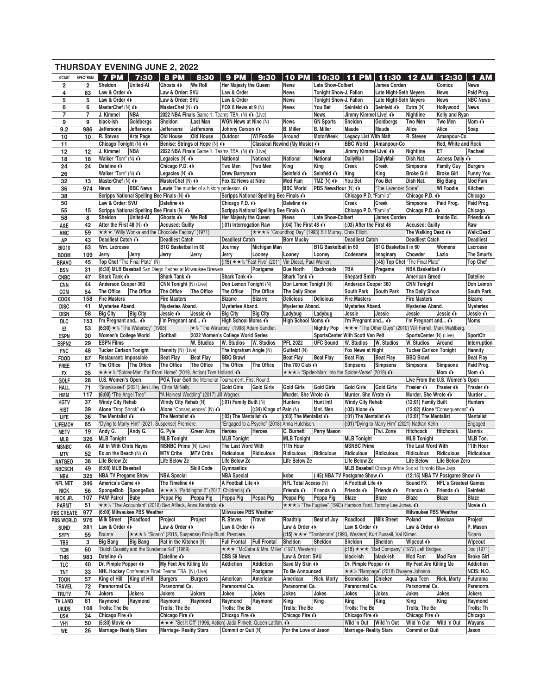|                                 |                |                                                          | <b>THURSDAY EVENING JUNE 2, 2022</b>                                             |                                              |                                                                |                                         |                                                                              |                                          |                                                                                                       |                                                        |                                                                 |                                             |                                 |                                |
|---------------------------------|----------------|----------------------------------------------------------|----------------------------------------------------------------------------------|----------------------------------------------|----------------------------------------------------------------|-----------------------------------------|------------------------------------------------------------------------------|------------------------------------------|-------------------------------------------------------------------------------------------------------|--------------------------------------------------------|-----------------------------------------------------------------|---------------------------------------------|---------------------------------|--------------------------------|
| <b>B'CAST</b>                   | SPECTRUM       | 7 PM                                                     | 7:30                                                                             | <b>8 PM</b>                                  | 8:30                                                           | <b>9 PM</b>                             | 9:30                                                                         | <b>10 PM</b>                             | 10:30                                                                                                 | PM.<br>F 11                                            |                                                                 | 11:30 12 AM                                 | 12:30                           | 1 AM                           |
| $\overline{\mathbf{2}}$         | $\overline{2}$ | Sheldon                                                  | <b>United-Al</b>                                                                 | Ghosts $\odot$   We Roll                     |                                                                | <b>Her Majesty the Queen</b>            |                                                                              | News                                     | <b>Late Show-Colbert</b>                                                                              |                                                        | James Corden                                                    |                                             | Comics                          | <b>News</b>                    |
| 4                               | 83             | Law & Order O                                            |                                                                                  | Law & Order: SVU                             |                                                                | Law & Order                             |                                                                              | <b>News</b>                              | Tonight Show-J. Fallon                                                                                |                                                        | <b>Late Night-Seth Meyers</b>                                   |                                             | <b>News</b>                     | Paid Prog.                     |
| 5<br>6                          | 5<br>6         | Law & Order O<br>MasterChef $(N)$ $\odot$                |                                                                                  | Law & Order: SVU<br>MasterChef $(N)$ $\odot$ |                                                                | Law & Order<br>FOX 6 News at 9 (N)      |                                                                              | <b>News</b><br><b>News</b>               | Tonight Show-J. Fallon<br>You Bet                                                                     | Seinfeld O                                             | <b>Late Night-Seth Meyers</b><br>Seinfeld O                     | Extra (N)                                   | News<br>Hollywood               | <b>NBC News</b><br><b>News</b> |
| $\overline{\mathbf{7}}$         | 7              | J. Kimmel                                                | NBA                                                                              |                                              | 2022 NBA Finals Game 1: Teams TBA. (N) $\odot$ (Live)          |                                         |                                                                              |                                          | News                                                                                                  | Jimmy Kimmel Live! O                                   |                                                                 | Nightline                                   | Kelly and Ryan                  |                                |
| 9                               | 9              | black-ish                                                | Goldbergs                                                                        | Sheldon                                      | Last Man                                                       | WGN News at Nine (N)                    |                                                                              | <b>News</b>                              | <b>GN Sports</b>                                                                                      | Sheldon                                                | Goldbergs                                                       | Two Men                                     | <b>Two Men</b>                  | Mom $\hat{\mathbf{O}}$         |
| 9.2                             | 986            | Jeffersons                                               | Jeffersons                                                                       | Jeffersons                                   | Jeffersons                                                     | Johnny Carson O                         |                                                                              | <b>B.</b> Miller                         | <b>B.</b> Miller                                                                                      | Maude                                                  | Maude                                                           | Alice                                       | Alice                           | Soap                           |
| 10                              | 10             | R. Steves                                                | <b>Arts Page</b>                                                                 | Old House                                    | Old House                                                      | Outdoor                                 | <b>WI Foodie</b>                                                             | Around                                   | <b>MotorWeek</b>                                                                                      | <b>Legacy List With Matt</b>                           |                                                                 | R. Steves                                   | Amanpour-Co                     |                                |
| 11                              |                | Chicago Tonight (N) ∩                                    |                                                                                  |                                              | Benise: Strings of Hope (N) ∩                                  |                                         |                                                                              | Classical Rewind (My Music) ∩            |                                                                                                       | <b>BBC World</b>                                       | Amanpour-Co                                                     |                                             | Red, White and Rock             |                                |
| 12<br>18                        | 12<br>18       | J. Kimmel<br>Walker "Torn" (N) $\odot$                   | NBA                                                                              | Legacies $(N)$ $\odot$                       | 2022 NBA Finals Game 1: Teams TBA. (N) O (Live)                | National                                | National                                                                     | <b>National</b>                          | News<br><b>National</b>                                                                               | Jimmy Kimmel Live! O<br><b>DailyMail</b>               | <b>DailyMail</b>                                                | Nightline<br>Dish Nat.                      | ET<br>Access Daily O            | Rachael                        |
| 24                              | 24             | Dateline O                                               |                                                                                  | Chicago P.D. o                               |                                                                | Two Men                                 | Two Men                                                                      | King                                     | King                                                                                                  | Creek                                                  | Creek                                                           | <b>Simpsons</b>                             | <b>Family Guy</b>               | <b>Burgers</b>                 |
| 26                              |                | Walker "Torn" (N) $\odot$                                |                                                                                  | Legacies $(N)$ $\odot$                       |                                                                | <b>Drew Barrymore</b>                   |                                                                              | Seinfeld O                               | Seinfeld O                                                                                            | King                                                   | King                                                            | <b>Broke Girl</b>                           | <b>Broke Girl</b>               | <b>Funny You</b>               |
| 32                              | 13             | MasterChef (N) $\odot$                                   |                                                                                  | MasterChef $(N)$ $\odot$                     |                                                                | Fox 32 News at Nine                     |                                                                              | Mod Fam                                  | TMZ $(N)$ $\odot$                                                                                     | You Bet                                                | You Bet                                                         | Dish Nat.                                   | <b>Big Bang</b>                 | Mod Fam                        |
| 36                              | 974            | <b>News</b>                                              | <b>BBC News</b>                                                                  |                                              | <b>Lewis</b> The murder of a history professor. $\odot$        |                                         |                                                                              | <b>BBC World</b>                         | PBS NewsHour (N) ∩                                                                                    |                                                        | "The Lavender Scare"                                            |                                             | <b>WI Foodie</b>                | Kitchen                        |
| 38                              |                | Law & Order: SVU                                         | Scripps National Spelling Bee Finals (N) O                                       | Dateline O                                   |                                                                | Chicago P.D. ∩                          | Scripps National Spelling Bee Finals ∩                                       | Dateline O                               |                                                                                                       | Chicago P.D. "Familia"<br><b>Creek</b>                 | Creek                                                           | Chicago P.D. O                              | Paid Prog.                      | Chicago<br>Paid Prog.          |
| 50<br>55                        | 15             |                                                          | Scripps National Spelling Bee Finals (N) O                                       |                                              |                                                                |                                         | Scripps National Spelling Bee Finals O                                       |                                          |                                                                                                       | Chicago P.D. "Familia"                                 |                                                                 | <b>Simpsons</b><br>Chicago P.D. ∩           |                                 | Chicago                        |
| 58                              | 8              | Sheldon                                                  | <b>United-Al</b>                                                                 | Ghosts $\mathbf{\odot}$                      | We Roll                                                        | Her Majesty the Queen                   |                                                                              | <b>News</b>                              | Late Show-Colbert                                                                                     |                                                        | James Corden                                                    |                                             | Inside Ed.                      | Friends $\odot$                |
| A&E                             | 42             | After the First 48 (N) $\odot$                           |                                                                                  | <b>Accused: Guilty</b>                       |                                                                | (:01) Interrogation Raw                 |                                                                              | $(.04)$ The First 48 $\odot$             |                                                                                                       | (:03) After the First 48                               |                                                                 | <b>Accused: Guilty</b>                      |                                 | Raw                            |
| AMC                             | 59             |                                                          | *** "Willy Wonka and the Chocolate Factory" (1971)                               |                                              |                                                                |                                         |                                                                              |                                          | ★★★½ "Groundhog Day" (1993) Bill Murray, Chris Elliott.                                               |                                                        |                                                                 | The Walking Dead $\odot$                    |                                 | Walk:Dead                      |
| AP                              | 43             | Deadliest Catch O                                        |                                                                                  | <b>Deadliest Catch</b>                       |                                                                | <b>Deadliest Catch</b>                  |                                                                              | <b>Born Mucky</b>                        |                                                                                                       | <b>Deadliest Catch</b>                                 |                                                                 | <b>Deadliest Catch</b>                      |                                 | <b>Deadliest</b>               |
| <b>BIG10</b>                    | 63             | Wm. Lacrosse                                             |                                                                                  | <b>B1G Basketball in 60</b>                  |                                                                | Journey                                 | <b>Michigan Man</b>                                                          |                                          | <b>B1G Basketball in 60</b>                                                                           |                                                        | <b>B1G Basketball in 60</b>                                     |                                             | Womens                          | Lacrosse                       |
| <b>BOOM</b><br><b>BRAVO</b>     | 109<br>45      | Jerry                                                    | Jerry<br>Top Chef "The Final Plate" (N)                                          | Jerry                                        | Jerry                                                          | Jerry                                   | Looney<br>$(15)$ $\star \star$ % "Fast Five" (2011) Vin Diesel, Paul Walker. | Looney                                   | Looney                                                                                                | Codename                                               | Imaginary                                                       | Chowder<br>(:45) Top Chef "The Final Plate" | Lazlo                           | The Smurfs<br><b>Top Chef</b>  |
| <b>BSN</b>                      | 31             |                                                          | (6:30) MLB Baseball San Diego Padres at Milwaukee Brewers.                       |                                              |                                                                |                                         | Postgame                                                                     | <b>Due North</b>                         | Backroads                                                                                             | TBA                                                    | Pregame                                                         | NBA Basketball O                            |                                 |                                |
| <b>CNBC</b>                     | 47             | Shark Tank O                                             |                                                                                  | Shark Tank O                                 |                                                                | Shark Tank O                            |                                                                              | Shark Tank O                             |                                                                                                       | <b>Shepard Smith</b>                                   |                                                                 | <b>American Greed</b>                       |                                 | <b>Dateline</b>                |
| <b>CNN</b>                      | 44             | Anderson Cooper 360                                      |                                                                                  | CNN Tonight (N) (Live)                       |                                                                | Don Lemon Tonight (N)                   |                                                                              | Don Lemon Tonight (N)                    |                                                                                                       | Anderson Cooper 360                                    |                                                                 | <b>CNN Tonight</b>                          |                                 | Don Lemon                      |
| COM                             | 54             | The Office                                               | The Office                                                                       | The Office                                   | The Office                                                     | The Office                              | The Office                                                                   | The Daily Show                           |                                                                                                       | <b>South Park</b>                                      | South Park                                                      | The Daily Show                              |                                 | South Park                     |
| <b>COOK</b>                     | 158            | <b>Fire Masters</b>                                      |                                                                                  | <b>Fire Masters</b>                          |                                                                | <b>Bizarre</b>                          | <b>Bizarre</b>                                                               | <b>Delicious</b>                         | Delicious                                                                                             | <b>Fire Masters</b>                                    |                                                                 | <b>Fire Masters</b>                         |                                 | <b>Bizarre</b>                 |
| DISC                            | 41<br>58       | <b>Mysteries Aband.</b><br><b>Big City</b>               | <b>Big City</b>                                                                  | Mysteries Aband.<br>Jessie O                 | Jessie O                                                       | Mysteries Aband.<br><b>Big City</b>     | <b>Big City</b>                                                              | Mysteries Aband.<br>Ladybug              | Ladybug                                                                                               | <b>Mysteries Aband.</b><br>Jessie                      | Jessie                                                          | Mysteries Aband.<br>Jessie                  | Jessie O                        | <b>Mysteries</b><br>Jessie O   |
| disn<br>DLC                     | 153            | I'm Pregnant and $\odot$                                 |                                                                                  | I'm Pregnant and O                           |                                                                | High School Moms O                      |                                                                              | High School Moms O                       |                                                                                                       | I'm Pregnant and O                                     |                                                                 | I'm Pregnant and ∩                          |                                 | <b>Moms</b>                    |
| Е.                              | 53             |                                                          | $(6:30)$ ★ ½ "The Waterboy" (1998)                                               |                                              |                                                                | ★ ½ "The Waterboy" (1998) Adam Sandler. |                                                                              |                                          | Nightly Pop                                                                                           |                                                        | <b>★★★ "The Other Guys" (2010) Will Ferrell, Mark Wahlberg.</b> |                                             |                                 |                                |
| <b>ESPN</b>                     | 30             | Women's College World                                    |                                                                                  | Softball                                     | 2022 Women's College World Series                              |                                         |                                                                              |                                          |                                                                                                       | SportsCenter With Scott Van Pelt                       |                                                                 | SportsCenter (N) (Live)                     |                                 | SportCtr                       |
| ESPN <sub>2</sub>               | 29             | <b>ESPN Films</b>                                        |                                                                                  |                                              | W. Studios                                                     | W. Studios W. Studios                   |                                                                              | <b>PFL 2022</b>                          | <b>UFC Sound</b>                                                                                      | W. Studios                                             | W. Studios                                                      | W. Studios                                  | Around                          | Interruption                   |
| <b>FNC</b>                      | 48             | <b>Tucker Carlson Tonight</b>                            |                                                                                  | Hannity (N) (Live)                           |                                                                | The Ingraham Angle (N)                  |                                                                              | Gutfeld! (N)                             |                                                                                                       | Fox News at Night                                      |                                                                 | <b>Tucker Carlson Tonight</b>               |                                 | <b>Hannity</b>                 |
| <b>FOOD</b>                     | 67             | Restaurant: Impossible<br>The Office                     | The Office                                                                       | <b>Beat Flay</b><br>The Office               | <b>Beat Flay</b><br>The Office                                 | <b>BBQ Brawl</b><br>The Office          | The Office                                                                   | <b>Beat Flay</b><br>The 700 Club $\odot$ | <b>Beat Flay</b>                                                                                      | <b>Beat Flay</b><br><b>Simpsons</b>                    | <b>Beat Flay</b><br><b>Simpsons</b>                             | <b>BBQ Brawl</b><br>Simpsons                | <b>Simpsons</b>                 | <b>Beat Flay</b><br>Paid Prog. |
| <b>FREE</b><br>FX               | 17<br>35       |                                                          | ★★★½ "Spider-Man: Far From Home" (2019, Action) Tom Holland. ^                   |                                              |                                                                |                                         |                                                                              |                                          | ★★★½ "Spider-Man: Into the Spider-Verse" (2018) 1                                                     |                                                        |                                                                 |                                             | Mom $\mathbf{\Omega}$           | Mom $\mathbf{\Omega}$          |
| GOLF                            | 28             | U.S. Women's Open                                        |                                                                                  |                                              | PGA Tour Golf the Memorial Tournament, First Round.            |                                         |                                                                              |                                          |                                                                                                       |                                                        |                                                                 |                                             | Live From the U.S. Women's Open |                                |
| HALL                            | 71             |                                                          | "Snowkissed" (2021) Jen Lilley, Chris McNally.                                   |                                              |                                                                | Gold Girls                              | <b>Gold Girls</b>                                                            | <b>Gold Girls</b>                        | <b>Gold Girls</b>                                                                                     | <b>Gold Girls</b>                                      | Gold Girls                                                      | Frasier O                                   | Frasier O                       | Frasier O                      |
| HMM                             | 117            | (6:00) "The Angel Tree"                                  |                                                                                  |                                              | "A Harvest Wedding" (2017) Jill Wagner.                        |                                         |                                                                              | Murder, She Wrote ∩                      |                                                                                                       | Murder. She Wrote O                                    |                                                                 | Murder, She Wrote O                         |                                 | Murder                         |
| <b>HGTV</b>                     | 37             | <b>Windy City Rehab</b>                                  |                                                                                  | Windy City Rehab (N)                         |                                                                | $(01)$ Family Built $(N)$               |                                                                              | <b>Hunters</b>                           | <b>Hunt Intl</b>                                                                                      | <b>Windy City Rehab</b>                                |                                                                 | (12:01) Family Built                        |                                 | <b>Hunters</b>                 |
| HIST                            | 39<br>36       | Alone "Drop Shock" O<br>The Mentalist $\hat{\mathbf{O}}$ |                                                                                  | The Mentalist $\hat{\mathbf{O}}$             | Alone "Consequences" (N) ∩                                     | $(0.03)$ The Mentalist $\odot$          | $(.34)$ Kings of Pain $(N)$                                                  | $(0.03)$ The Mentalist $\overline{O}$    | Mnt. Men                                                                                              | $(.03)$ Alone $\odot$<br>$(.01)$ The Mentalist $\odot$ |                                                                 | (12:01) The Mentalist                       | (12:02) Alone "Consequences" ∩  | Mentalist                      |
| LIFE<br><b>LIFEMOV</b>          | 65             |                                                          | "Dying to Marry Him" (2021, Suspense) Premiere.                                  |                                              |                                                                |                                         | "Engaged to a Psycho" (2018) Anna Hutchison.                                 |                                          |                                                                                                       |                                                        | (:01) "Dying to Marry Him" (2021) Nathan Kehn                   |                                             |                                 | Engaged                        |
| <b>METV</b>                     | 19             |                                                          |                                                                                  |                                              |                                                                |                                         |                                                                              |                                          | Andy G. Andy G. G. Pyle Green Acre Heroes Heroes C. Burnett Perry Mason Twi. Zone Hitchcock Hitchcock |                                                        |                                                                 |                                             |                                 | Mannix                         |
| MLB                             | 326            | <b>MLB Tonight</b>                                       |                                                                                  | <b>MLB Tonight</b>                           |                                                                | <b>MLB Tonight</b>                      |                                                                              | <b>MLB Tonight</b>                       |                                                                                                       | <b>MLB Tonight</b>                                     |                                                                 | <b>MLB Tonight</b>                          |                                 | MLB Ton.                       |
| <b>MSNBC</b>                    | 46             | <b>All In With Chris Hayes</b>                           |                                                                                  | MSNBC Prime (N) (Live)                       |                                                                | The Last Word With                      |                                                                              | 11th Hour                                |                                                                                                       | <b>MSNBC Prime</b>                                     |                                                                 | The Last Word With                          |                                 | 11th Hour                      |
| MTV                             | 52             | Ex on the Beach $(N)$ $\odot$                            |                                                                                  | <b>MTV Cribs</b>                             | <b>MTV Cribs</b>                                               | Ridiculous                              | Ridiculous                                                                   | Ridiculous                               | Ridiculous                                                                                            | Ridiculous Ridiculous                                  |                                                                 | Ridiculous                                  | Ridiculous                      | Ridiculous                     |
| <b>NATGEO</b>                   | 38<br>49       | Life Below Ze<br>(6:00) MLB Baseball                     |                                                                                  | Life Below Ze                                | Skill Code                                                     | Life Below Ze<br>Gymnastics             |                                                                              | Life Below Ze                            |                                                                                                       | Life Below Ze                                          | MLB Baseball Chicago White Sox at Toronto Blue Jays.            | Life Below                                  | Life Below Zero                 |                                |
| <b>NBCSCH</b><br>NBA            | 325            | <b>NBA TV Pregame Show</b>                               |                                                                                  | <b>NBA Special</b>                           |                                                                | <b>NBA Special</b>                      |                                                                              | kobe                                     | $(45)$ NBA TV Postgame Show $\odot$                                                                   |                                                        |                                                                 |                                             | (12:15) NBA TV Postgame Show ∩  |                                |
| <b>NFL NET</b>                  | 346            | America's Game O                                         |                                                                                  | The Timeline $\mathbf{\odot}$                |                                                                | A Football Life O                       |                                                                              | <b>NFL Total Access (N)</b>              |                                                                                                       | A Football Life $\odot$                                |                                                                 | Sound FX                                    | <b>NFL's Greatest Games</b>     |                                |
| <b>NICK</b>                     | 56             |                                                          | SpongeBob SpongeBob * * * ½ "Paddington 2" (2017, Children's) ^                  |                                              |                                                                |                                         |                                                                              | Friends $\odot$                          | Friends $\odot$                                                                                       | Friends $\hat{\mathbf{O}}$                             | Friends $\odot$                                                 | Friends $\odot$                             | Friends $\odot$                 | Seinfeld                       |
| NICK JR.                        | 107            | <b>PAW Patrol Baby</b>                                   |                                                                                  | Peppa Pig Peppa Pig                          |                                                                | Peppa Pig                               | Peppa Pig                                                                    | Peppa Pig                                | Peppa Pig                                                                                             | Blaze                                                  | Blaze                                                           | Blaze                                       | Blaze                           | Blaze                          |
| <b>PARMT</b>                    | 51             |                                                          | $\star \star \times$ "The Accountant" (2016) Ben Affleck, Anna Kendrick. $\odot$ |                                              |                                                                |                                         |                                                                              |                                          | <b>★★★</b> % "The Fugitive" (1993) Harrison Ford, Tommy Lee Jones. $\odot$                            |                                                        |                                                                 |                                             |                                 | Movie O                        |
| <b>PBS CREATE</b>               | 977<br>976     | Milk Street   Roadfood                                   | (6:00) Milwaukee PBS Weather                                                     | Project                                      | Project                                                        | Milwaukee PBS Weather<br>R. Steves      | Travel                                                                       | Roadtrip                                 | Best of Joy                                                                                           | Roadfood                                               | Milk Street                                                     | <b>Milwaukee PBS Weather</b><br>Poland      | Mexican                         | Project                        |
| <b>PBS WORLD</b><br><b>SUND</b> | 281            | Law & Order $\odot$                                      |                                                                                  | Law & Order O                                |                                                                | Law & Order $\hat{\mathbf{O}}$          |                                                                              | Law & Order $\hat{\mathbf{O}}$           |                                                                                                       | Law & Order $\odot$                                    |                                                                 | Law & Order O                               |                                 | P. Mason                       |
| <b>SYFY</b>                     | 55             | Bourne                                                   |                                                                                  |                                              | ★★★ % "Sicario" (2015, Suspense) Emily Blunt. Premiere.        |                                         |                                                                              |                                          | (:15) ★ ★ * "Tombstone" (1993, Western) Kurt Russell, Val Kilmer.                                     |                                                        |                                                                 |                                             |                                 | Sicario                        |
| TBS                             | 3              | <b>Big Bang</b>                                          | <b>Big Bang</b>                                                                  | Rat in the Kitchen (N)                       |                                                                | <b>Full Frontal Full Frontal</b>        |                                                                              | Sheldon                                  | Sheldon                                                                                               | Sheldon                                                | Sheldon                                                         | Wipeout $\odot$                             |                                 | Wipeout                        |
| <b>TCM</b>                      | 60             |                                                          | "Butch Cassidy and the Sundance Kid" (1969)                                      |                                              |                                                                |                                         | ★★★ "McCabe & Mrs. Miller" (1971, Western)                                   |                                          |                                                                                                       |                                                        | $(15)$ ★ ★ * "Bad Company" (1972) Jeff Bridges.                 |                                             |                                 | Doc (1971)                     |
| THIS                            | 983            | Dateline O                                               |                                                                                  | Dateline O                                   |                                                                | CBS 58 News                             |                                                                              | Law & Order: SVU                         |                                                                                                       | black-ish                                              | black-ish                                                       | Mod Fam                                     | <b>Mod Fam</b>                  | <b>Broke Girl</b>              |
| TLC                             | 40             | Dr. Pimple Popper O                                      | NHL Hockey Conference Final: Teams TBA. (N) (Live)                               | My Feet Are Killing Me                       |                                                                | Addiction                               | <b>Addiction</b><br>Postgame                                                 | Save My Skin ∩<br>To Be Announced        |                                                                                                       | Dr. Pimple Popper $\bigodot$                           | ★★ ½ "Rampage" (2018) Dwayne Johnson.                           | My Feet Are Killing Me                      |                                 | Addiction<br>NCIS: N.O.        |
| TNT<br><b>TOON</b>              | 33<br>57       | King of Hill King of Hill                                |                                                                                  | <b>Burgers</b>                               | <b>Burgers</b>                                                 | American                                | American                                                                     | American                                 | Rick, Morty                                                                                           | Boondocks Chicken                                      |                                                                 | Aqua Teen   Rick, Morty                     |                                 | Futurama                       |
| <b>TRAVEL</b>                   | 72             | Paranormal Ca.                                           |                                                                                  | Paranormal Ca.                               |                                                                | Paranormal Ca.                          |                                                                              | Paranormal Ca.                           |                                                                                                       | Paranormal Ca.                                         |                                                                 | Paranormal Ca.                              |                                 | Paranorm.                      |
| <b>TRUTV</b>                    | 74             | Jokers                                                   | Jokers                                                                           | Jokers                                       | Jokers                                                         | Jokes                                   | Jokes                                                                        | Jokes                                    | Jokes                                                                                                 | Jokes                                                  | Jokes                                                           | Jokes                                       | Jokes                           | Jokers                         |
| <b>TV LAND</b>                  | 61             | Raymond                                                  | Raymond                                                                          | Raymond                                      | Raymond                                                        | Raymond                                 | Raymond                                                                      | King                                     | King                                                                                                  | King                                                   | King                                                            | King                                        | King                            | Raymond                        |
| <b>UKIDS</b>                    | 108            | Trolls: The Be                                           |                                                                                  | Trolls: The Be                               |                                                                | Trolls: The Be                          |                                                                              | <b>Trolls: The Be</b>                    |                                                                                                       | Trolls: The Be                                         |                                                                 | Trolls: The Be                              |                                 | Trolls: Th                     |
| USA                             | 34             | Chicago Fire ∩<br>$(5:30)$ Movie $\odot$                 |                                                                                  | Chicago Fire O                               | *** "Set It Off" (1996, Action) Jada Pinkett, Queen Latifah. ^ | Chicago Fire O                          |                                                                              | Chicago Fire O                           |                                                                                                       | Chicago Fire O<br>Wild 'n Out   Wild 'n Out            |                                                                 | Chicago Fire O<br>Wild 'n Out   Wild 'n Out |                                 | Chicago<br>Wayans              |
| VH1<br>WE                       | 50<br>26       | <b>Marriage- Reality Stars</b>                           |                                                                                  | <b>Marriage- Reality Stars</b>               |                                                                | Commit or Quit (N)                      |                                                                              | For the Love of Jason                    |                                                                                                       | <b>Marriage- Reality Stars</b>                         |                                                                 | <b>Commit or Quit</b>                       |                                 | Jason                          |
|                                 |                |                                                          |                                                                                  |                                              |                                                                |                                         |                                                                              |                                          |                                                                                                       |                                                        |                                                                 |                                             |                                 |                                |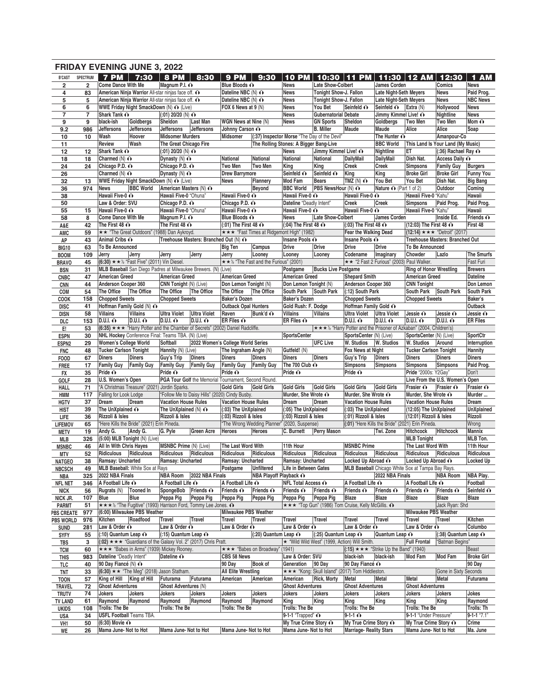|                                 |                |                                                        | <b>FRIDAY EVENING JUNE 3, 2022</b>                                                            |                                |                                                      |                                                             |                                                 |                                        |                                              |                                                                       |                                                        |                                             |                                              |                                     |
|---------------------------------|----------------|--------------------------------------------------------|-----------------------------------------------------------------------------------------------|--------------------------------|------------------------------------------------------|-------------------------------------------------------------|-------------------------------------------------|----------------------------------------|----------------------------------------------|-----------------------------------------------------------------------|--------------------------------------------------------|---------------------------------------------|----------------------------------------------|-------------------------------------|
| <b>B'CAST</b>                   | SPECTRUM       | <b>7 PM</b>                                            | 7:30                                                                                          | <b>8 PM</b>                    | 8:30                                                 | <b>9 PM</b>                                                 | 9:30                                            | <b>10 PM</b>                           | 10:30                                        | 11<br><b>PM</b>                                                       | 11:30                                                  | 12AM                                        | 12:30                                        | 1 AM                                |
| $\overline{\mathbf{2}}$         | $\overline{2}$ | <b>Come Dance With Me</b>                              |                                                                                               | Magnum P.I. O                  |                                                      | Blue Bloods O                                               |                                                 | <b>News</b>                            | <b>Late Show-Colbert</b>                     |                                                                       | <b>James Corden</b>                                    |                                             | Comics                                       | <b>News</b>                         |
| 4                               | 83             |                                                        | American Ninja Warrior All-star ninjas face off. O                                            |                                |                                                      | Dateline NBC (N) O                                          |                                                 | <b>News</b>                            | Tonight Show-J. Fallon                       |                                                                       | <b>Late Night-Seth Meyers</b>                          |                                             | <b>News</b>                                  | Paid Prog.                          |
| 5<br>6                          | 5<br>6         |                                                        | American Ninja Warrior All-star ninjas face off. O<br>WWE Friday Night SmackDown (N) O (Live) |                                |                                                      | Dateline NBC (N) O<br>FOX 6 News at 9 (N)                   |                                                 | <b>News</b><br><b>News</b>             | Tonight Show-J. Fallon<br>You Bet            | Seinfeld O                                                            | <b>Late Night-Seth Meyers</b><br>Seinfeld O            | Extra $(N)$                                 | <b>News</b><br>Hollywood                     | <b>NBC News</b><br><b>News</b>      |
| $\overline{7}$                  | 7              | Shark Tank O                                           |                                                                                               | $(.01)$ 20/20 (N) $\odot$      |                                                      |                                                             |                                                 | <b>News</b>                            | <b>Gubernatorial Debate</b>                  |                                                                       | Jimmy Kimmel Live! O                                   |                                             | Nightline                                    | <b>News</b>                         |
| 9                               | 9              | black-ish                                              | Goldbergs                                                                                     | Sheldon                        | Last Man                                             | WGN News at Nine (N)                                        |                                                 | <b>News</b>                            | <b>GN Sports</b>                             | Sheldon                                                               | Goldbergs                                              | Two Men                                     | <b>Two Men</b>                               | Mom $\mathbf{\odot}$                |
| 9.2                             | 986            | Jeffersons                                             | <b>Jeffersons</b>                                                                             | <b>Jeffersons</b>              | Jeffersons                                           | Johnny Carson O                                             |                                                 |                                        | <b>B.</b> Miller                             | Maude                                                                 | Maude                                                  | Alice                                       | Alice                                        | Soap                                |
| 10                              | 10             | Wash                                                   | Hoover                                                                                        | <b>Midsomer Murders</b>        |                                                      | <b>Midsomer</b>                                             |                                                 |                                        | (:37) Inspector Morse "The Day of the Devil" |                                                                       | The Hunter $\hat{\mathbf{O}}$                          |                                             | Amanpour-Co                                  |                                     |
| 11                              |                | Review                                                 | Wash                                                                                          | The Great Chicago Fire         |                                                      |                                                             |                                                 | The Rolling Stones: A Bigger Bang-Live |                                              |                                                                       | <b>BBC World</b>                                       |                                             | This Land Is Your Land (My Music)            |                                     |
| 12                              | 12             | Shark Tank O                                           |                                                                                               | $(.01)$ 20/20 (N) $\odot$      |                                                      |                                                             |                                                 | <b>News</b>                            | Jimmy Kimmel Live! O                         |                                                                       | Nightline                                              | ET                                          | $(.36)$ Rachael Ray $\odot$                  |                                     |
| 18                              | 18             | Charmed $(N)$ $\odot$                                  |                                                                                               | Dynasty $(N)$ $\odot$          |                                                      | National                                                    | National                                        | National                               | National                                     | <b>DailyMail</b>                                                      | DailyMail                                              | Dish Nat.                                   | Access Daily O                               |                                     |
| 24                              | 24             | Chicago P.D. O                                         |                                                                                               | Chicago P.D. O                 |                                                      | Two Men                                                     | Two Men                                         | King                                   | King                                         | <b>Creek</b>                                                          | Creek                                                  | <b>Simpsons</b>                             | <b>Family Guy</b><br><b>Broke Girl</b>       | <b>Burgers</b>                      |
| 26<br>32                        | 13             | Charmed $(N)$ $\odot$                                  | WWE Friday Night SmackDown (N) O (Live)                                                       | Dynasty $(N)$ $\odot$          |                                                      | <b>Drew Barrymore</b><br><b>News</b>                        | Flannery                                        | Seinfeld O<br>Mod Fam                  | Seinfeld O<br><b>Bears</b>                   | King<br>TMZ $(N)$ $\odot$                                             | King<br>You Bet                                        | <b>Broke Girl</b><br>You Bet                | Dish Nat.                                    | <b>Funny You</b><br><b>Big Bang</b> |
| 36                              | 974            | <b>News</b>                                            | <b>BBC World</b>                                                                              | American Masters (N) ∩         |                                                      |                                                             | Beyond                                          | <b>BBC World</b>                       | <b>PBS</b> NewsHour (N) $\odot$              |                                                                       | Nature O (Part 1 of 2)                                 |                                             | Outdoor                                      | Coming                              |
| 38                              |                | Hawaii Five-0 O                                        |                                                                                               | Hawaii Five-0 "Ohuna"          |                                                      | Hawaii Five-0 O                                             |                                                 | Hawaii Five-0 O                        |                                              | Hawaii Five-0 O                                                       |                                                        | Hawaii Five-0 "Kahu"                        |                                              | Hawaii                              |
| 50                              |                | Law & Order: SVU                                       |                                                                                               | Chicago P.D. o                 |                                                      | Chicago P.D. o                                              |                                                 | Dateline "Deadly Intent"               |                                              | Creek                                                                 | Creek                                                  | <b>Simpsons</b>                             | Paid Prog.                                   | Paid Prog.                          |
| 55                              | 15             | Hawaii Five-0 O                                        |                                                                                               | Hawaii Five-0 "Ohuna"          |                                                      | Hawaii Five-0 O                                             |                                                 | Hawaii Five-0 O                        |                                              | Hawaii Five-0 O                                                       |                                                        | Hawaii Five-0 "Kahu"                        |                                              | Hawaii                              |
| 58                              | 8              | <b>Come Dance With Me</b>                              |                                                                                               | Magnum P.I. O                  |                                                      | Blue Bloods O                                               |                                                 | <b>News</b>                            | Late Show-Colbert                            |                                                                       | James Corden                                           |                                             | Inside Ed.                                   | Friends $\hat{\mathbf{O}}$          |
| A&E                             | 42             | The First 48 $\odot$                                   |                                                                                               | The First 48 $\odot$           |                                                      | $(.01)$ The First 48 $\odot$                                |                                                 | $(.04)$ The First 48 $\odot$           |                                              | $(.03)$ The First 48 $\odot$                                          |                                                        | (12:03) The First 48 $\odot$                |                                              | First 48                            |
| AMC                             | 59             |                                                        | ★★ "The Great Outdoors" (1988) Dan Aykroyd.                                                   |                                |                                                      |                                                             | ★★★ "Fast Times at Ridgemont High" (1982)       |                                        |                                              | Fear the Walking Dead                                                 |                                                        |                                             | (12:14) $\star \star \star$ "Detroit" (2017) |                                     |
| AP                              | 43             | Animal Cribs O                                         |                                                                                               |                                | Treehouse Masters: Branched Out (N) ∩                |                                                             |                                                 | Insane Pools O                         |                                              | Insane Pools O                                                        |                                                        |                                             | <b>Treehouse Masters: Branched Out</b>       |                                     |
| <b>BIG10</b>                    | 63             | To Be Announced                                        |                                                                                               |                                |                                                      | <b>Big Ten</b>                                              | Campus                                          | <b>Drive</b>                           | <b>Drive</b>                                 | <b>Drive</b>                                                          | <b>Drive</b>                                           | <b>To Be Announced</b>                      |                                              |                                     |
| <b>BOOM</b>                     | 109<br>45      | Jerry                                                  | Jerry<br>$(6:30) \star \star \frac{1}{2}$ "Fast Five" (2011) Vin Diesel.                      | Jerry                          | Jerry                                                | Jerry                                                       | Looney<br>★★½ "The Fast and the Furious" (2001) | Looney                                 | Looney                                       | Codename                                                              | Imaginary<br>★★ "2 Fast 2 Furious" (2003) Paul Walker. | Chowder                                     | Lazlo                                        | The Smurfs<br>Fast Furi             |
| <b>BRAVO</b>                    | 31             |                                                        | MLB Baseball San Diego Padres at Milwaukee Brewers. (N) (Live)                                |                                |                                                      |                                                             |                                                 | Postgame                               | <b>Bucks Live Postgame</b>                   |                                                                       |                                                        | <b>Ring of Honor Wrestling</b>              |                                              | <b>Brewers</b>                      |
| <b>BSN</b><br><b>CNBC</b>       | 47             | <b>American Greed</b>                                  |                                                                                               | <b>American Greed</b>          |                                                      | <b>American Greed</b>                                       |                                                 | <b>American Greed</b>                  |                                              | <b>Shepard Smith</b>                                                  |                                                        | <b>American Greed</b>                       |                                              | <b>Dateline</b>                     |
| <b>CNN</b>                      | 44             | Anderson Cooper 360                                    |                                                                                               | CNN Tonight (N) (Live)         |                                                      | Don Lemon Tonight (N)                                       |                                                 | Don Lemon Tonight (N)                  |                                              | Anderson Cooper 360                                                   |                                                        | <b>CNN Tonight</b>                          |                                              | Don Lemon                           |
| COM                             | 54             | The Office                                             | The Office                                                                                    | The Office                     | The Office                                           | The Office                                                  | The Office                                      | South Park South Park                  |                                              | (:12) South Park                                                      |                                                        | <b>South Park</b>                           | South Park                                   | <b>South Park</b>                   |
| COOK                            | 158            | <b>Chopped Sweets</b>                                  |                                                                                               | <b>Chopped Sweets</b>          |                                                      | <b>Baker's Dozen</b>                                        |                                                 | <b>Baker's Dozen</b>                   |                                              | <b>Chopped Sweets</b>                                                 |                                                        | <b>Chopped Sweets</b>                       |                                              | Baker's                             |
| <b>DISC</b>                     | 41             |                                                        | Hoffman Family Gold (N) O                                                                     |                                |                                                      | <b>Outback Opal Hunters</b>                                 |                                                 | Gold Rush: F. Dodge                    |                                              | Hoffman Family Gold ∩                                                 |                                                        |                                             |                                              | Outback                             |
| <b>DISN</b>                     | 58             | Villains                                               | Villains                                                                                      | <b>Ultra Violet</b>            | <b>Ultra Violet</b>                                  | Raven                                                       | Bunk'd O                                        | Villains                               | <b>Villains</b>                              | <b>Ultra Violet</b>                                                   | <b>Ultra Violet</b>                                    | Jessie O                                    | Jessie O                                     | Jessie O                            |
| DLC                             | 153            | $D.U.I.$ $\odot$                                       | $D.U.I.$ $\odot$                                                                              | $D.U.I.$ $\odot$               | <b>D.U.I. O</b>                                      | ER Files $\odot$                                            |                                                 | ER Files $\hat{\mathbf{O}}$            |                                              | $D.U.I.$ $\odot$                                                      | D.U.I. O                                               | D.U.I. ()                                   | $D.U.I.$ $\odot$                             | <b>ER Files</b>                     |
| E!                              | 53             |                                                        | $(6:35) \star \star \star$ "Harry Potter and the Chamber of Secrets" (2002) Daniel Radcliffe. |                                |                                                      |                                                             |                                                 |                                        |                                              | ★ ★ ★ ½ "Harry Potter and the Prisoner of Azkaban" (2004, Children's) |                                                        |                                             |                                              |                                     |
| <b>ESPN</b>                     | 30             |                                                        | NHL Hockey Conference Final: Teams TBA. (N) (Live)                                            |                                |                                                      |                                                             |                                                 | <b>SportsCenter</b>                    |                                              | SportsCenter (N) (Live)                                               |                                                        | SportsCenter (N) (Live)                     |                                              | <b>SportCtr</b>                     |
| ESPN <sub>2</sub>               | 29             | Women's College World<br><b>Tucker Carlson Tonight</b> |                                                                                               | Softball<br>Hannity (N) (Live) |                                                      | 2022 Women's College World Series<br>The Ingraham Angle (N) |                                                 | Gutfeld! (N)                           | <b>UFC Live</b>                              | W. Studios<br>Fox News at Night                                       | W. Studios                                             | W. Studios<br><b>Tucker Carlson Tonight</b> | Around                                       | Interruption<br>Hannity             |
| <b>FNC</b><br><b>FOOD</b>       | 48<br>67       | <b>Diners</b>                                          | <b>Diners</b>                                                                                 | Guy's Trip                     | <b>Diners</b>                                        | <b>Diners</b>                                               | <b>Diners</b>                                   | <b>Diners</b>                          | <b>Diners</b>                                | Guy's Trip                                                            | Diners                                                 | <b>Diners</b>                               | <b>Diners</b>                                | <b>Diners</b>                       |
| <b>FREE</b>                     | 17             | <b>Family Guy</b>                                      | <b>Family Guy</b>                                                                             | <b>Family Guy</b>              | <b>Family Guy</b>                                    | <b>Family Guy</b>                                           | <b>Family Guy</b>                               | The 700 Club O                         |                                              | <b>Simpsons</b>                                                       | Simpsons                                               | <b>Simpsons</b>                             | <b>Simpsons</b>                              | Paid Prog.                          |
| FX                              | 35             | Pride O                                                |                                                                                               | Pride $\mathbf{\odot}$         |                                                      | Pride O                                                     |                                                 | Pride O                                |                                              | Pride $\mathbf{\odot}$                                                |                                                        | Pride "2000s: Y2Gay"                        |                                              | Don't                               |
| GOLF                            | 28             | U.S. Women's Open                                      |                                                                                               |                                | PGA Tour Golf the Memorial Tournament, Second Round. |                                                             |                                                 |                                        |                                              |                                                                       |                                                        |                                             | Live From the U.S. Women's Open              |                                     |
| HALL                            | 71             |                                                        | "A Christmas Treasure" (2021) Jordin Sparks.                                                  |                                |                                                      | <b>Gold Girls</b>                                           | <b>Gold Girls</b>                               | <b>Gold Girls</b>                      | <b>Gold Girls</b>                            | <b>Gold Girls</b>                                                     | Gold Girls                                             | Frasier O                                   | Frasier O                                    | Frasier O                           |
| HMM                             | 117            | Falling for Look Lodge                                 |                                                                                               |                                | "Follow Me to Daisy Hills" (2020) Cindy Busby.       |                                                             |                                                 | Murder, She Wrote O                    |                                              | Murder, She Wrote O                                                   |                                                        | Murder, She Wrote O                         |                                              | Murder                              |
| <b>HGTV</b>                     | 37             | Dream                                                  | Dream                                                                                         | Vacation House Rules           |                                                      | <b>Vacation House Rules</b>                                 |                                                 | Dream                                  | Dream                                        | <b>Vacation House Rules</b>                                           |                                                        | <b>Vacation House Rules</b>                 |                                              | Dream                               |
| <b>HIST</b>                     | 39             | The UnXplained $\odot$                                 |                                                                                               | The UnXplained $(N)$ $\odot$   |                                                      | (:03) The UnXplained                                        |                                                 | (:05) The UnXplained                   |                                              | (:03) The UnXplained                                                  |                                                        | (12:05) The UnXplained                      |                                              | <b>UnXplained</b>                   |
| LIFE                            | 36             | Rizzoli & Isles                                        |                                                                                               | Rizzoli & Isles                |                                                      | (:03) Rizzoli & Isles                                       |                                                 | (:03) Rizzoli & Isles                  |                                              | (:01) Rizzoli & Isles                                                 |                                                        | (12:01) Rizzoli & Isles                     |                                              | Rizzoli                             |
| <b>LIFEMOV</b>                  | 65             |                                                        | "Here Kills the Bride" (2021) Erin Pineda.                                                    |                                | Green Acre Heroes Heroes                             |                                                             | "The Wrong Wedding Planner" (2020, Suspense)    |                                        |                                              | (:01) "Here Kills the Bride" (2021) Erin Pineda.                      |                                                        |                                             |                                              | Wrong<br>Mannix                     |
| <b>METV</b>                     | 19<br>326      | Andy G. Andy G.                                        | $(5:00)$ MLB Tonight $(N)$ (Live)                                                             | G. Pyle                        |                                                      |                                                             |                                                 |                                        |                                              | C. Burnett Perry Mason   Twi. Zone                                    |                                                        | Hitchcock Hitchcock<br><b>MLB Tonight</b>   |                                              | MLB Ton.                            |
| MLB<br><b>MSNBC</b>             | 46             | <b>All In With Chris Hayes</b>                         |                                                                                               | <b>MSNBC Prime (N) (Live)</b>  |                                                      | The Last Word With                                          |                                                 | 11th Hour                              |                                              | <b>MSNBC Prime</b>                                                    |                                                        | The Last Word With                          |                                              | 11th Hour                           |
| MTV                             | 52             | Ridiculous                                             | <b>Ridiculous</b>                                                                             | Ridiculous                     | Ridiculous                                           | Ridiculous                                                  | Ridiculous                                      | Ridiculous                             | Ridiculous                                   | Ridiculous                                                            | Ridiculous                                             | Ridiculous                                  | Ridiculous                                   | Ridiculous                          |
| <b>NATGEO</b>                   | 38             | Ramsay: Uncharted                                      |                                                                                               | Ramsay: Uncharted              |                                                      | Ramsay: Uncharted                                           |                                                 | Ramsay: Uncharted                      |                                              | Locked Up Abroad O                                                    |                                                        | Locked Up Abroad O                          |                                              | Locked Up                           |
| <b>NBCSCH</b>                   | 49             |                                                        | <b>MLB Baseball:</b> White Sox at Rays                                                        |                                |                                                      | Postgame                                                    | Unfiltered                                      | Life in Between Gates                  |                                              | MLB Baseball Chicago White Sox at Tampa Bay Rays.                     |                                                        |                                             |                                              |                                     |
| NBA                             | 325            | 2022 NBA Finals                                        |                                                                                               | <b>NBA Room</b>                | 2022 NBA Finals                                      |                                                             | NBA Playoff Playback O                          |                                        |                                              |                                                                       | 2022 NBA Finals                                        |                                             | <b>NBA Room</b>                              | NBA Play.                           |
| <b>NFL NET</b>                  | 346            | A Football Life O                                      |                                                                                               | A Football Life O              |                                                      | A Football Life O                                           |                                                 | <b>NFL Total Access O</b>              |                                              | A Football Life O                                                     |                                                        | A Football Life O                           |                                              | Football                            |
| <b>NICK</b>                     | 56             | <b>Rugrats (N)</b>                                     | <b>Tooned In</b>                                                                              | SpongeBob Friends ∩            |                                                      | Friends $\odot$                                             | Friends $\odot$                                 | Friends $\odot$                        | Friends $\odot$                              | Friends O                                                             | Friends $\odot$                                        | Friends $\odot$                             | Friends O                                    | Seinfeld O                          |
| NICK JR.                        | 107            | Blue                                                   | Blue                                                                                          | Peppa Pig                      | Peppa Piq                                            | Peppa Pig                                                   | Peppa Pig                                       | Peppa Pig                              | Peppa Piq                                    | Blaze                                                                 | <b>Blaze</b>                                           | Blaze                                       | <b>Blaze</b>                                 | <b>Blaze</b>                        |
| <b>PARMT</b>                    | 51             |                                                        | <b>★★★½</b> "The Fugitive" (1993) Harrison Ford, Tommy Lee Jones. $\Omega$                    |                                |                                                      | <b>Milwaukee PBS Weather</b>                                |                                                 |                                        |                                              | ★★★ "Top Gun" (1986) Tom Cruise, Kelly McGillis. ^                    |                                                        | Milwaukee PBS Weather                       | Jack Ryan: Shd                               |                                     |
| <b>PBS CREATE</b>               | 977<br>976     | Kitchen                                                | (6:00) Milwaukee PBS Weather<br>Roadfood                                                      | <b>Travel</b>                  | Travel                                               | Travel                                                      | Travel                                          | <b>Travel</b>                          | <b>Travel</b>                                | Travel                                                                | Travel                                                 | Travel                                      | <b>Travel</b>                                | Kitchen                             |
| <b>PBS WORLD</b><br><b>SUND</b> | 281            | Law & Order O                                          |                                                                                               | Law & Order O                  |                                                      | Law & Order O                                               |                                                 | Law & Order O                          |                                              | Law & Order O                                                         |                                                        | Law & Order O                               |                                              | Columbo                             |
| <b>SYFY</b>                     | 55             | $(10)$ Quantum Leap $\odot$                            |                                                                                               | (:15) Quantum Leap ∩           |                                                      |                                                             | $(20)$ Quantum Leap $\odot$                     |                                        | $(25)$ Quantum Leap $\odot$                  |                                                                       | Quantum Leap O                                         |                                             | (:38) Quantum Leap ∩                         |                                     |
| TBS                             | 3              |                                                        | (:02) $\star \star \star$ "Guardians of the Galaxy Vol. 2" (2017) Chris Pratt.                |                                |                                                      |                                                             |                                                 |                                        |                                              | ★ "Wild Wild West" (1999, Action) Will Smith.                         |                                                        | <b>Full Frontal</b>                         | "Batman Begins"                              |                                     |
| <b>TCM</b>                      | 60             |                                                        | <b>★★★ "Babes in Arms" (1939) Mickey Rooney.</b>                                              |                                |                                                      |                                                             | ★★★ "Babes on Broadway" (1941)                  |                                        |                                              | (:15) $\star \star \star$ "Strike Up the Band" (1940)                 |                                                        |                                             |                                              | Beast                               |
| <b>THIS</b>                     | 983            | Dateline "Deadly Intent"                               |                                                                                               | Dateline O                     |                                                      | CBS 58 News                                                 |                                                 | Law & Order: SVU                       |                                              | black-ish                                                             | black-ish                                              | Mod Fam                                     | Mod Fam                                      | <b>Broke Girl</b>                   |
| TLC                             | 40             | 90 Day Fiancé (N) $\odot$                              |                                                                                               |                                |                                                      | 90 Day                                                      | <b>Book of</b>                                  | Generation                             | $90$ Day                                     | 90 Day Fiancé O                                                       |                                                        |                                             |                                              | 90 Day                              |
| TNT                             | 33             |                                                        | $(6:30) \star \star$ "The Meg" (2018) Jason Statham.                                          |                                |                                                      | <b>All Elite Wrestling</b>                                  |                                                 |                                        |                                              | ★★★ "Kong: Skull Island" (2017) Tom Hiddleston.                       |                                                        |                                             | Gone in Sixty Seconds                        |                                     |
| <b>TOON</b>                     | 57             | King of Hill King of Hill                              |                                                                                               | Futurama                       | Futurama                                             | American                                                    | American                                        | American                               | <b>Rick, Morty</b>                           | Metal                                                                 | Metal                                                  | Metal                                       | Metal                                        | Futurama                            |
| <b>TRAVEL</b>                   | 72             | <b>Ghost Adventures</b>                                |                                                                                               | <b>Ghost Adventures (N)</b>    |                                                      |                                                             |                                                 | <b>Ghost Adventures</b>                |                                              | <b>Ghost Adventures</b>                                               |                                                        | <b>Ghost Adventures</b>                     |                                              |                                     |
| <b>TRUTV</b>                    | 74             | Jokers                                                 | Jokers                                                                                        | Jokers                         | Jokers                                               | Jokers                                                      | Jokers                                          | Jokers                                 | Jokers                                       | Jokers                                                                | Jokers                                                 | Jokers                                      | Jokers                                       | Jokes                               |
| <b>TV LAND</b>                  | 61<br>108      | Raymond<br>Trolls: The Be                              | Raymond                                                                                       | Raymond<br>Trolls: The Be      | Raymond                                              | Raymond<br>Trolls: The Be                                   | Raymond                                         | King<br>Trolls: The Be                 | King                                         | King<br>Trolls: The Be                                                | King                                                   | King<br>Trolls: The Be                      | King                                         | Raymond<br>Trolls: Th               |
| <b>UKIDS</b><br>USA             | 34             | <b>USFL Football Teams TBA.</b>                        |                                                                                               |                                |                                                      |                                                             |                                                 | 9-1-1 "Trapped" $\odot$                |                                              | $9-1-1$ $\odot$                                                       |                                                        | 9-1-1 "Under Pressure"                      |                                              | 9-1-1 "7.1"                         |
| VH1                             | 50             | $(6:30)$ Movie $\odot$                                 |                                                                                               |                                |                                                      |                                                             |                                                 | My True Crime Story ∩                  |                                              | My True Crime Story ∩                                                 |                                                        | My True Crime Story ∩                       |                                              | Crime                               |
| WE                              | 26             | Mama June-Not to Hot                                   |                                                                                               | Mama June- Not to Hot          |                                                      | Mama June- Not to Hot                                       |                                                 | Mama June- Not to Hot                  |                                              | <b>Marriage- Reality Stars</b>                                        |                                                        | Mama June- Not to Hot                       |                                              | Ma. June                            |